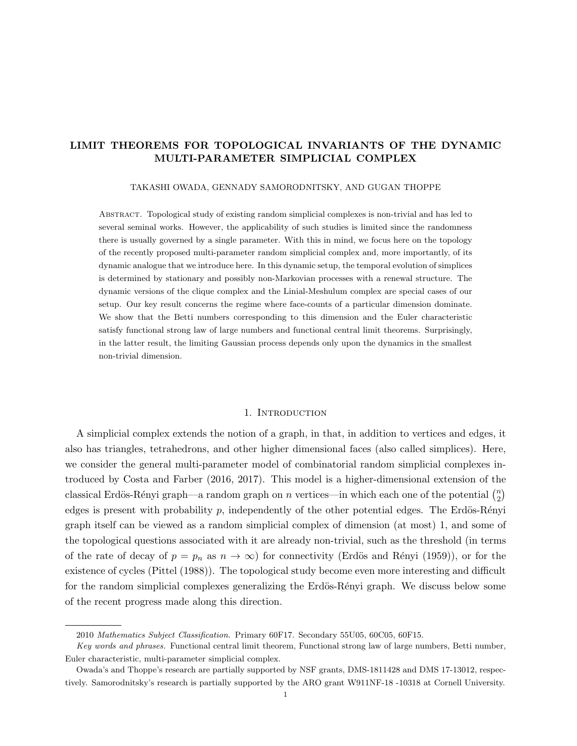# LIMIT THEOREMS FOR TOPOLOGICAL INVARIANTS OF THE DYNAMIC MULTI-PARAMETER SIMPLICIAL COMPLEX

#### TAKASHI OWADA, GENNADY SAMORODNITSKY, AND GUGAN THOPPE

Abstract. Topological study of existing random simplicial complexes is non-trivial and has led to several seminal works. However, the applicability of such studies is limited since the randomness there is usually governed by a single parameter. With this in mind, we focus here on the topology of the recently proposed multi-parameter random simplicial complex and, more importantly, of its dynamic analogue that we introduce here. In this dynamic setup, the temporal evolution of simplices is determined by stationary and possibly non-Markovian processes with a renewal structure. The dynamic versions of the clique complex and the Linial-Meshulum complex are special cases of our setup. Our key result concerns the regime where face-counts of a particular dimension dominate. We show that the Betti numbers corresponding to this dimension and the Euler characteristic satisfy functional strong law of large numbers and functional central limit theorems. Surprisingly, in the latter result, the limiting Gaussian process depends only upon the dynamics in the smallest non-trivial dimension.

#### 1. INTRODUCTION

A simplicial complex extends the notion of a graph, in that, in addition to vertices and edges, it also has triangles, tetrahedrons, and other higher dimensional faces (also called simplices). Here, we consider the general multi-parameter model of combinatorial random simplicial complexes introduced by Costa and Farber (2016, 2017). This model is a higher-dimensional extension of the classical Erdös-Rényi graph—a random graph on n vertices—in which each one of the potential  $\binom{n}{2}$  $\binom{n}{2}$ edges is present with probability  $p$ , independently of the other potential edges. The Erdös-Rényi graph itself can be viewed as a random simplicial complex of dimension (at most) 1, and some of the topological questions associated with it are already non-trivial, such as the threshold (in terms of the rate of decay of  $p = p_n$  as  $n \to \infty$ ) for connectivity (Erdös and Rényi (1959)), or for the existence of cycles (Pittel (1988)). The topological study become even more interesting and difficult for the random simplicial complexes generalizing the Erdös-Rényi graph. We discuss below some of the recent progress made along this direction.

<sup>2010</sup> Mathematics Subject Classification. Primary 60F17. Secondary 55U05, 60C05, 60F15.

Key words and phrases. Functional central limit theorem, Functional strong law of large numbers, Betti number, Euler characteristic, multi-parameter simplicial complex.

Owada's and Thoppe's research are partially supported by NSF grants, DMS-1811428 and DMS 17-13012, respectively. Samorodnitsky's research is partially supported by the ARO grant W911NF-18 -10318 at Cornell University.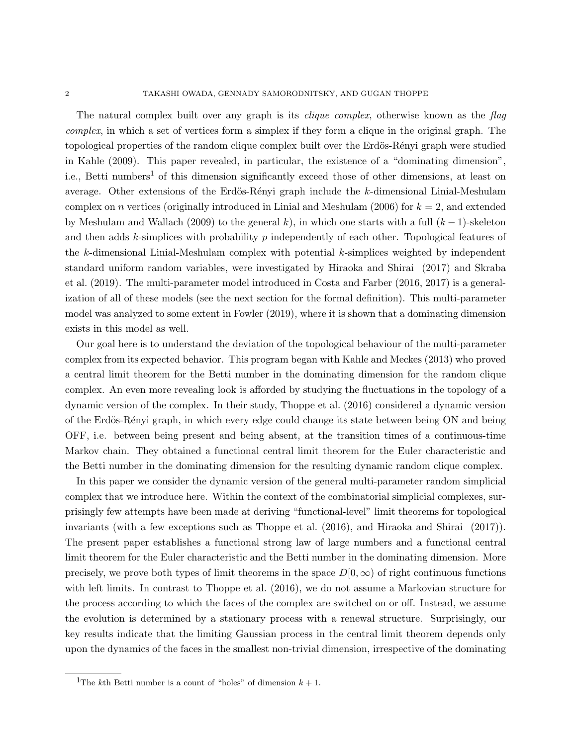The natural complex built over any graph is its *clique complex*, otherwise known as the flag complex, in which a set of vertices form a simplex if they form a clique in the original graph. The topological properties of the random clique complex built over the Erdös-Rényi graph were studied in Kahle (2009). This paper revealed, in particular, the existence of a "dominating dimension", i.e., Betti numbers<sup>1</sup> of this dimension significantly exceed those of other dimensions, at least on average. Other extensions of the Erdös-Rényi graph include the  $k$ -dimensional Linial-Meshulam complex on n vertices (originally introduced in Linial and Meshulam (2006) for  $k = 2$ , and extended by Meshulam and Wallach (2009) to the general k), in which one starts with a full  $(k-1)$ -skeleton and then adds k-simplices with probability  $p$  independently of each other. Topological features of the k-dimensional Linial-Meshulam complex with potential k-simplices weighted by independent standard uniform random variables, were investigated by Hiraoka and Shirai (2017) and Skraba et al. (2019). The multi-parameter model introduced in Costa and Farber (2016, 2017) is a generalization of all of these models (see the next section for the formal definition). This multi-parameter model was analyzed to some extent in Fowler (2019), where it is shown that a dominating dimension exists in this model as well.

Our goal here is to understand the deviation of the topological behaviour of the multi-parameter complex from its expected behavior. This program began with Kahle and Meckes (2013) who proved a central limit theorem for the Betti number in the dominating dimension for the random clique complex. An even more revealing look is afforded by studying the fluctuations in the topology of a dynamic version of the complex. In their study, Thoppe et al. (2016) considered a dynamic version of the Erdös-Rényi graph, in which every edge could change its state between being ON and being OFF, i.e. between being present and being absent, at the transition times of a continuous-time Markov chain. They obtained a functional central limit theorem for the Euler characteristic and the Betti number in the dominating dimension for the resulting dynamic random clique complex.

In this paper we consider the dynamic version of the general multi-parameter random simplicial complex that we introduce here. Within the context of the combinatorial simplicial complexes, surprisingly few attempts have been made at deriving "functional-level" limit theorems for topological invariants (with a few exceptions such as Thoppe et al. (2016), and Hiraoka and Shirai (2017)). The present paper establishes a functional strong law of large numbers and a functional central limit theorem for the Euler characteristic and the Betti number in the dominating dimension. More precisely, we prove both types of limit theorems in the space  $D[0,\infty)$  of right continuous functions with left limits. In contrast to Thoppe et al. (2016), we do not assume a Markovian structure for the process according to which the faces of the complex are switched on or off. Instead, we assume the evolution is determined by a stationary process with a renewal structure. Surprisingly, our key results indicate that the limiting Gaussian process in the central limit theorem depends only upon the dynamics of the faces in the smallest non-trivial dimension, irrespective of the dominating

<sup>&</sup>lt;sup>1</sup>The kth Betti number is a count of "holes" of dimension  $k + 1$ .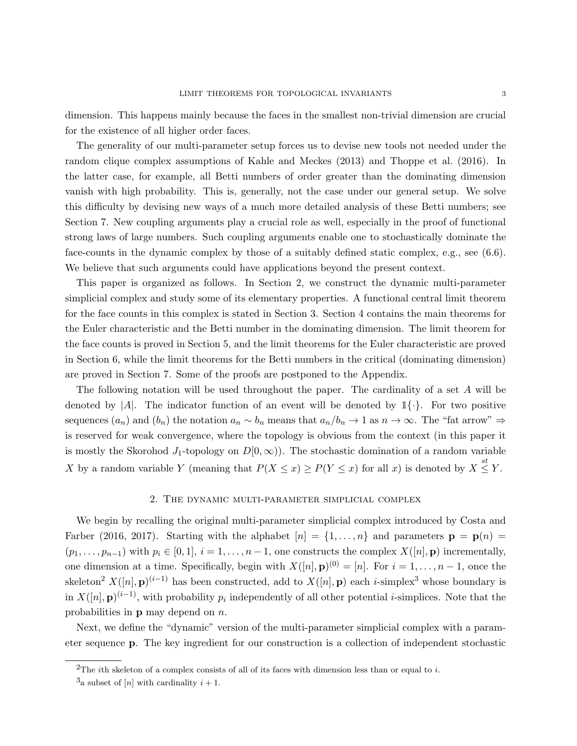dimension. This happens mainly because the faces in the smallest non-trivial dimension are crucial for the existence of all higher order faces.

The generality of our multi-parameter setup forces us to devise new tools not needed under the random clique complex assumptions of Kahle and Meckes (2013) and Thoppe et al. (2016). In the latter case, for example, all Betti numbers of order greater than the dominating dimension vanish with high probability. This is, generally, not the case under our general setup. We solve this difficulty by devising new ways of a much more detailed analysis of these Betti numbers; see Section 7. New coupling arguments play a crucial role as well, especially in the proof of functional strong laws of large numbers. Such coupling arguments enable one to stochastically dominate the face-counts in the dynamic complex by those of a suitably defined static complex, e.g., see (6.6). We believe that such arguments could have applications beyond the present context.

This paper is organized as follows. In Section 2, we construct the dynamic multi-parameter simplicial complex and study some of its elementary properties. A functional central limit theorem for the face counts in this complex is stated in Section 3. Section 4 contains the main theorems for the Euler characteristic and the Betti number in the dominating dimension. The limit theorem for the face counts is proved in Section 5, and the limit theorems for the Euler characteristic are proved in Section 6, while the limit theorems for the Betti numbers in the critical (dominating dimension) are proved in Section 7. Some of the proofs are postponed to the Appendix.

The following notation will be used throughout the paper. The cardinality of a set A will be denoted by  $|A|$ . The indicator function of an event will be denoted by  $\mathbb{1}\{\cdot\}$ . For two positive sequences  $(a_n)$  and  $(b_n)$  the notation  $a_n \sim b_n$  means that  $a_n/b_n \to 1$  as  $n \to \infty$ . The "fat arrow"  $\Rightarrow$ is reserved for weak convergence, where the topology is obvious from the context (in this paper it is mostly the Skorohod J<sub>1</sub>-topology on  $D[0,\infty)$ ). The stochastic domination of a random variable X by a random variable Y (meaning that  $P(X \le x) \ge P(Y \le x)$  for all x) is denoted by  $X \le Y$ .

#### 2. The dynamic multi-parameter simplicial complex

We begin by recalling the original multi-parameter simplicial complex introduced by Costa and Farber (2016, 2017). Starting with the alphabet  $[n] = \{1, \ldots, n\}$  and parameters  $\mathbf{p} = \mathbf{p}(n)$  $(p_1, \ldots, p_{n-1})$  with  $p_i \in [0, 1], i = 1, \ldots, n-1$ , one constructs the complex  $X([n], \mathbf{p})$  incrementally, one dimension at a time. Specifically, begin with  $X([n], \mathbf{p})^{(0)} = [n]$ . For  $i = 1, \ldots, n-1$ , once the skeleton<sup>2</sup>  $X([n], \mathbf{p})^{(i-1)}$  has been constructed, add to  $X([n], \mathbf{p})$  each *i*-simplex<sup>3</sup> whose boundary is in  $X([n], \mathbf{p})^{(i-1)}$ , with probability  $p_i$  independently of all other potential *i*-simplices. Note that the probabilities in  $\bf{p}$  may depend on  $n$ .

Next, we define the "dynamic" version of the multi-parameter simplicial complex with a parameter sequence p. The key ingredient for our construction is a collection of independent stochastic

<sup>&</sup>lt;sup>2</sup>The *i*th skeleton of a complex consists of all of its faces with dimension less than or equal to *i*.

<sup>&</sup>lt;sup>3</sup>a subset of [n] with cardinality  $i + 1$ .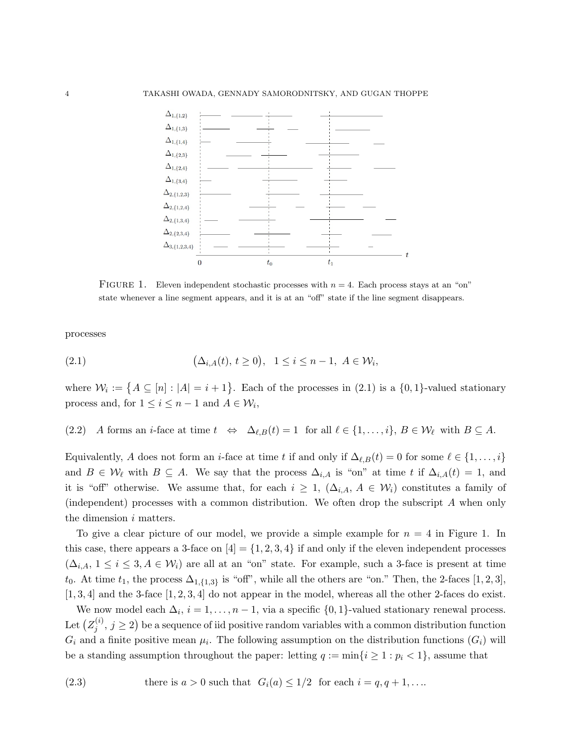

FIGURE 1. Eleven independent stochastic processes with  $n = 4$ . Each process stays at an "on" state whenever a line segment appears, and it is at an "off" state if the line segment disappears.

processes

$$
(2.1) \qquad \qquad (\Delta_{i,A}(t),\,t\geq 0), \quad 1\leq i\leq n-1, \ A\in\mathcal{W}_i,
$$

where  $\mathcal{W}_i := \{ A \subseteq [n] : |A| = i + 1 \}$ . Each of the processes in (2.1) is a  $\{0,1\}$ -valued stationary process and, for  $1 \leq i \leq n-1$  and  $A \in \mathcal{W}_i$ ,

(2.2) A forms an *i*-face at time  $t \Leftrightarrow \Delta_{\ell,B}(t) = 1$  for all  $\ell \in \{1, \ldots, i\}, B \in \mathcal{W}_{\ell}$  with  $B \subseteq A$ .

Equivalently, A does not form an *i*-face at time t if and only if  $\Delta_{\ell,B}(t) = 0$  for some  $\ell \in \{1, \ldots, i\}$ and  $B \in \mathcal{W}_\ell$  with  $B \subseteq A$ . We say that the process  $\Delta_{i,A}$  is "on" at time t if  $\Delta_{i,A}(t) = 1$ , and it is "off" otherwise. We assume that, for each  $i \geq 1$ ,  $(\Delta_{i,A}, A \in \mathcal{W}_i)$  constitutes a family of (independent) processes with a common distribution. We often drop the subscript A when only the dimension *i* matters.

To give a clear picture of our model, we provide a simple example for  $n = 4$  in Figure 1. In this case, there appears a 3-face on  $[4] = \{1, 2, 3, 4\}$  if and only if the eleven independent processes  $(\Delta_{i,A}, 1 \leq i \leq 3, A \in \mathcal{W}_i)$  are all at an "on" state. For example, such a 3-face is present at time t<sub>0</sub>. At time t<sub>1</sub>, the process  $\Delta_{1,\{1,3\}}$  is "off", while all the others are "on." Then, the 2-faces [1, 2, 3],  $[1, 3, 4]$  and the 3-face  $[1, 2, 3, 4]$  do not appear in the model, whereas all the other 2-faces do exist.

We now model each  $\Delta_i$ ,  $i = 1, \ldots, n - 1$ , via a specific  $\{0, 1\}$ -valued stationary renewal process. Let  $(Z_i^{(i)}$  $j^{(i)}$ ,  $j \geq 2$ ) be a sequence of iid positive random variables with a common distribution function  $G_i$  and a finite positive mean  $\mu_i$ . The following assumption on the distribution functions  $(G_i)$  will be a standing assumption throughout the paper: letting  $q := \min\{i \geq 1 : p_i < 1\}$ , assume that

(2.3) there is  $a > 0$  such that  $G_i(a) \leq 1/2$  for each  $i = q, q + 1, \ldots$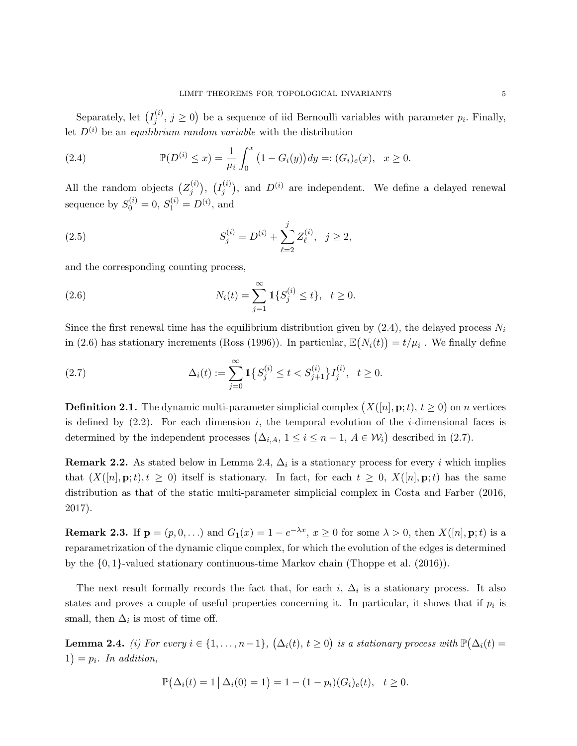Separately, let  $(I_i^{(i)}$  $j^{(i)}$ ,  $j \geq 0$ ) be a sequence of iid Bernoulli variables with parameter  $p_i$ . Finally, let  $D^{(i)}$  be an *equilibrium random variable* with the distribution

(2.4) 
$$
\mathbb{P}(D^{(i)} \le x) = \frac{1}{\mu_i} \int_0^x (1 - G_i(y)) dy =: (G_i)_e(x), \quad x \ge 0.
$$

All the random objects  $(Z_i^{(i)})$  $\binom{i}{j},\ \ \binom{I_j^{(i)}}{j}$  $j^{(i)}$ ), and  $D^{(i)}$  are independent. We define a delayed renewal sequence by  $S_0^{(i)} = 0, S_1^{(i)} = D^{(i)},$  and

(2.5) 
$$
S_j^{(i)} = D^{(i)} + \sum_{\ell=2}^j Z_{\ell}^{(i)}, \ \ j \ge 2,
$$

and the corresponding counting process,

(2.6) 
$$
N_i(t) = \sum_{j=1}^{\infty} \mathbb{1}\{S_j^{(i)} \le t\}, \quad t \ge 0.
$$

Since the first renewal time has the equilibrium distribution given by  $(2.4)$ , the delayed process  $N_i$ in (2.6) has stationary increments (Ross (1996)). In particular,  $\mathbb{E}(N_i(t)) = t/\mu_i$ . We finally define

(2.7) 
$$
\Delta_i(t) := \sum_{j=0}^{\infty} \mathbb{1}\left\{S_j^{(i)} \le t < S_{j+1}^{(i)}\right\} I_j^{(i)}, \quad t \ge 0.
$$

**Definition 2.1.** The dynamic multi-parameter simplicial complex  $(X([n], \mathbf{p}; t), t \ge 0)$  on n vertices is defined by  $(2.2)$ . For each dimension i, the temporal evolution of the *i*-dimensional faces is determined by the independent processes  $(\Delta_{i,A}, 1 \leq i \leq n-1, A \in \mathcal{W}_i)$  described in (2.7).

**Remark 2.2.** As stated below in Lemma 2.4,  $\Delta_i$  is a stationary process for every i which implies that  $(X([n], \mathbf{p}; t), t \geq 0)$  itself is stationary. In fact, for each  $t \geq 0$ ,  $X([n], \mathbf{p}; t)$  has the same distribution as that of the static multi-parameter simplicial complex in Costa and Farber (2016, 2017).

**Remark 2.3.** If  $p = (p, 0, ...)$  and  $G_1(x) = 1 - e^{-\lambda x}, x \ge 0$  for some  $\lambda > 0$ , then  $X([n], p; t)$  is a reparametrization of the dynamic clique complex, for which the evolution of the edges is determined by the {0, 1}-valued stationary continuous-time Markov chain (Thoppe et al. (2016)).

The next result formally records the fact that, for each  $i$ ,  $\Delta_i$  is a stationary process. It also states and proves a couple of useful properties concerning it. In particular, it shows that if  $p_i$  is small, then  $\Delta_i$  is most of time off.

**Lemma 2.4.** (i) For every  $i \in \{1, ..., n-1\}$ ,  $(\Delta_i(t), t \ge 0)$  is a stationary process with  $\mathbb{P}(\Delta_i(t) =$  $1) = p_i$ . In addition,

$$
\mathbb{P}(\Delta_i(t) = 1 | \Delta_i(0) = 1) = 1 - (1 - p_i)(G_i)_e(t), \quad t \ge 0.
$$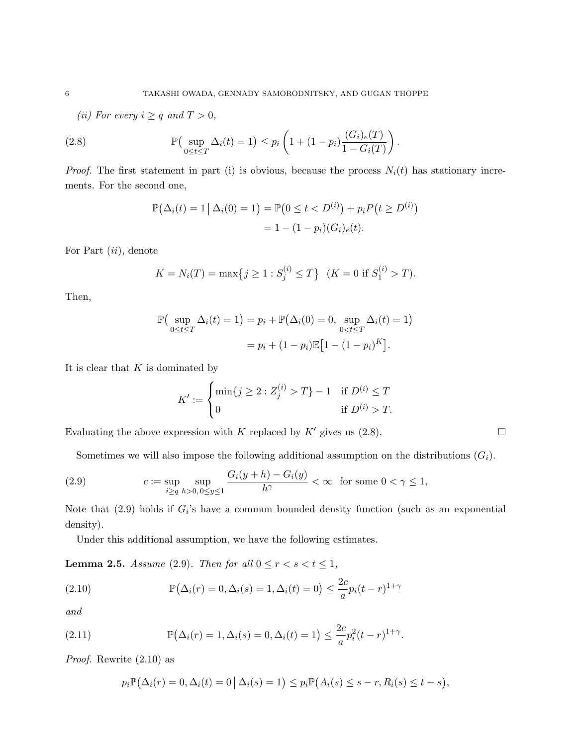(ii) For every  $i \geq q$  and  $T > 0$ ,

(2.8) 
$$
\mathbb{P}\left(\sup_{0 \le t \le T} \Delta_i(t) = 1\right) \le p_i \left(1 + (1 - p_i) \frac{(G_i)_e(T)}{1 - G_i(T)}\right)
$$

*Proof.* The first statement in part (i) is obvious, because the process  $N_i(t)$  has stationary increments. For the second one,

.

$$
\mathbb{P}(\Delta_i(t) = 1 \mid \Delta_i(0) = 1) = \mathbb{P}(0 \le t < D^{(i)}) + p_i P(t \ge D^{(i)})
$$
\n
$$
= 1 - (1 - p_i)(G_i)_e(t).
$$

For Part  $(ii)$ , denote

$$
K = N_i(T) = \max\{j \ge 1 : S_j^{(i)} \le T\} \quad (K = 0 \text{ if } S_1^{(i)} > T).
$$

Then,

$$
\mathbb{P}\left(\sup_{0 \le t \le T} \Delta_i(t) = 1\right) = p_i + \mathbb{P}\left(\Delta_i(0) = 0, \sup_{0 < t \le T} \Delta_i(t) = 1\right)
$$
\n
$$
= p_i + (1 - p_i)\mathbb{E}\left[1 - (1 - p_i)^K\right].
$$

It is clear that  $K$  is dominated by

$$
K' := \begin{cases} \min\{j \ge 2 : Z_j^{(i)} > T\} - 1 & \text{if } D^{(i)} \le T \\ 0 & \text{if } D^{(i)} > T. \end{cases}
$$

Evaluating the above expression with K replaced by K' gives us  $(2.8)$ .

Sometimes we will also impose the following additional assumption on the distributions  $(G_i)$ .

(2.9) 
$$
c := \sup_{i \geq q} \sup_{h > 0, 0 \leq y \leq 1} \frac{G_i(y+h) - G_i(y)}{h^{\gamma}} < \infty \quad \text{for some } 0 < \gamma \leq 1,
$$

Note that  $(2.9)$  holds if  $G_i$ 's have a common bounded density function (such as an exponential density).

Under this additional assumption, we have the following estimates.

**Lemma 2.5.** Assume (2.9). Then for all  $0 \le r < s < t \le 1$ ,

(2.10) 
$$
\mathbb{P}(\Delta_i(r) = 0, \Delta_i(s) = 1, \Delta_i(t) = 0) \le \frac{2c}{a} p_i (t - r)^{1 + \gamma}
$$

and

(2.11) 
$$
\mathbb{P}(\Delta_i(r) = 1, \Delta_i(s) = 0, \Delta_i(t) = 1) \leq \frac{2c}{a} p_i^2 (t - r)^{1 + \gamma}.
$$

Proof. Rewrite (2.10) as

$$
p_i \mathbb{P}(\Delta_i(r) = 0, \Delta_i(t) = 0 | \Delta_i(s) = 1) \leq p_i \mathbb{P}(A_i(s) \leq s - r, R_i(s) \leq t - s),
$$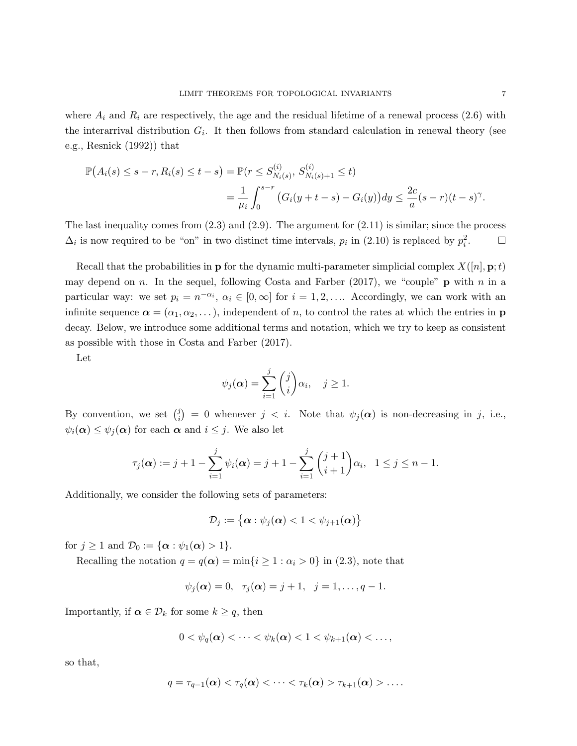where  $A_i$  and  $R_i$  are respectively, the age and the residual lifetime of a renewal process (2.6) with the interarrival distribution  $G_i$ . It then follows from standard calculation in renewal theory (see e.g., Resnick (1992)) that

$$
\mathbb{P}(A_i(s) \le s - r, R_i(s) \le t - s) = \mathbb{P}(r \le S_{N_i(s)}^{(i)}, S_{N_i(s)+1}^{(i)} \le t)
$$
  
= 
$$
\frac{1}{\mu_i} \int_0^{s-r} (G_i(y+t-s) - G_i(y)) dy \le \frac{2c}{a} (s-r)(t-s)^{\gamma}.
$$

The last inequality comes from  $(2.3)$  and  $(2.9)$ . The argument for  $(2.11)$  is similar; since the process  $\Delta_i$  is now required to be "on" in two distinct time intervals,  $p_i$  in (2.10) is replaced by  $p_i^2$  $\Box$ 

Recall that the probabilities in **p** for the dynamic multi-parameter simplicial complex  $X([n], \mathbf{p}; t)$ may depend on n. In the sequel, following Costa and Farber (2017), we "couple" **p** with n in a particular way: we set  $p_i = n^{-\alpha_i}, \alpha_i \in [0, \infty]$  for  $i = 1, 2, \ldots$ . Accordingly, we can work with an infinite sequence  $\boldsymbol{\alpha} = (\alpha_1, \alpha_2, \dots)$ , independent of n, to control the rates at which the entries in **p** decay. Below, we introduce some additional terms and notation, which we try to keep as consistent as possible with those in Costa and Farber (2017).

Let

$$
\psi_j(\boldsymbol{\alpha}) = \sum_{i=1}^j \binom{j}{i} \alpha_i, \quad j \ge 1.
$$

By convention, we set  $\binom{j}{i}$  $\hat{y}_i^j$  = 0 whenever  $j < i$ . Note that  $\psi_j(\alpha)$  is non-decreasing in j, i.e.,  $\psi_i(\boldsymbol{\alpha}) \leq \psi_j(\boldsymbol{\alpha})$  for each  $\boldsymbol{\alpha}$  and  $i \leq j$ . We also let

$$
\tau_j(\alpha) := j + 1 - \sum_{i=1}^j \psi_i(\alpha) = j + 1 - \sum_{i=1}^j \binom{j+1}{i+1} \alpha_i, \quad 1 \le j \le n - 1.
$$

Additionally, we consider the following sets of parameters:

$$
\mathcal{D}_j := \{ \boldsymbol{\alpha} : \psi_j(\boldsymbol{\alpha}) < 1 < \psi_{j+1}(\boldsymbol{\alpha}) \}
$$

for  $j \geq 1$  and  $\mathcal{D}_0 := {\alpha : \psi_1(\alpha) > 1}.$ 

Recalling the notation  $q = q(\boldsymbol{\alpha}) = \min\{i \geq 1 : \alpha_i > 0\}$  in (2.3), note that

$$
\psi_j(\alpha) = 0, \quad \tau_j(\alpha) = j + 1, \quad j = 1, \ldots, q - 1.
$$

Importantly, if  $\alpha \in \mathcal{D}_k$  for some  $k \geq q$ , then

$$
0<\psi_q(\boldsymbol{\alpha})<\cdots<\psi_k(\boldsymbol{\alpha})<1<\psi_{k+1}(\boldsymbol{\alpha})<\ldots,
$$

so that,

$$
q = \tau_{q-1}(\boldsymbol{\alpha}) < \tau_q(\boldsymbol{\alpha}) < \cdots < \tau_k(\boldsymbol{\alpha}) > \tau_{k+1}(\boldsymbol{\alpha}) > \ldots
$$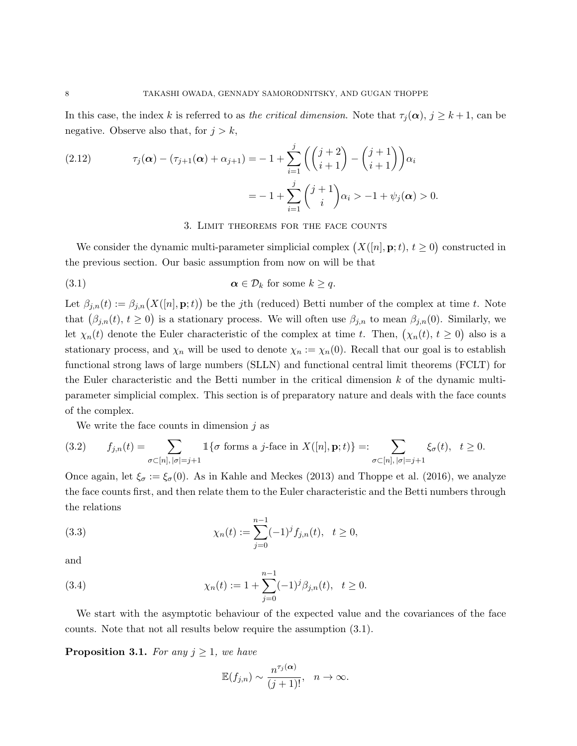In this case, the index k is referred to as the critical dimension. Note that  $\tau_i(\alpha)$ ,  $j \geq k+1$ , can be negative. Observe also that, for  $j > k$ ,

(2.12) 
$$
\tau_j(\alpha) - (\tau_{j+1}(\alpha) + \alpha_{j+1}) = -1 + \sum_{i=1}^j \left( \binom{j+2}{i+1} - \binom{j+1}{i+1} \right) \alpha_i
$$

$$
= -1 + \sum_{i=1}^j \binom{j+1}{i} \alpha_i > -1 + \psi_j(\alpha) > 0.
$$

#### 3. Limit theorems for the face counts

We consider the dynamic multi-parameter simplicial complex  $(X([n], \mathbf{p}; t), t \geq 0)$  constructed in the previous section. Our basic assumption from now on will be that

(3.1) 
$$
\alpha \in \mathcal{D}_k \text{ for some } k \geq q.
$$

Let  $\beta_{j,n}(t) := \beta_{j,n}(X([n], \mathbf{p}; t))$  be the jth (reduced) Betti number of the complex at time t. Note that  $(\beta_{j,n}(t), t \geq 0)$  is a stationary process. We will often use  $\beta_{j,n}$  to mean  $\beta_{j,n}(0)$ . Similarly, we let  $\chi_n(t)$  denote the Euler characteristic of the complex at time t. Then,  $(\chi_n(t), t \geq 0)$  also is a stationary process, and  $\chi_n$  will be used to denote  $\chi_n := \chi_n(0)$ . Recall that our goal is to establish functional strong laws of large numbers (SLLN) and functional central limit theorems (FCLT) for the Euler characteristic and the Betti number in the critical dimension  $k$  of the dynamic multiparameter simplicial complex. This section is of preparatory nature and deals with the face counts of the complex.

We write the face counts in dimension  $j$  as

$$
(3.2) \qquad f_{j,n}(t) = \sum_{\sigma \subset [n], |\sigma| = j+1} \mathbb{1}\{\sigma \text{ forms a } j\text{-face in } X([n], \mathbf{p}; t)\} =: \sum_{\sigma \subset [n], |\sigma| = j+1} \xi_{\sigma}(t), \quad t \geq 0.
$$

Once again, let  $\xi_{\sigma} := \xi_{\sigma}(0)$ . As in Kahle and Meckes (2013) and Thoppe et al. (2016), we analyze the face counts first, and then relate them to the Euler characteristic and the Betti numbers through the relations

(3.3) 
$$
\chi_n(t) := \sum_{j=0}^{n-1} (-1)^j f_{j,n}(t), \quad t \ge 0,
$$

and

(3.4) 
$$
\chi_n(t) := 1 + \sum_{j=0}^{n-1} (-1)^j \beta_{j,n}(t), \quad t \ge 0.
$$

We start with the asymptotic behaviour of the expected value and the covariances of the face counts. Note that not all results below require the assumption (3.1).

**Proposition 3.1.** For any  $j \geq 1$ , we have

$$
\mathbb{E}(f_{j,n}) \sim \frac{n^{\tau_j(\boldsymbol{\alpha})}}{(j+1)!}, \quad n \to \infty.
$$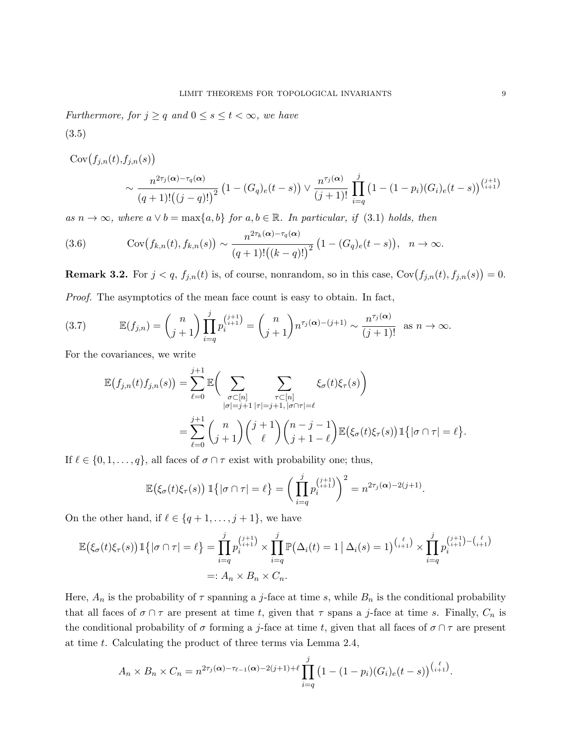Furthermore, for  $j \geq q$  and  $0 \leq s \leq t < \infty$ , we have

(3.5)

 $Cov(f_{j,n}(t),f_{j,n}(s))$ 

$$
\sim \frac{n^{2\tau_j(\alpha)-\tau_q(\alpha)}}{(q+1)!((j-q)!)^2} \left(1-(G_q)_e(t-s)\right) \vee \frac{n^{\tau_j(\alpha)}}{(j+1)!} \prod_{i=q}^j \left(1-(1-p_i)(G_i)_e(t-s)\right)^{\binom{j+1}{i+1}}
$$

as  $n \to \infty$ , where  $a \vee b = \max\{a, b\}$  for  $a, b \in \mathbb{R}$ . In particular, if (3.1) holds, then

(3.6) 
$$
\text{Cov}(f_{k,n}(t), f_{k,n}(s)) \sim \frac{n^{2\tau_k(\alpha) - \tau_q(\alpha)}}{(q+1)!((k-q)!)^2} (1 - (G_q)_e(t-s)), \quad n \to \infty.
$$

**Remark 3.2.** For  $j < q$ ,  $f_{j,n}(t)$  is, of course, nonrandom, so in this case,  $Cov(f_{j,n}(t), f_{j,n}(s)) = 0$ . Proof. The asymptotics of the mean face count is easy to obtain. In fact,

(3.7) 
$$
\mathbb{E}(f_{j,n}) = {n \choose j+1} \prod_{i=q}^{j} p_i^{(j+1)} = {n \choose j+1} n^{\tau_j(\alpha) - (j+1)} \sim \frac{n^{\tau_j(\alpha)}}{(j+1)!} \text{ as } n \to \infty.
$$

For the covariances, we write

$$
\mathbb{E}\left(f_{j,n}(t)f_{j,n}(s)\right) = \sum_{\ell=0}^{j+1} \mathbb{E}\left(\sum_{\substack{\sigma \subset [n] \\ |\sigma|=j+1}} \sum_{\substack{\tau \subset [n] \\ |\tau|=j+1, |\sigma \cap \tau| = \ell}} \xi_{\sigma}(t)\xi_{\tau}(s)\right)
$$

$$
= \sum_{\ell=0}^{j+1} {n \choose j+1} {j+1 \choose \ell} {n-j-1 \choose j+1-\ell} \mathbb{E}\left(\xi_{\sigma}(t)\xi_{\tau}(s)\right) \mathbb{1}\left\{|\sigma \cap \tau| = \ell\right\}.
$$

If  $\ell \in \{0, 1, \ldots, q\}$ , all faces of  $\sigma \cap \tau$  exist with probability one; thus,

$$
\mathbb{E}\big(\xi_{\sigma}(t)\xi_{\tau}(s)\big) \, \mathbb{1}\big\{|\sigma \cap \tau| = \ell\big\} = \bigg(\prod_{i=q}^{j} p_i^{\binom{j+1}{i+1}}\bigg)^2 = n^{2\tau_j(\alpha)-2(j+1)}.
$$

On the other hand, if  $\ell \in \{q + 1, \ldots, j + 1\}$ , we have

$$
\mathbb{E}\left(\xi_{\sigma}(t)\xi_{\tau}(s)\right)\mathbb{1}\left\{|\sigma\cap\tau|=\ell\right\} = \prod_{i=q}^{j} p_i^{(i+1)} \times \prod_{i=q}^{j} \mathbb{P}\left(\Delta_i(t)=1 \mid \Delta_i(s)=1\right)^{n \choose i+1} \times \prod_{i=q}^{j} p_i^{(i+1)-n \choose i+1} \n=:\ A_n \times B_n \times C_n.
$$

Here,  $A_n$  is the probability of  $\tau$  spanning a j-face at time s, while  $B_n$  is the conditional probability that all faces of  $\sigma \cap \tau$  are present at time t, given that  $\tau$  spans a j-face at time s. Finally,  $C_n$  is the conditional probability of  $\sigma$  forming a j-face at time t, given that all faces of  $\sigma \cap \tau$  are present at time t. Calculating the product of three terms via Lemma 2.4,

$$
A_n \times B_n \times C_n = n^{2\tau_j(\alpha) - \tau_{\ell-1}(\alpha) - 2(j+1) + \ell} \prod_{i=q}^j (1 - (1 - p_i)(G_i)_e(t - s))^{(\ell+1)}.
$$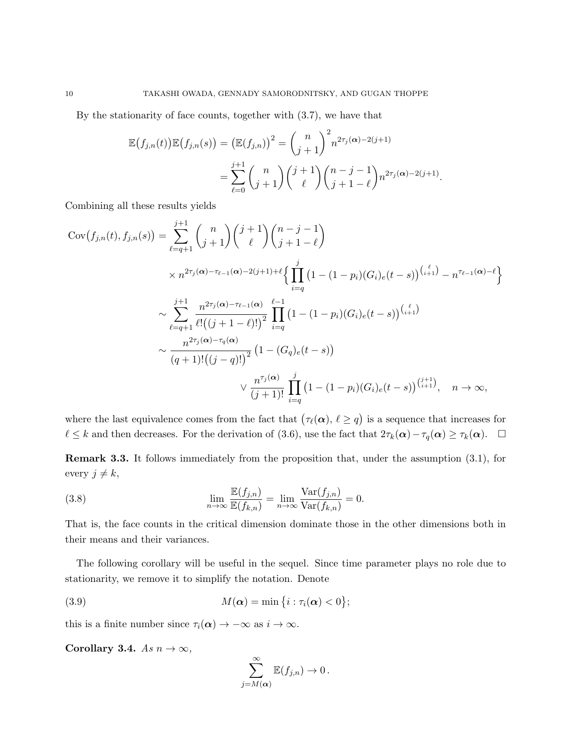By the stationarity of face counts, together with (3.7), we have that

$$
\mathbb{E}(f_{j,n}(t))\mathbb{E}(f_{j,n}(s)) = (\mathbb{E}(f_{j,n}))^{2} = {n \choose j+1}^{2} n^{2\tau_{j}(\alpha)-2(j+1)} \n= \sum_{\ell=0}^{j+1} {n \choose j+1} {j+1 \choose \ell} {n-j-1 \choose j+1-\ell} n^{2\tau_{j}(\alpha)-2(j+1)}.
$$

Combining all these results yields

$$
Cov(f_{j,n}(t), f_{j,n}(s)) = \sum_{\ell=q+1}^{j+1} {n \choose j+1} {j+1 \choose \ell} {n-j-1 \choose j+1-\ell}
$$
  
\n
$$
\times n^{2\tau_j(\alpha)-\tau_{\ell-1}(\alpha)-2(j+1)+\ell} \Big\{ \prod_{i=q}^{j} (1-(1-p_i)(G_i)_e(t-s))^{j+1} - n^{\tau_{\ell-1}(\alpha)-\ell} \Big\}
$$
  
\n
$$
\times \sum_{\ell=q+1}^{j+1} \frac{n^{2\tau_j(\alpha)-\tau_{\ell-1}(\alpha)}}{\ell!((j+1-\ell)!)^2} \prod_{i=q}^{\ell-1} (1-(1-p_i)(G_i)_e(t-s))^{j+1}
$$
  
\n
$$
\times \frac{n^{2\tau_j(\alpha)-\tau_q(\alpha)}}{(q+1)!(j-q)!^2} (1-(G_q)_e(t-s))
$$
  
\n
$$
\times \frac{n^{\tau_j(\alpha)}}{(j+1)!} \prod_{i=q}^{j} (1-(1-p_i)(G_i)_e(t-s))^{j+1 \choose i+1}, \quad n \to \infty,
$$

where the last equivalence comes from the fact that  $(\tau_{\ell}(\alpha), \ell \geq q)$  is a sequence that increases for  $\ell \leq k$  and then decreases. For the derivation of (3.6), use the fact that  $2\tau_k(\alpha)-\tau_q(\alpha) \geq \tau_k(\alpha)$ .  $\Box$ 

Remark 3.3. It follows immediately from the proposition that, under the assumption (3.1), for every  $j \neq k$ ,

(3.8) 
$$
\lim_{n \to \infty} \frac{\mathbb{E}(f_{j,n})}{\mathbb{E}(f_{k,n})} = \lim_{n \to \infty} \frac{\text{Var}(f_{j,n})}{\text{Var}(f_{k,n})} = 0.
$$

That is, the face counts in the critical dimension dominate those in the other dimensions both in their means and their variances.

The following corollary will be useful in the sequel. Since time parameter plays no role due to stationarity, we remove it to simplify the notation. Denote

(3.9) 
$$
M(\boldsymbol{\alpha}) = \min\left\{i : \tau_i(\boldsymbol{\alpha}) < 0\right\};
$$

this is a finite number since  $\tau_i(\alpha) \to -\infty$  as  $i \to \infty$ .

Corollary 3.4. As  $n \to \infty$ ,

$$
\sum_{j=M(\alpha)}^{\infty} \mathbb{E}(f_{j,n}) \to 0.
$$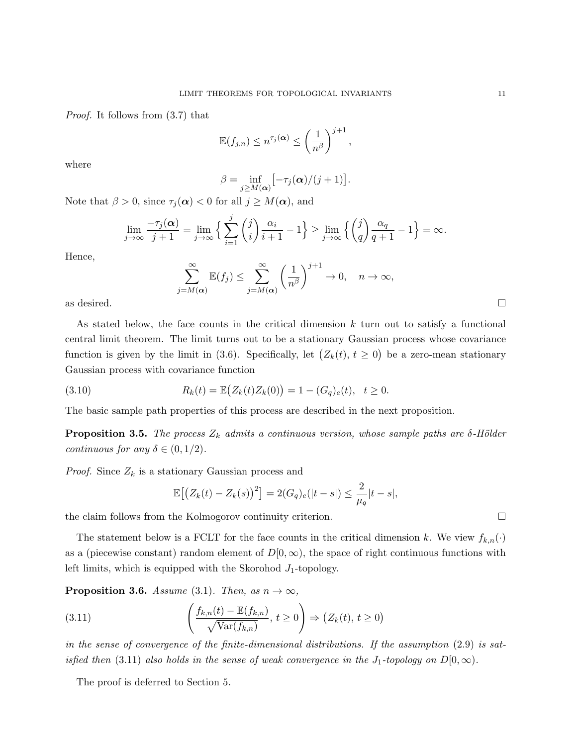Proof. It follows from (3.7) that

$$
\mathbb{E}(f_{j,n}) \leq n^{\tau_j(\boldsymbol{\alpha})} \leq \left(\frac{1}{n^{\beta}}\right)^{j+1},
$$

where

$$
\beta = \inf_{j \geq M(\boldsymbol{\alpha})} \bigl[ -\tau_j(\boldsymbol{\alpha})/(j+1) \bigr].
$$

Note that  $\beta > 0$ , since  $\tau_j(\alpha) < 0$  for all  $j \geq M(\alpha)$ , and

$$
\lim_{j \to \infty} \frac{-\tau_j(\alpha)}{j+1} = \lim_{j \to \infty} \left\{ \sum_{i=1}^j \binom{j}{i} \frac{\alpha_i}{i+1} - 1 \right\} \ge \lim_{j \to \infty} \left\{ \binom{j}{q} \frac{\alpha_q}{q+1} - 1 \right\} = \infty.
$$

Hence,

 $\sum^{\infty}$  $j=M(\alpha)$  $\mathbb{E}(f_j) \leq \sum_{i=1}^{\infty}$  $j=M(\alpha)$  $\begin{pmatrix} 1 \end{pmatrix}$  $n^{\beta}$  $\bigg\}^{j+1} \to 0, \quad n \to \infty,$ as desired.  $\square$ 

As stated below, the face counts in the critical dimension  $k$  turn out to satisfy a functional central limit theorem. The limit turns out to be a stationary Gaussian process whose covariance function is given by the limit in (3.6). Specifically, let  $(Z_k(t), t \ge 0)$  be a zero-mean stationary Gaussian process with covariance function

(3.10) 
$$
R_k(t) = \mathbb{E}\big(Z_k(t)Z_k(0)\big) = 1 - (G_q)_e(t), \quad t \ge 0.
$$

The basic sample path properties of this process are described in the next proposition.

**Proposition 3.5.** The process  $Z_k$  admits a continuous version, whose sample paths are  $\delta$ -Hölder continuous for any  $\delta \in (0, 1/2)$ .

*Proof.* Since  $Z_k$  is a stationary Gaussian process and

$$
\mathbb{E}\big[\big(Z_k(t) - Z_k(s)\big)^2\big] = 2(G_q)_e(|t-s|) \le \frac{2}{\mu_q}|t-s|,
$$

the claim follows from the Kolmogorov continuity criterion.

The statement below is a FCLT for the face counts in the critical dimension k. We view  $f_{k,n}(\cdot)$ as a (piecewise constant) random element of  $D[0,\infty)$ , the space of right continuous functions with left limits, which is equipped with the Skorohod  $J_1$ -topology.

**Proposition 3.6.** Assume (3.1). Then, as  $n \to \infty$ ,

(3.11) 
$$
\left(\frac{f_{k,n}(t) - \mathbb{E}(f_{k,n})}{\sqrt{\text{Var}(f_{k,n})}}, t \ge 0\right) \Rightarrow (Z_k(t), t \ge 0)
$$

in the sense of convergence of the finite-dimensional distributions. If the assumption (2.9) is satisfied then (3.11) also holds in the sense of weak convergence in the  $J_1$ -topology on  $D[0,\infty)$ .

The proof is deferred to Section 5.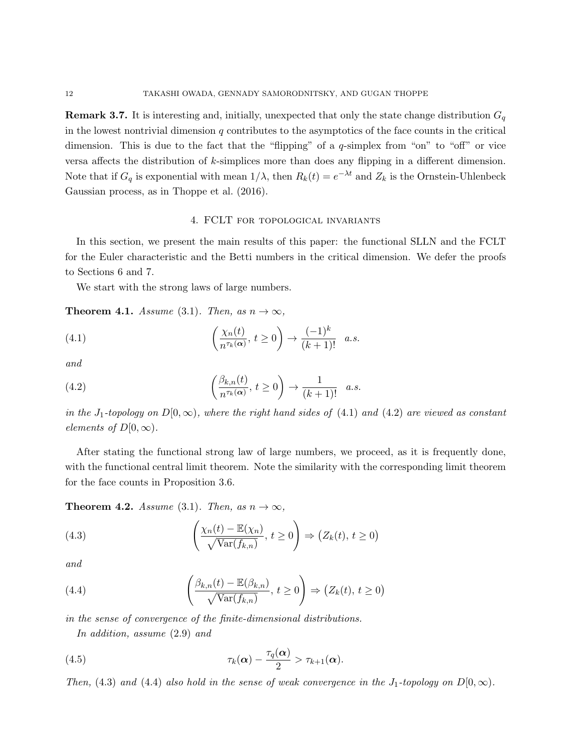**Remark 3.7.** It is interesting and, initially, unexpected that only the state change distribution  $G_q$ in the lowest nontrivial dimension  $q$  contributes to the asymptotics of the face counts in the critical dimension. This is due to the fact that the "flipping" of a q-simplex from "on" to "off" or vice versa affects the distribution of k-simplices more than does any flipping in a different dimension. Note that if  $G_q$  is exponential with mean  $1/\lambda$ , then  $R_k(t) = e^{-\lambda t}$  and  $Z_k$  is the Ornstein-Uhlenbeck Gaussian process, as in Thoppe et al. (2016).

### 4. FCLT for topological invariants

In this section, we present the main results of this paper: the functional SLLN and the FCLT for the Euler characteristic and the Betti numbers in the critical dimension. We defer the proofs to Sections 6 and 7.

We start with the strong laws of large numbers.

**Theorem 4.1.** Assume (3.1). Then, as  $n \to \infty$ ,

(4.1) 
$$
\left(\frac{\chi_n(t)}{n^{\tau_k(\alpha)}}, t \ge 0\right) \to \frac{(-1)^k}{(k+1)!} a.s.
$$

and

(4.2) 
$$
\left(\frac{\beta_{k,n}(t)}{n^{\tau_k(\alpha)}}, t \ge 0\right) \to \frac{1}{(k+1)!} a.s.
$$

in the J<sub>1</sub>-topology on  $D[0,\infty)$ , where the right hand sides of (4.1) and (4.2) are viewed as constant elements of  $D[0,\infty)$ .

After stating the functional strong law of large numbers, we proceed, as it is frequently done, with the functional central limit theorem. Note the similarity with the corresponding limit theorem for the face counts in Proposition 3.6.

**Theorem 4.2.** Assume (3.1). Then, as  $n \to \infty$ ,

(4.3) 
$$
\left(\frac{\chi_n(t) - \mathbb{E}(\chi_n)}{\sqrt{\text{Var}(f_{k,n})}}, t \ge 0\right) \Rightarrow \left(Z_k(t), t \ge 0\right)
$$

and

(4.4) 
$$
\left(\frac{\beta_{k,n}(t) - \mathbb{E}(\beta_{k,n})}{\sqrt{\text{Var}(f_{k,n})}}, t \ge 0\right) \Rightarrow \left(Z_k(t), t \ge 0\right)
$$

in the sense of convergence of the finite-dimensional distributions.

In addition, assume (2.9) and

(4.5) 
$$
\tau_k(\boldsymbol{\alpha}) - \frac{\tau_q(\boldsymbol{\alpha})}{2} > \tau_{k+1}(\boldsymbol{\alpha}).
$$

Then, (4.3) and (4.4) also hold in the sense of weak convergence in the  $J_1$ -topology on  $D[0,\infty)$ .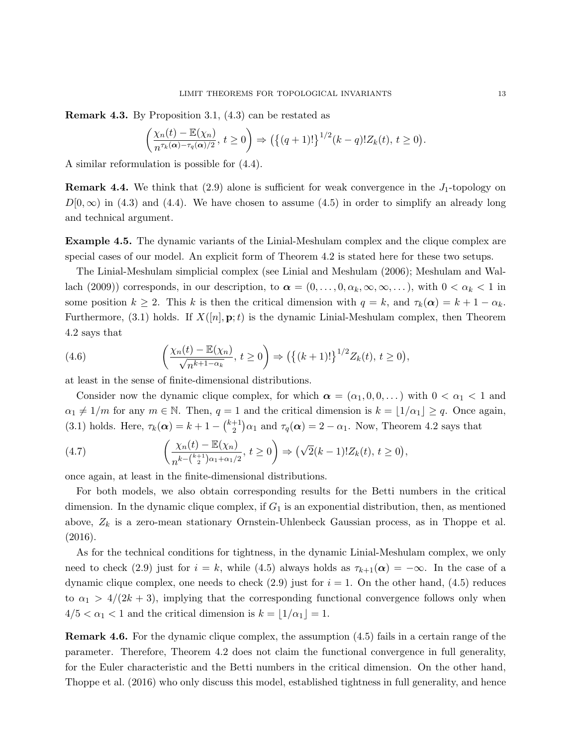Remark 4.3. By Proposition 3.1, (4.3) can be restated as

$$
\left(\frac{\chi_n(t)-\mathbb{E}(\chi_n)}{n^{\tau_k(\alpha)-\tau_q(\alpha)/2}},\,t\geq 0\right)\Rightarrow \left(\left\{(q+1)!\right\}^{1/2}(k-q)!Z_k(t),\,t\geq 0\right).
$$

A similar reformulation is possible for (4.4).

**Remark 4.4.** We think that  $(2.9)$  alone is sufficient for weak convergence in the  $J_1$ -topology on  $D[0,\infty)$  in (4.3) and (4.4). We have chosen to assume (4.5) in order to simplify an already long and technical argument.

Example 4.5. The dynamic variants of the Linial-Meshulam complex and the clique complex are special cases of our model. An explicit form of Theorem 4.2 is stated here for these two setups.

The Linial-Meshulam simplicial complex (see Linial and Meshulam (2006); Meshulam and Wallach (2009)) corresponds, in our description, to  $\alpha = (0, \ldots, 0, \alpha_k, \infty, \infty, \ldots)$ , with  $0 < \alpha_k < 1$  in some position  $k \geq 2$ . This k is then the critical dimension with  $q = k$ , and  $\tau_k(\alpha) = k + 1 - \alpha_k$ . Furthermore, (3.1) holds. If  $X([n], \mathbf{p}; t)$  is the dynamic Linial-Meshulam complex, then Theorem 4.2 says that

(4.6) 
$$
\left(\frac{\chi_n(t)-\mathbb{E}(\chi_n)}{\sqrt{n^{k+1-\alpha_k}}}, t\geq 0\right) \Rightarrow \left(\left\{(k+1)!\right\}^{1/2}Z_k(t), t\geq 0\right),
$$

at least in the sense of finite-dimensional distributions.

Consider now the dynamic clique complex, for which  $\alpha = (\alpha_1, 0, 0, \dots)$  with  $0 < \alpha_1 < 1$  and  $\alpha_1 \neq 1/m$  for any  $m \in \mathbb{N}$ . Then,  $q = 1$  and the critical dimension is  $k = |1/\alpha_1| \geq q$ . Once again, (3.1) holds. Here,  $\tau_k(\alpha) = k + 1 - {k+1 \choose 2}$  $(\tau_2^{+1})\alpha_1$  and  $\tau_q(\alpha) = 2 - \alpha_1$ . Now, Theorem 4.2 says that

(4.7) 
$$
\left(\frac{\chi_n(t) - \mathbb{E}(\chi_n)}{n^{k - \binom{k+1}{2}\alpha_1 + \alpha_1/2}}, t \ge 0\right) \Rightarrow \left(\sqrt{2}(k-1)!Z_k(t), t \ge 0\right),
$$

once again, at least in the finite-dimensional distributions.

For both models, we also obtain corresponding results for the Betti numbers in the critical dimension. In the dynamic clique complex, if  $G_1$  is an exponential distribution, then, as mentioned above,  $Z_k$  is a zero-mean stationary Ornstein-Uhlenbeck Gaussian process, as in Thoppe et al. (2016).

As for the technical conditions for tightness, in the dynamic Linial-Meshulam complex, we only need to check (2.9) just for  $i = k$ , while (4.5) always holds as  $\tau_{k+1}(\alpha) = -\infty$ . In the case of a dynamic clique complex, one needs to check  $(2.9)$  just for  $i = 1$ . On the other hand,  $(4.5)$  reduces to  $\alpha_1 > 4/(2k+3)$ , implying that the corresponding functional convergence follows only when  $4/5 < \alpha_1 < 1$  and the critical dimension is  $k = \lfloor 1/\alpha_1 \rfloor = 1$ .

Remark 4.6. For the dynamic clique complex, the assumption (4.5) fails in a certain range of the parameter. Therefore, Theorem 4.2 does not claim the functional convergence in full generality, for the Euler characteristic and the Betti numbers in the critical dimension. On the other hand, Thoppe et al. (2016) who only discuss this model, established tightness in full generality, and hence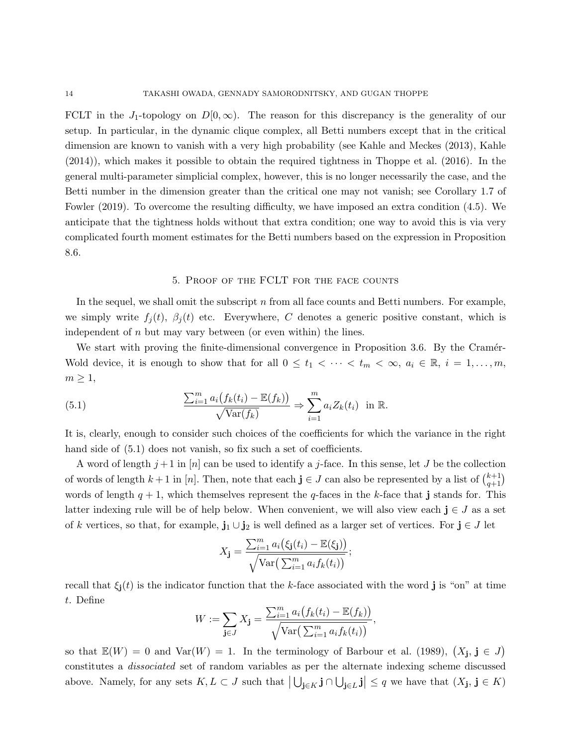FCLT in the J<sub>1</sub>-topology on  $D[0,\infty)$ . The reason for this discrepancy is the generality of our setup. In particular, in the dynamic clique complex, all Betti numbers except that in the critical dimension are known to vanish with a very high probability (see Kahle and Meckes (2013), Kahle (2014)), which makes it possible to obtain the required tightness in Thoppe et al. (2016). In the general multi-parameter simplicial complex, however, this is no longer necessarily the case, and the Betti number in the dimension greater than the critical one may not vanish; see Corollary 1.7 of Fowler (2019). To overcome the resulting difficulty, we have imposed an extra condition (4.5). We anticipate that the tightness holds without that extra condition; one way to avoid this is via very complicated fourth moment estimates for the Betti numbers based on the expression in Proposition 8.6.

#### 5. Proof of the FCLT for the face counts

In the sequel, we shall omit the subscript  $n$  from all face counts and Betti numbers. For example, we simply write  $f_j(t)$ ,  $\beta_j(t)$  etc. Everywhere, C denotes a generic positive constant, which is independent of  $n$  but may vary between (or even within) the lines.

We start with proving the finite-dimensional convergence in Proposition 3.6. By the Cramér-Wold device, it is enough to show that for all  $0 \leq t_1 < \cdots < t_m < \infty$ ,  $a_i \in \mathbb{R}$ ,  $i = 1, \ldots, m$ ,  $m \geq 1$ ,

(5.1) 
$$
\frac{\sum_{i=1}^{m} a_i (f_k(t_i) - \mathbb{E}(f_k))}{\sqrt{\text{Var}(f_k)}} \Rightarrow \sum_{i=1}^{m} a_i Z_k(t_i) \text{ in } \mathbb{R}.
$$

It is, clearly, enough to consider such choices of the coefficients for which the variance in the right hand side of  $(5.1)$  does not vanish, so fix such a set of coefficients.

A word of length  $j+1$  in [n] can be used to identify a j-face. In this sense, let J be the collection of words of length  $k+1$  in [n]. Then, note that each  $\mathbf{j} \in J$  can also be represented by a list of  $\binom{k+1}{q+1}$ words of length  $q+1$ , which themselves represent the q-faces in the k-face that j stands for. This latter indexing rule will be of help below. When convenient, we will also view each  $j \in J$  as a set of k vertices, so that, for example,  $\mathbf{j}_1 \cup \mathbf{j}_2$  is well defined as a larger set of vertices. For  $\mathbf{j} \in J$  let

$$
X_{\mathbf{j}} = \frac{\sum_{i=1}^{m} a_i (\xi_{\mathbf{j}}(t_i) - \mathbb{E}(\xi_{\mathbf{j}}))}{\sqrt{\text{Var}\big(\sum_{i=1}^{m} a_i f_k(t_i)\big) }};
$$

recall that  $\xi_{i}(t)$  is the indicator function that the k-face associated with the word j is "on" at time t. Define

$$
W := \sum_{\mathbf{j} \in J} X_{\mathbf{j}} = \frac{\sum_{i=1}^{m} a_i (f_k(t_i) - \mathbb{E}(f_k))}{\sqrt{\text{Var}(\sum_{i=1}^{m} a_i f_k(t_i))}},
$$

so that  $\mathbb{E}(W) = 0$  and  $\text{Var}(W) = 1$ . In the terminology of Barbour et al. (1989),  $(X_j, j \in J)$ constitutes a dissociated set of random variables as per the alternate indexing scheme discussed above. Namely, for any sets  $K, L \subset J$  such that  $\left| \bigcup_{\mathbf{j}\in K} \mathbf{j} \cap \bigcup_{\mathbf{j}\in L} \mathbf{j} \right| \leq q$  we have that  $(X_{\mathbf{j}}, \mathbf{j} \in K)$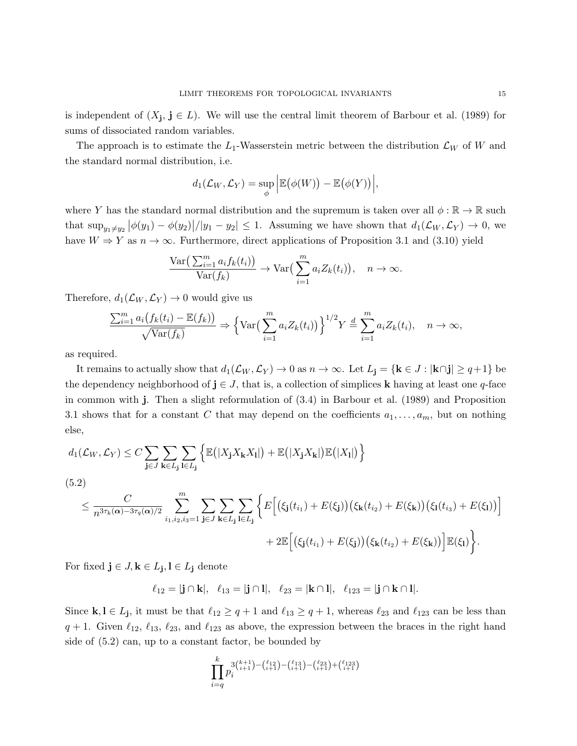is independent of  $(X_j, j \in L)$ . We will use the central limit theorem of Barbour et al. (1989) for sums of dissociated random variables.

The approach is to estimate the  $L_1$ -Wasserstein metric between the distribution  $\mathcal{L}_W$  of W and the standard normal distribution, i.e.

$$
d_1(\mathcal{L}_W, \mathcal{L}_Y) = \sup_{\phi} \Big| \mathbb{E} (\phi(W)) - \mathbb{E} (\phi(Y)) \Big|,
$$

where Y has the standard normal distribution and the supremum is taken over all  $\phi : \mathbb{R} \to \mathbb{R}$  such that  $\sup_{y_1\neq y_2} |\phi(y_1) - \phi(y_2)|/|y_1 - y_2| \leq 1$ . Assuming we have shown that  $d_1(\mathcal{L}_W, \mathcal{L}_Y) \to 0$ , we have  $W \Rightarrow Y$  as  $n \to \infty$ . Furthermore, direct applications of Proposition 3.1 and (3.10) yield

$$
\frac{\text{Var}\left(\sum_{i=1}^{m} a_i f_k(t_i)\right)}{\text{Var}(f_k)} \to \text{Var}\left(\sum_{i=1}^{m} a_i Z_k(t_i)\right), \quad n \to \infty.
$$

Therefore,  $d_1(\mathcal{L}_W, \mathcal{L}_Y) \rightarrow 0$  would give us

$$
\frac{\sum_{i=1}^{m} a_i (f_k(t_i) - \mathbb{E}(f_k))}{\sqrt{\text{Var}(f_k)}} \Rightarrow \left\{ \text{Var}\left(\sum_{i=1}^{m} a_i Z_k(t_i)\right) \right\}^{1/2} Y \stackrel{d}{=} \sum_{i=1}^{m} a_i Z_k(t_i), \quad n \to \infty,
$$

as required.

It remains to actually show that  $d_1(\mathcal{L}_W, \mathcal{L}_Y) \to 0$  as  $n \to \infty$ . Let  $L_j = {\bf k} \in J : |{\bf k} \cap {\bf j}| \ge q+1$  be the dependency neighborhood of  $j \in J$ , that is, a collection of simplices k having at least one q-face in common with j. Then a slight reformulation of (3.4) in Barbour et al. (1989) and Proposition 3.1 shows that for a constant C that may depend on the coefficients  $a_1, \ldots, a_m$ , but on nothing else,

$$
d_1(\mathcal{L}_W, \mathcal{L}_Y) \leq C \sum_{\mathbf{j} \in J} \sum_{\mathbf{k} \in L_{\mathbf{j}}} \sum_{\mathbf{l} \in L_{\mathbf{j}}} \left\{ \mathbb{E}(|X_{\mathbf{j}} X_{\mathbf{k}} X_{\mathbf{l}}|) + \mathbb{E}(|X_{\mathbf{j}} X_{\mathbf{k}}|) \mathbb{E}(|X_{\mathbf{l}}|) \right\}
$$
  
(5.2)  

$$
\leq \frac{C}{n^{3\tau_k(\alpha) - 3\tau_q(\alpha)/2}} \sum_{i_1, i_2, i_3 = 1}^{m} \sum_{\mathbf{j} \in J} \sum_{\mathbf{k} \in L_{\mathbf{j}}} \sum_{\mathbf{l} \in L_{\mathbf{j}}} \sum_{\mathbf{l} \in L_{\mathbf{j}}} \left\{ E\Big[ \big(\xi_{\mathbf{j}}(t_{i_1}) + E(\xi_{\mathbf{j}})\big) \big(\xi_{\mathbf{k}}(t_{i_2}) + E(\xi_{\mathbf{k}})\big) \big(\xi_{\mathbf{l}}(t_{i_3}) + E(\xi_{\mathbf{l}})\big) \Big] + 2 \mathbb{E}\Big[ \big(\xi_{\mathbf{j}}(t_{i_1}) + E(\xi_{\mathbf{j}})\big) \big(\xi_{\mathbf{k}}(t_{i_2}) + E(\xi_{\mathbf{k}})\big) \Big] \mathbb{E}(\xi_{\mathbf{l}}) \Big\}.
$$

For fixed  $\mathbf{j} \in J$ ,  $\mathbf{k} \in L_{\mathbf{j}}$ ,  $\mathbf{l} \in L_{\mathbf{j}}$  denote

$$
\ell_{12} = |{\bf j} \cap {\bf k}|, \quad \ell_{13} = |{\bf j} \cap {\bf l}|, \quad \ell_{23} = |{\bf k} \cap {\bf l}|, \quad \ell_{123} = |{\bf j} \cap {\bf k} \cap {\bf l}|.
$$

Since  $k, l \in L_j$ , it must be that  $\ell_{12} \ge q+1$  and  $\ell_{13} \ge q+1$ , whereas  $\ell_{23}$  and  $\ell_{123}$  can be less than  $q + 1$ . Given  $\ell_{12}, \ell_{13}, \ell_{23}$ , and  $\ell_{123}$  as above, the expression between the braces in the right hand side of (5.2) can, up to a constant factor, be bounded by

$$
\prod_{i=q}^k p_i^{3\binom{k+1}{i+1} - \binom{\ell_{12}}{i+1} - \binom{\ell_{13}}{i+1} - \binom{\ell_{23}}{i+1} + \binom{\ell_{123}}{i+1}}
$$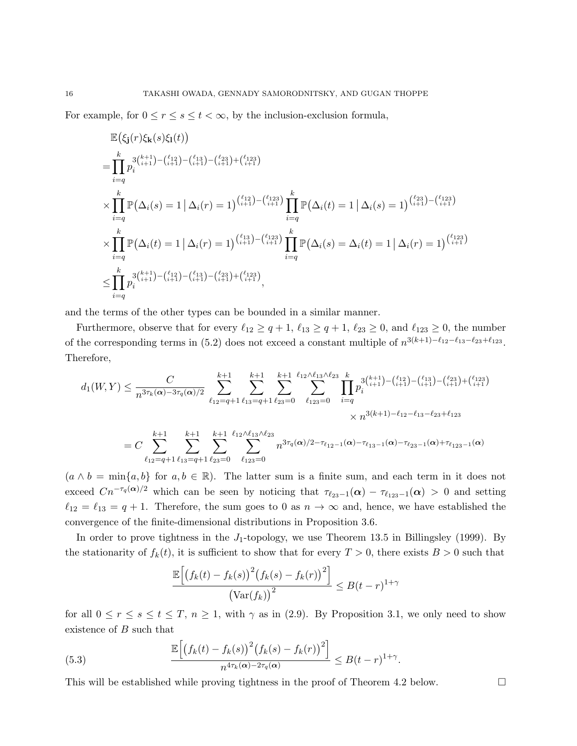For example, for  $0 \le r \le s \le t < \infty$ , by the inclusion-exclusion formula,

$$
\mathbb{E}(\xi_{\mathbf{j}}(r)\xi_{\mathbf{k}}(s)\xi_{\mathbf{l}}(t))
$$
\n
$$
= \prod_{i=q}^{k} p_{i}^{3\binom{k+1}{i+1} - \binom{\ell_{12}}{i+1} - \binom{\ell_{23}}{i+1} - \binom{\ell_{23}}{i+1} - \binom{\ell_{123}}{i+1}}
$$
\n
$$
\times \prod_{i=q}^{k} \mathbb{P}(\Delta_{i}(s) = 1 | \Delta_{i}(r) = 1)^{\binom{\ell_{12}}{i+1} - \binom{\ell_{123}}{i+1}} \prod_{i=q}^{k} \mathbb{P}(\Delta_{i}(t) = 1 | \Delta_{i}(s) = 1)^{\binom{\ell_{23}}{i+1} - \binom{\ell_{123}}{i+1}}
$$
\n
$$
\times \prod_{i=q}^{k} \mathbb{P}(\Delta_{i}(t) = 1 | \Delta_{i}(r) = 1)^{\binom{\ell_{13}}{i+1} - \binom{\ell_{123}}{i+1}} \prod_{i=q}^{k} \mathbb{P}(\Delta_{i}(s) = \Delta_{i}(t) = 1 | \Delta_{i}(r) = 1)^{\binom{\ell_{123}}{i+1}}
$$
\n
$$
\leq \prod_{i=q}^{k} p_{i}^{3\binom{k+1}{i+1} - \binom{\ell_{13}}{i+1} - \binom{\ell_{13}}{i+1} - \binom{\ell_{13}}{i+1} - \binom{\ell_{13}}{i+1} - \binom{\ell_{13}}{i+1} - \binom{\ell_{13}}{i+1} - \binom{\ell_{13}}{i+1}
$$

and the terms of the other types can be bounded in a similar manner.

Furthermore, observe that for every  $\ell_{12} \ge q + 1$ ,  $\ell_{13} \ge q + 1$ ,  $\ell_{23} \ge 0$ , and  $\ell_{123} \ge 0$ , the number of the corresponding terms in (5.2) does not exceed a constant multiple of  $n^{3(k+1)-\ell_{12}-\ell_{13}-\ell_{23}+\ell_{123}}$ . Therefore,

$$
d_1(W,Y) \leq \frac{C}{n^{3\tau_k(\alpha)-3\tau_q(\alpha)/2}} \sum_{\ell_{12}=q+1}^{k+1} \sum_{\ell_{13}=q+1}^{k+1} \sum_{\ell_{23}=0}^{k+1} \sum_{\ell_{123}=0}^{k+1} \sum_{\ell_{123}=0}^{k+1} \sum_{i=q}^{2} \sum_{i=q}^{k+1} p_i^{3\binom{k+1}{i+1} - \binom{\ell_{12}}{i+1} - \binom{\ell_{13}}{i+1} - \binom{\ell_{23}}{i+1} + \binom{\ell_{123}}{i+1}}{\times n^{3(k+1)-\ell_{12}-\ell_{13}-\ell_{23}+\ell_{123}}}
$$
  

$$
= C \sum_{\ell_{12}=q+1}^{k+1} \sum_{\ell_{13}=q+1}^{k+1} \sum_{\ell_{23}=0}^{k+1} \sum_{\ell_{123}=0}^{k+1} \sum_{\ell_{123}=0}^{k+1} n^{3\tau_q(\alpha)/2-\tau_{\ell_{12}-1}(\alpha)-\tau_{\ell_{13}-1}(\alpha)-\tau_{\ell_{23}-1}(\alpha)+\tau_{\ell_{123}-1}(\alpha)}
$$

 $(a \wedge b = \min\{a, b\}$  for  $a, b \in \mathbb{R}$ ). The latter sum is a finite sum, and each term in it does not exceed  $Cn^{-\tau_q(\alpha)/2}$  which can be seen by noticing that  $\tau_{\ell_{23}-1}(\alpha) - \tau_{\ell_{123}-1}(\alpha) > 0$  and setting  $\ell_{12} = \ell_{13} = q + 1$ . Therefore, the sum goes to 0 as  $n \to \infty$  and, hence, we have established the convergence of the finite-dimensional distributions in Proposition 3.6.

In order to prove tightness in the  $J_1$ -topology, we use Theorem 13.5 in Billingsley (1999). By the stationarity of  $f_k(t)$ , it is sufficient to show that for every  $T > 0$ , there exists  $B > 0$  such that

$$
\frac{\mathbb{E}\left[\left(f_k(t) - f_k(s)\right)^2 \left(f_k(s) - f_k(r)\right)^2\right]}{\left(\text{Var}(f_k)\right)^2} \le B(t-r)^{1+\gamma}
$$

for all  $0 \le r \le s \le t \le T$ ,  $n \ge 1$ , with  $\gamma$  as in (2.9). By Proposition 3.1, we only need to show existence of B such that

(5.3) 
$$
\frac{\mathbb{E}\Big[\big(f_k(t) - f_k(s)\big)^2 \big(f_k(s) - f_k(r)\big)^2\Big]}{n^{4\tau_k(\alpha) - 2\tau_q(\alpha)}} \leq B(t-r)^{1+\gamma}.
$$

This will be established while proving tightness in the proof of Theorem 4.2 below.  $\Box$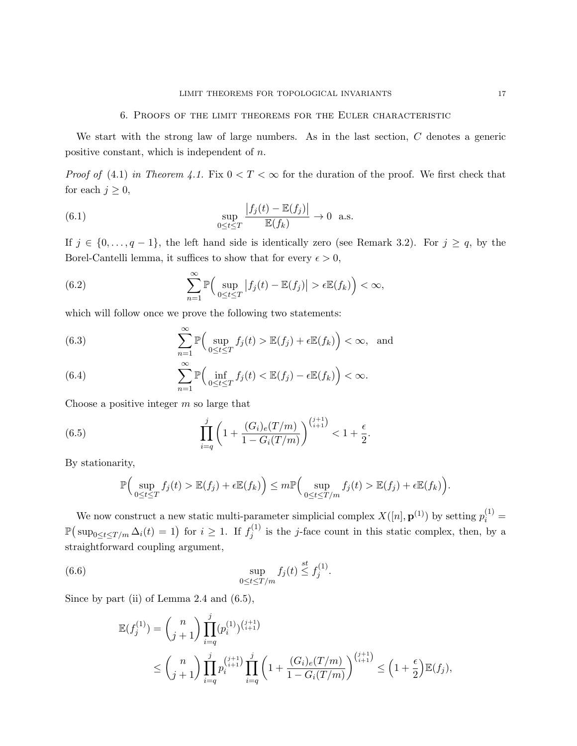#### 6. Proofs of the limit theorems for the Euler characteristic

We start with the strong law of large numbers. As in the last section, C denotes a generic positive constant, which is independent of n.

*Proof of* (4.1) in Theorem 4.1. Fix  $0 < T < \infty$  for the duration of the proof. We first check that for each  $j \geq 0$ ,

(6.1) 
$$
\sup_{0 \le t \le T} \frac{|f_j(t) - \mathbb{E}(f_j)|}{\mathbb{E}(f_k)} \to 0 \text{ a.s.}
$$

If  $j \in \{0, \ldots, q-1\}$ , the left hand side is identically zero (see Remark 3.2). For  $j \ge q$ , by the Borel-Cantelli lemma, it suffices to show that for every  $\epsilon > 0$ ,

(6.2) 
$$
\sum_{n=1}^{\infty} \mathbb{P}\Big(\sup_{0\leq t\leq T} |f_j(t)-\mathbb{E}(f_j)| > \epsilon \mathbb{E}(f_k)\Big) < \infty,
$$

which will follow once we prove the following two statements:

(6.3) 
$$
\sum_{n=1}^{\infty} \mathbb{P}\Big(\sup_{0\leq t\leq T} f_j(t) > \mathbb{E}(f_j) + \epsilon \mathbb{E}(f_k)\Big) < \infty, \text{ and}
$$

(6.4) 
$$
\sum_{n=1}^{\infty} \mathbb{P}\Big(\inf_{0\leq t\leq T} f_j(t) < \mathbb{E}(f_j) - \epsilon \mathbb{E}(f_k)\Big) < \infty.
$$

Choose a positive integer  $m$  so large that

(6.5) 
$$
\prod_{i=q}^{j} \left(1 + \frac{(G_i)_e(T/m)}{1 - G_i(T/m)}\right)^{\binom{j+1}{i+1}} < 1 + \frac{\epsilon}{2}.
$$

By stationarity,

$$
\mathbb{P}\Big(\sup_{0\leq t\leq T}f_j(t) > \mathbb{E}(f_j)+\epsilon \mathbb{E}(f_k)\Big)\leq m \mathbb{P}\Big(\sup_{0\leq t\leq T/m}f_j(t) > \mathbb{E}(f_j)+\epsilon \mathbb{E}(f_k)\Big).
$$

We now construct a new static multi-parameter simplicial complex  $X([n], \mathbf{p}^{(1)})$  by setting  $p_i^{(1)} =$  $\mathbb{P}(\sup_{0\leq t\leq T/m}\Delta_i(t)=1)$  for  $i\geq 1$ . If  $f_j^{(1)}$  $j_j^{(1)}$  is the *j*-face count in this static complex, then, by a straightforward coupling argument,

(6.6) 
$$
\sup_{0 \le t \le T/m} f_j(t) \stackrel{st}{\le} f_j^{(1)}.
$$

Since by part (ii) of Lemma 2.4 and  $(6.5)$ ,

$$
\mathbb{E}(f_j^{(1)}) = {n \choose j+1} \prod_{i=q}^j (p_i^{(1)})^{{j+1 \choose i+1}} \n\le {n \choose j+1} \prod_{i=q}^j p_i^{{j+1 \choose i+1}} \prod_{i=q}^j \left(1 + \frac{(G_i)_e(T/m)}{1 - G_i(T/m)}\right)^{{j+1 \choose i+1}} \le \left(1 + \frac{\epsilon}{2}\right) \mathbb{E}(f_j),
$$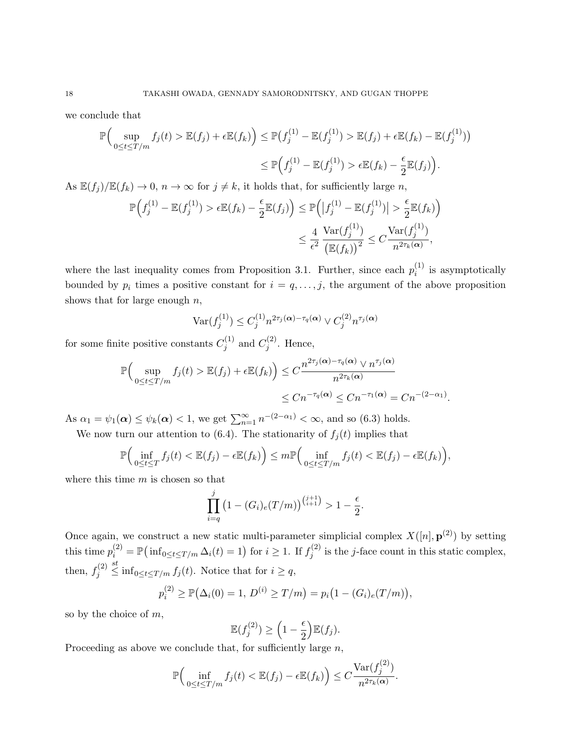we conclude that

$$
\mathbb{P}\Big(\sup_{0\leq t\leq T/m}f_j(t) > \mathbb{E}(f_j) + \epsilon \mathbb{E}(f_k)\Big) \leq \mathbb{P}\big(f_j^{(1)} - \mathbb{E}(f_j^{(1)}) > \mathbb{E}(f_j) + \epsilon \mathbb{E}(f_k) - \mathbb{E}(f_j^{(1)})\big) \leq \mathbb{P}\Big(f_j^{(1)} - \mathbb{E}(f_j^{(1)}) > \epsilon \mathbb{E}(f_k) - \frac{\epsilon}{2}\mathbb{E}(f_j)\Big).
$$

As  $\mathbb{E}(f_i)/\mathbb{E}(f_k) \to 0$ ,  $n \to \infty$  for  $j \neq k$ , it holds that, for sufficiently large n,

$$
\mathbb{P}\Big(f_j^{(1)} - \mathbb{E}(f_j^{(1)}) > \epsilon \mathbb{E}(f_k) - \frac{\epsilon}{2} \mathbb{E}(f_j)\Big) \le \mathbb{P}\Big(\big|f_j^{(1)} - \mathbb{E}(f_j^{(1)})\big| > \frac{\epsilon}{2} \mathbb{E}(f_k)\Big) \\
\le \frac{4}{\epsilon^2} \frac{\text{Var}(f_j^{(1)})}{\big(\mathbb{E}(f_k)\big)^2} \le C \frac{\text{Var}(f_j^{(1)})}{n^{2\tau_k(\alpha)}},
$$

where the last inequality comes from Proposition 3.1. Further, since each  $p_i^{(1)}$  $i^{(1)}$  is asymptotically bounded by  $p_i$  times a positive constant for  $i = q, \ldots, j$ , the argument of the above proposition shows that for large enough  $n$ ,

$$
\text{Var}(f_j^{(1)}) \le C_j^{(1)} n^{2\tau_j(\boldsymbol{\alpha}) - \tau_q(\boldsymbol{\alpha})} \vee C_j^{(2)} n^{\tau_j(\boldsymbol{\alpha})}
$$

for some finite positive constants  $C_i^{(1)}$  $j^{(1)}$  and  $C_j^{(2)}$  $j^{(2)}$ . Hence,

$$
\mathbb{P}\Big(\sup_{0\leq t\leq T/m}f_j(t) > \mathbb{E}(f_j) + \epsilon \mathbb{E}(f_k)\Big) \leq C \frac{n^{2\tau_j(\alpha)-\tau_q(\alpha)} \vee n^{\tau_j(\alpha)}}{n^{2\tau_k(\alpha)}} \leq C n^{-\tau_q(\alpha)} \leq C n^{-\tau_1(\alpha)} = C n^{-(2-\alpha_1)}.
$$

As  $\alpha_1 = \psi_1(\boldsymbol{\alpha}) \leq \psi_k(\boldsymbol{\alpha}) < 1$ , we get  $\sum_{n=1}^{\infty} n^{-(2-\alpha_1)} < \infty$ , and so (6.3) holds.

We now turn our attention to (6.4). The stationarity of  $f_j(t)$  implies that

$$
\mathbb{P}\Big(\inf_{0\leq t\leq T}f_j(t)<\mathbb{E}(f_j)-\epsilon\mathbb{E}(f_k)\Big)\leq m\mathbb{P}\Big(\inf_{0\leq t\leq T/m}f_j(t)<\mathbb{E}(f_j)-\epsilon\mathbb{E}(f_k)\Big),
$$

where this time  $m$  is chosen so that

$$
\prod_{i=q}^{j} (1 - (G_i)_e(T/m))^{(j+1)} > 1 - \frac{\epsilon}{2}.
$$

Once again, we construct a new static multi-parameter simplicial complex  $X([n], \mathbf{p}^{(2)})$  by setting this time  $p_i^{(2)} = \mathbb{P}(\inf_{0 \le t \le T/m} \Delta_i(t) = 1)$  for  $i \ge 1$ . If  $f_j^{(2)}$  $j_j^{(2)}$  is the *j*-face count in this static complex, then,  $f_i^{(2)}$ j st inf<sub>0≤t≤T/m</sub>  $f_j(t)$ . Notice that for  $i ≥ q$ ,

$$
p_i^{(2)} \ge \mathbb{P}(\Delta_i(0) = 1, D^{(i)} \ge T/m) = p_i(1 - (G_i)_e(T/m)),
$$

so by the choice of m,

$$
\mathbb{E}(f_j^{(2)}) \ge \left(1 - \frac{\epsilon}{2}\right) \mathbb{E}(f_j).
$$

Proceeding as above we conclude that, for sufficiently large  $n$ ,

$$
\mathbb{P}\Big(\inf_{0\leq t\leq T/m}f_j(t)<\mathbb{E}(f_j)-\epsilon\mathbb{E}(f_k)\Big)\leq C\frac{\text{Var}(f_j^{(2)})}{n^{2\tau_k(\alpha)}}.
$$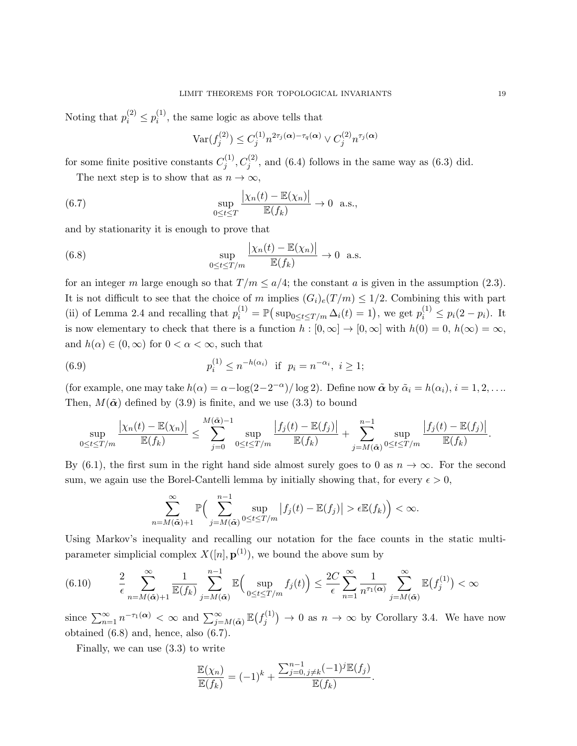Noting that  $p_i^{(2)} \leq p_i^{(1)}$  $i^{(1)}$ , the same logic as above tells that

$$
\text{Var}(f_j^{(2)}) \le C_j^{(1)} n^{2\tau_j(\boldsymbol{\alpha}) - \tau_q(\boldsymbol{\alpha})} \vee C_j^{(2)} n^{\tau_j(\boldsymbol{\alpha})}
$$

for some finite positive constants  $C_i^{(1)}$  $j_j^{(1)}, C_j^{(2)}$ , and (6.4) follows in the same way as (6.3) did.

The next step is to show that as  $n \to \infty$ ,

(6.7) 
$$
\sup_{0 \le t \le T} \frac{|\chi_n(t) - \mathbb{E}(\chi_n)|}{\mathbb{E}(f_k)} \to 0 \text{ a.s.},
$$

and by stationarity it is enough to prove that

(6.8) 
$$
\sup_{0 \le t \le T/m} \frac{|\chi_n(t) - \mathbb{E}(\chi_n)|}{\mathbb{E}(f_k)} \to 0 \text{ a.s.}
$$

for an integer m large enough so that  $T/m \leq a/4$ ; the constant a is given in the assumption (2.3). It is not difficult to see that the choice of m implies  $(G_i)_e(T/m) \leq 1/2$ . Combining this with part (ii) of Lemma 2.4 and recalling that  $p_i^{(1)} = \mathbb{P}(\sup_{0 \le t \le T/m} \Delta_i(t) = 1)$ , we get  $p_i^{(1)} \le p_i(2 - p_i)$ . It is now elementary to check that there is a function  $h : [0, \infty] \to [0, \infty]$  with  $h(0) = 0, h(\infty) = \infty$ , and  $h(\alpha) \in (0,\infty)$  for  $0 < \alpha < \infty$ , such that

(6.9) 
$$
p_i^{(1)} \le n^{-h(\alpha_i)}
$$
 if  $p_i = n^{-\alpha_i}$ ,  $i \ge 1$ ;

(for example, one may take  $h(\alpha) = \alpha - \log(2 - 2^{-\alpha})/\log 2$ ). Define now  $\tilde{\alpha}$  by  $\tilde{\alpha}_i = h(\alpha_i), i = 1, 2, \ldots$ Then,  $M(\tilde{\boldsymbol{\alpha}})$  defined by (3.9) is finite, and we use (3.3) to bound

$$
\sup_{0\leq t\leq T/m}\frac{|\chi_n(t)-\mathbb{E}(\chi_n)|}{\mathbb{E}(f_k)}\leq \sum_{j=0}^{M(\tilde{\boldsymbol{\alpha}})-1}\sup_{0\leq t\leq T/m}\frac{|f_j(t)-\mathbb{E}(f_j)|}{\mathbb{E}(f_k)}+\sum_{j=M(\tilde{\boldsymbol{\alpha}})}^{n-1}\sup_{0\leq t\leq T/m}\frac{|f_j(t)-\mathbb{E}(f_j)|}{\mathbb{E}(f_k)}.
$$

By (6.1), the first sum in the right hand side almost surely goes to 0 as  $n \to \infty$ . For the second sum, we again use the Borel-Cantelli lemma by initially showing that, for every  $\epsilon > 0$ ,

$$
\sum_{n=M(\tilde{\boldsymbol{\alpha}})+1}^{\infty} \mathbb{P}\Big(\sum_{j=M(\tilde{\boldsymbol{\alpha}})}^{n-1} \sup_{0\leq t\leq T/m} |f_j(t)-\mathbb{E}(f_j)| > \epsilon \mathbb{E}(f_k)\Big) < \infty.
$$

Using Markov's inequality and recalling our notation for the face counts in the static multiparameter simplicial complex  $X([n], \mathbf{p}^{(1)})$ , we bound the above sum by

$$
(6.10) \qquad \frac{2}{\epsilon} \sum_{n=M(\tilde{\boldsymbol{\alpha}})+1}^{\infty} \frac{1}{\mathbb{E}(f_k)} \sum_{j=M(\tilde{\boldsymbol{\alpha}})}^{n-1} \mathbb{E}\Big(\sup_{0 \le t \le T/m} f_j(t)\Big) \le \frac{2C}{\epsilon} \sum_{n=1}^{\infty} \frac{1}{n^{\tau_1(\boldsymbol{\alpha})}} \sum_{j=M(\tilde{\boldsymbol{\alpha}})}^{\infty} \mathbb{E}\big(f_j^{(1)}\big) < \infty
$$

since  $\sum_{n=1}^{\infty} n^{-\tau_1(\boldsymbol{\alpha})} < \infty$  and  $\sum_{j=M(\tilde{\boldsymbol{\alpha}})}^{\infty} \mathbb{E}(f_j^{(1)})$  $j_j^{(1)}$   $\rightarrow$  0 as  $n \rightarrow \infty$  by Corollary 3.4. We have now obtained (6.8) and, hence, also (6.7).

Finally, we can use (3.3) to write

$$
\frac{\mathbb{E}(\chi_n)}{\mathbb{E}(f_k)} = (-1)^k + \frac{\sum_{j=0, j \neq k}^{n-1} (-1)^j \mathbb{E}(f_j)}{\mathbb{E}(f_k)}.
$$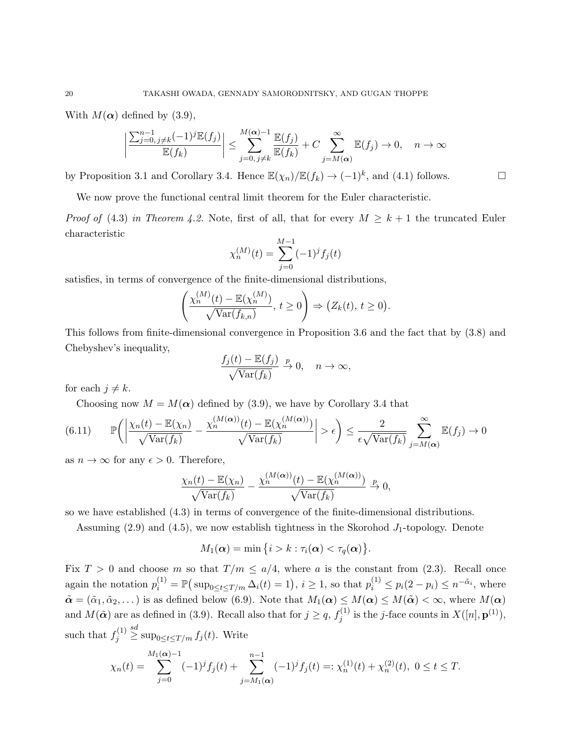With  $M(\alpha)$  defined by (3.9),

$$
\left|\frac{\sum_{j=0, j\neq k}^{n-1}(-1)^j \mathbb{E}(f_j)}{\mathbb{E}(f_k)}\right| \leq \sum_{j=0, j\neq k}^{M(\alpha)-1} \frac{\mathbb{E}(f_j)}{\mathbb{E}(f_k)} + C \sum_{j=M(\alpha)}^{\infty} \mathbb{E}(f_j) \to 0, \quad n \to \infty
$$

by Proposition 3.1 and Corollary 3.4. Hence  $\mathbb{E}(\chi_n)/\mathbb{E}(f_k) \to (-1)^k$ , and (4.1) follows.

We now prove the functional central limit theorem for the Euler characteristic.

*Proof of* (4.3) in Theorem 4.2. Note, first of all, that for every  $M \geq k+1$  the truncated Euler characteristic

$$
\chi_n^{(M)}(t) = \sum_{j=0}^{M-1} (-1)^j f_j(t)
$$

satisfies, in terms of convergence of the finite-dimensional distributions,

$$
\left(\frac{\chi_n^{(M)}(t) - \mathbb{E}(\chi_n^{(M)})}{\sqrt{\text{Var}(f_{k,n})}}, t \ge 0\right) \Rightarrow \left(Z_k(t), t \ge 0\right).
$$

This follows from finite-dimensional convergence in Proposition 3.6 and the fact that by (3.8) and Chebyshev's inequality,

$$
\frac{f_j(t) - \mathbb{E}(f_j)}{\sqrt{\text{Var}(f_k)}} \xrightarrow{p} 0, \quad n \to \infty,
$$

for each  $j \neq k$ .

Choosing now  $M = M(\alpha)$  defined by (3.9), we have by Corollary 3.4 that

$$
(6.11) \qquad \mathbb{P}\bigg(\bigg|\frac{\chi_n(t) - \mathbb{E}(\chi_n)}{\sqrt{\text{Var}(f_k)}} - \frac{\chi_n^{(M(\alpha))}(t) - \mathbb{E}(\chi_n^{(M(\alpha))})}{\sqrt{\text{Var}(f_k)}}\bigg| > \epsilon\bigg) \le \frac{2}{\epsilon\sqrt{\text{Var}(f_k)}} \sum_{j=M(\alpha)}^{\infty} \mathbb{E}(f_j) \to 0
$$

as  $n \to \infty$  for any  $\epsilon > 0$ . Therefore,

$$
\frac{\chi_n(t) - \mathbb{E}(\chi_n)}{\sqrt{\text{Var}(f_k)}} - \frac{\chi_n^{(M(\alpha))}(t) - \mathbb{E}(\chi_n^{(M(\alpha))})}{\sqrt{\text{Var}(f_k)}} \xrightarrow{p} 0,
$$

so we have established (4.3) in terms of convergence of the finite-dimensional distributions.

Assuming  $(2.9)$  and  $(4.5)$ , we now establish tightness in the Skorohod  $J_1$ -topology. Denote

$$
M_1(\boldsymbol{\alpha}) = \min\big\{i > k : \tau_i(\boldsymbol{\alpha}) < \tau_q(\boldsymbol{\alpha})\big\}.
$$

Fix  $T > 0$  and choose m so that  $T/m \le a/4$ , where a is the constant from (2.3). Recall once again the notation  $p_i^{(1)} = \mathbb{P}(\sup_{0 \le t \le T/m} \Delta_i(t) = 1), i \ge 1$ , so that  $p_i^{(1)} \le p_i(2 - p_i) \le n^{-\tilde{\alpha}_i}$ , where  $\tilde{\boldsymbol{\alpha}} = (\tilde{\alpha}_1, \tilde{\alpha}_2, \dots)$  is as defined below (6.9). Note that  $M_1(\boldsymbol{\alpha}) \le M(\boldsymbol{\alpha}) \le M(\tilde{\boldsymbol{\alpha}}) < \infty$ , where  $M(\boldsymbol{\alpha})$ and  $M(\tilde{\boldsymbol{\alpha}})$  are as defined in (3.9). Recall also that for  $j \geq q$ ,  $f_i^{(1)}$  $j_j^{(1)}$  is the *j*-face counts in  $X([n], \mathbf{p}^{(1)}),$ such that  $f_i^{(1)}$ j <sup>sd</sup> sup<sub>0≤t≤T/m</sub>  $f_j(t)$ . Write

$$
\chi_n(t) = \sum_{j=0}^{M_1(\alpha)-1} (-1)^j f_j(t) + \sum_{j=M_1(\alpha)}^{n-1} (-1)^j f_j(t) =: \chi_n^{(1)}(t) + \chi_n^{(2)}(t), \ 0 \le t \le T.
$$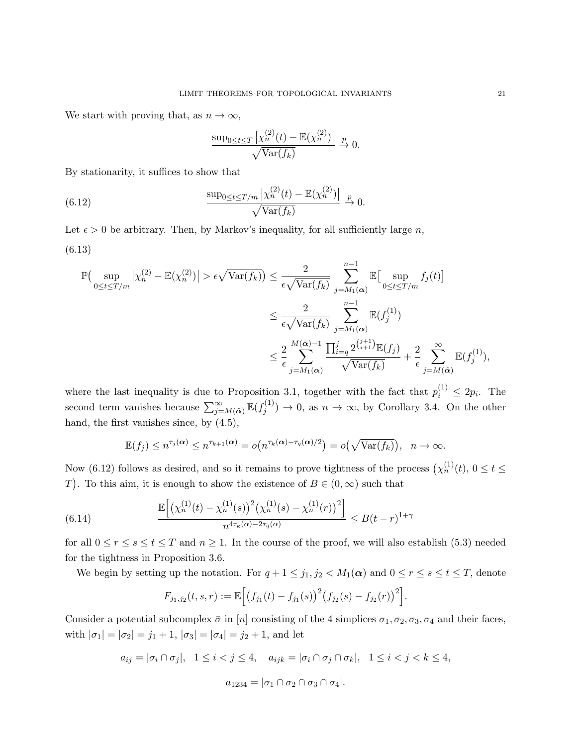We start with proving that, as  $n \to \infty$ ,

$$
\frac{\sup_{0\leq t\leq T}|\chi_n^{(2)}(t)-\mathbb{E}(\chi_n^{(2)})|}{\sqrt{\text{Var}(f_k)}} \xrightarrow{p} 0.
$$

By stationarity, it suffices to show that

(6.12) 
$$
\frac{\sup_{0\leq t\leq T/m}|\chi_n^{(2)}(t)-\mathbb{E}(\chi_n^{(2)})|}{\sqrt{\text{Var}(f_k)}} \overset{p}{\to} 0.
$$

Let  $\epsilon > 0$  be arbitrary. Then, by Markov's inequality, for all sufficiently large n, (6.13)

$$
\mathbb{P}\left(\sup_{0\leq t\leq T/m}|\chi_n^{(2)}-\mathbb{E}(\chi_n^{(2)})|>\epsilon\sqrt{\text{Var}(f_k)}\right) \leq \frac{2}{\epsilon\sqrt{\text{Var}(f_k)}} \sum_{j=M_1(\alpha)}^{n-1} \mathbb{E}\left[\sup_{0\leq t\leq T/m}f_j(t)\right]
$$

$$
\leq \frac{2}{\epsilon\sqrt{\text{Var}(f_k)}} \sum_{j=M_1(\alpha)}^{n-1} \mathbb{E}(f_j^{(1)})
$$

$$
\leq \frac{2}{\epsilon} \sum_{j=M_1(\alpha)}^{M(\tilde{\alpha})-1} \frac{\prod_{i=q}^{j} 2^{\binom{j+1}{i+1}} \mathbb{E}(f_j)}{\sqrt{\text{Var}(f_k)}} + \frac{2}{\epsilon} \sum_{j=M(\tilde{\alpha})}^{\infty} \mathbb{E}(f_j^{(1)}),
$$

where the last inequality is due to Proposition 3.1, together with the fact that  $p_i^{(1)} \leq 2p_i$ . The second term vanishes because  $\sum_{j=M(\tilde{\boldsymbol{\alpha}})}^{\infty} \mathbb{E}(f_j^{(1)})$  $j_j^{(1)}$   $\rightarrow$  0, as  $n \rightarrow \infty$ , by Corollary 3.4. On the other hand, the first vanishes since, by (4.5),

$$
\mathbb{E}(f_j) \le n^{\tau_j(\boldsymbol{\alpha})} \le n^{\tau_{k+1}(\boldsymbol{\alpha})} = o\big(n^{\tau_k(\boldsymbol{\alpha}) - \tau_q(\boldsymbol{\alpha})/2}\big) = o\big(\sqrt{\text{Var}(f_k)}\big), \quad n \to \infty.
$$

Now (6.12) follows as desired, and so it remains to prove tightness of the process  $\left(\chi_n^{(1)}(t), 0 \le t \le \right)$ T). To this aim, it is enough to show the existence of  $B \in (0, \infty)$  such that

(6.14) 
$$
\frac{\mathbb{E}\left[\left(\chi_n^{(1)}(t) - \chi_n^{(1)}(s)\right)^2 \left(\chi_n^{(1)}(s) - \chi_n^{(1)}(r)\right)^2\right]}{n^{4\tau_k(\alpha) - 2\tau_q(\alpha)}} \leq B(t-r)^{1+\gamma}
$$

for all  $0 \le r \le s \le t \le T$  and  $n \ge 1$ . In the course of the proof, we will also establish (5.3) needed for the tightness in Proposition 3.6.

We begin by setting up the notation. For  $q + 1 \le j_1, j_2 < M_1(\alpha)$  and  $0 \le r \le s \le t \le T$ , denote

$$
F_{j_1,j_2}(t,s,r):=\mathbb{E}\Big[\big(f_{j_1}(t)-f_{j_1}(s)\big)^2\big(f_{j_2}(s)-f_{j_2}(r)\big)^2\Big].
$$

Consider a potential subcomplex  $\bar{\sigma}$  in [n] consisting of the 4 simplices  $\sigma_1, \sigma_2, \sigma_3, \sigma_4$  and their faces, with  $|\sigma_1| = |\sigma_2| = j_1 + 1$ ,  $|\sigma_3| = |\sigma_4| = j_2 + 1$ , and let

$$
a_{ij} = |\sigma_i \cap \sigma_j|, \quad 1 \le i < j \le 4, \quad a_{ijk} = |\sigma_i \cap \sigma_j \cap \sigma_k|, \quad 1 \le i < j < k \le 4,
$$
\n
$$
a_{1234} = |\sigma_1 \cap \sigma_2 \cap \sigma_3 \cap \sigma_4|.
$$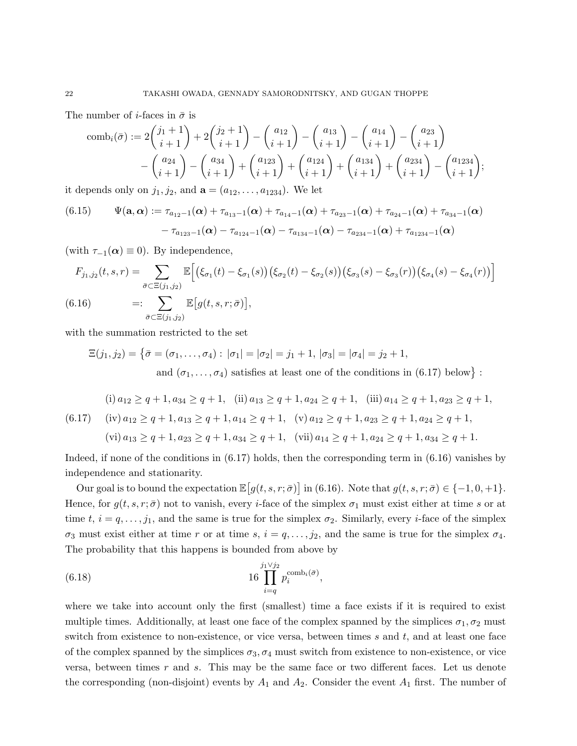The number of *i*-faces in  $\bar{\sigma}$  is

$$
\text{comb}_{i}(\bar{\sigma}) := 2\binom{j_{1}+1}{i+1} + 2\binom{j_{2}+1}{i+1} - \binom{a_{12}}{i+1} - \binom{a_{13}}{i+1} - \binom{a_{14}}{i+1} - \binom{a_{23}}{i+1} - \binom{a_{24}}{i+1} - \binom{a_{34}}{i+1} - \binom{a_{34}}{i+1} + \binom{a_{123}}{i+1} + \binom{a_{124}}{i+1} + \binom{a_{134}}{i+1} - \binom{a_{234}}{i+1};
$$

it depends only on  $j_1, j_2$ , and  $\mathbf{a} = (a_{12}, \ldots, a_{1234})$ . We let

(6.15) 
$$
\Psi(\mathbf{a}, \alpha) := \tau_{a_{12}-1}(\alpha) + \tau_{a_{13}-1}(\alpha) + \tau_{a_{14}-1}(\alpha) + \tau_{a_{23}-1}(\alpha) + \tau_{a_{24}-1}(\alpha) + \tau_{a_{34}-1}(\alpha) - \tau_{a_{123}-1}(\alpha) - \tau_{a_{124}-1}(\alpha) - \tau_{a_{134}-1}(\alpha) - \tau_{a_{234}-1}(\alpha) + \tau_{a_{1234}-1}(\alpha)
$$

(with  $\tau_{-1}(\alpha) \equiv 0$ ). By independence,

$$
F_{j_1,j_2}(t,s,r) = \sum_{\bar{\sigma} \subset \Xi(j_1,j_2)} \mathbb{E}\Big[\Big(\xi_{\sigma_1}(t) - \xi_{\sigma_1}(s)\Big)\Big(\xi_{\sigma_2}(t) - \xi_{\sigma_2}(s)\Big)\Big(\xi_{\sigma_3}(s) - \xi_{\sigma_3}(r)\Big)\Big(\xi_{\sigma_4}(s) - \xi_{\sigma_4}(r)\Big)\Big]
$$
\n
$$
(6.16) \qquad =: \sum_{\bar{\sigma} \subset \Xi(j_1,j_2)} \mathbb{E}\Big[g(t,s,r;\bar{\sigma})\Big],
$$

with the summation restricted to the set

$$
\Xi(j_1, j_2) = \{ \bar{\sigma} = (\sigma_1, \dots, \sigma_4) : |\sigma_1| = |\sigma_2| = j_1 + 1, |\sigma_3| = |\sigma_4| = j_2 + 1,
$$
  
and  $(\sigma_1, \dots, \sigma_4)$  satisfies at least one of the conditions in (6.17) below} :

(i) 
$$
a_{12} \ge q + 1
$$
,  $a_{34} \ge q + 1$ , (ii)  $a_{13} \ge q + 1$ ,  $a_{24} \ge q + 1$ , (iii)  $a_{14} \ge q + 1$ ,  $a_{23} \ge q + 1$ ,  
(6.17) (iv)  $a_{12} \ge q + 1$ ,  $a_{13} \ge q + 1$ ,  $a_{14} \ge q + 1$ , (v)  $a_{12} \ge q + 1$ ,  $a_{23} \ge q + 1$ ,  $a_{24} \ge q + 1$ ,  
(vi)  $a_{13} \ge q + 1$ ,  $a_{23} \ge q + 1$ ,  $a_{34} \ge q + 1$ , (vii)  $a_{14} \ge q + 1$ ,  $a_{24} \ge q + 1$ ,  $a_{34} \ge q + 1$ .

Indeed, if none of the conditions in (6.17) holds, then the corresponding term in (6.16) vanishes by independence and stationarity.

Our goal is to bound the expectation  $\mathbb{E}[g(t, s, r; \bar{\sigma})]$  in (6.16). Note that  $g(t, s, r; \bar{\sigma}) \in \{-1, 0, +1\}$ . Hence, for  $g(t, s, r; \bar{\sigma})$  not to vanish, every *i*-face of the simplex  $\sigma_1$  must exist either at time s or at time t,  $i = q, \ldots, j_1$ , and the same is true for the simplex  $\sigma_2$ . Similarly, every *i*-face of the simplex  $\sigma_3$  must exist either at time r or at time s,  $i = q, \ldots, j_2$ , and the same is true for the simplex  $\sigma_4$ . The probability that this happens is bounded from above by

(6.18) 
$$
16 \prod_{i=q}^{j_1 \vee j_2} p_i^{\text{comb}_i(\bar{\sigma})},
$$

where we take into account only the first (smallest) time a face exists if it is required to exist multiple times. Additionally, at least one face of the complex spanned by the simplices  $\sigma_1, \sigma_2$  must switch from existence to non-existence, or vice versa, between times  $s$  and  $t$ , and at least one face of the complex spanned by the simplices  $\sigma_3$ ,  $\sigma_4$  must switch from existence to non-existence, or vice versa, between times  $r$  and  $s$ . This may be the same face or two different faces. Let us denote the corresponding (non-disjoint) events by  $A_1$  and  $A_2$ . Consider the event  $A_1$  first. The number of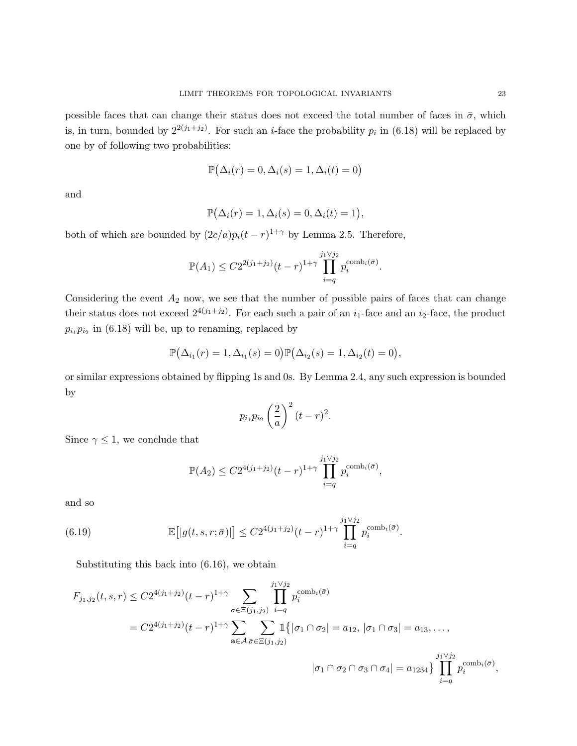possible faces that can change their status does not exceed the total number of faces in  $\bar{\sigma}$ , which is, in turn, bounded by  $2^{2(j_1+j_2)}$ . For such an *i*-face the probability  $p_i$  in (6.18) will be replaced by one by of following two probabilities:

$$
\mathbb{P}(\Delta_i(r) = 0, \Delta_i(s) = 1, \Delta_i(t) = 0)
$$

and

$$
\mathbb{P}(\Delta_i(r) = 1, \Delta_i(s) = 0, \Delta_i(t) = 1),
$$

both of which are bounded by  $(2c/a)p_i(t - r)^{1+\gamma}$  by Lemma 2.5. Therefore,

$$
\mathbb{P}(A_1) \leq C2^{2(j_1+j_2)}(t-r)^{1+\gamma} \prod_{i=q}^{j_1 \vee j_2} p_i^{\text{comb}_i(\bar{\sigma})}.
$$

Considering the event  $A_2$  now, we see that the number of possible pairs of faces that can change their status does not exceed  $2^{4(j_1+j_2)}$ . For each such a pair of an  $i_1$ -face and an  $i_2$ -face, the product  $p_{i_1}p_{i_2}$  in (6.18) will be, up to renaming, replaced by

$$
\mathbb{P}(\Delta_{i_1}(r) = 1, \Delta_{i_1}(s) = 0)\mathbb{P}(\Delta_{i_2}(s) = 1, \Delta_{i_2}(t) = 0),
$$

or similar expressions obtained by flipping 1s and 0s. By Lemma 2.4, any such expression is bounded by

$$
p_{i_1}p_{i_2}\left(\frac{2}{a}\right)^2(t-r)^2.
$$

Since  $\gamma \leq 1$ , we conclude that

$$
\mathbb{P}(A_2) \le C2^{4(j_1+j_2)}(t-r)^{1+\gamma} \prod_{i=q}^{j_1 \vee j_2} p_i^{\text{comb}_i(\bar{\sigma})},
$$

and so

(6.19) 
$$
\mathbb{E}[|g(t,s,r;\bar{\sigma})|] \leq C2^{4(j_1+j_2)}(t-r)^{1+\gamma} \prod_{i=q}^{j_1\vee j_2} p_i^{\text{comb}_i(\bar{\sigma})}.
$$

Substituting this back into (6.16), we obtain

$$
F_{j_1,j_2}(t,s,r) \leq C2^{4(j_1+j_2)}(t-r)^{1+\gamma} \sum_{\bar{\sigma} \in \Xi(j_1,j_2)} \prod_{i=q}^{j_1 \vee j_2} p_i^{\text{comb}_i(\bar{\sigma})}
$$
  
=  $C2^{4(j_1+j_2)}(t-r)^{1+\gamma} \sum_{\mathbf{a} \in \mathcal{A}} \sum_{\bar{\sigma} \in \Xi(j_1,j_2)} \mathbb{1}\{|\sigma_1 \cap \sigma_2| = a_{12}, |\sigma_1 \cap \sigma_3| = a_{13}, \dots, \newline |\sigma_1 \cap \sigma_2 \cap \sigma_3 \cap \sigma_4| = a_{1234}\} \prod_{i=1}^{j_1 \vee j_2} p_i^{\text{comb}_i(\bar{\sigma})},$ 

 $i = q$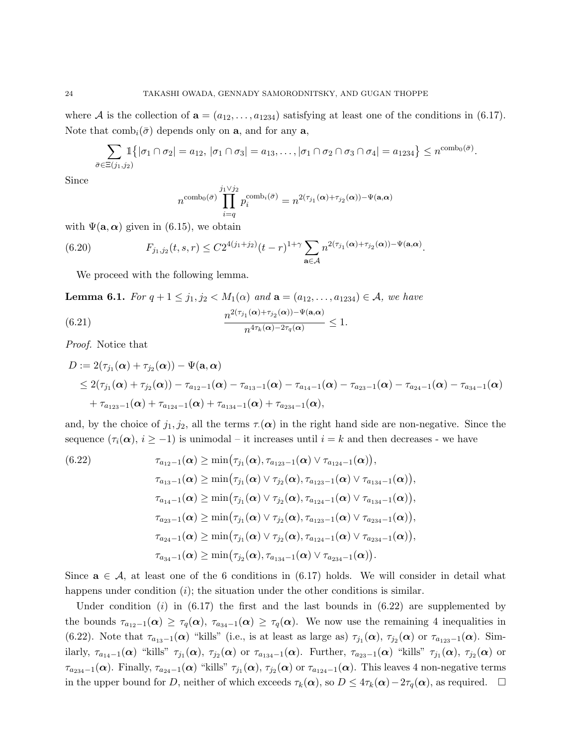where A is the collection of  $\mathbf{a} = (a_{12}, \ldots, a_{1234})$  satisfying at least one of the conditions in (6.17). Note that  $\text{comb}_i(\bar{\sigma})$  depends only on **a**, and for any **a**,

$$
\sum_{\bar{\sigma}\in\Xi(j_1,j_2)}\mathbb{1}\big\{|\sigma_1\cap\sigma_2|=a_{12}, |\sigma_1\cap\sigma_3|=a_{13},\ldots, |\sigma_1\cap\sigma_2\cap\sigma_3\cap\sigma_4|=a_{1234}\big\}\leq n^{\text{comb}_0(\bar{\sigma})}.
$$

Since

$$
n^{\text{comb}_0(\bar{\sigma})} \prod_{i=q}^{j_1 \vee j_2} p_i^{\text{comb}_i(\bar{\sigma})} = n^{2(\tau_{j_1}(\alpha) + \tau_{j_2}(\alpha)) - \Psi(\mathbf{a}, \alpha)}
$$

with  $\Psi(\mathbf{a}, \alpha)$  given in (6.15), we obtain

(6.20) 
$$
F_{j_1,j_2}(t,s,r) \leq C2^{4(j_1+j_2)}(t-r)^{1+\gamma} \sum_{\mathbf{a}\in\mathcal{A}} n^{2(\tau_{j_1}(\alpha)+\tau_{j_2}(\alpha))-\Psi(\mathbf{a},\alpha)}.
$$

We proceed with the following lemma.

**Lemma 6.1.** For  $q + 1 \leq j_1, j_2 < M_1(\alpha)$  and  $\mathbf{a} = (a_{12}, \ldots, a_{1234}) \in \mathcal{A}$ , we have

(6.21) 
$$
\frac{n^{2(\tau_{j_1}(\alpha)+\tau_{j_2}(\alpha))-\Psi(\mathbf{a},\alpha)}}{n^{4\tau_k(\alpha)-2\tau_q(\alpha)}}\leq 1.
$$

Proof. Notice that

$$
D := 2(\tau_{j_1}(\alpha) + \tau_{j_2}(\alpha)) - \Psi(\mathbf{a}, \alpha)
$$
  
\n
$$
\leq 2(\tau_{j_1}(\alpha) + \tau_{j_2}(\alpha)) - \tau_{a_{12}-1}(\alpha) - \tau_{a_{13}-1}(\alpha) - \tau_{a_{14}-1}(\alpha) - \tau_{a_{23}-1}(\alpha) - \tau_{a_{24}-1}(\alpha) - \tau_{a_{34}-1}(\alpha)
$$
  
\n
$$
+ \tau_{a_{123}-1}(\alpha) + \tau_{a_{124}-1}(\alpha) + \tau_{a_{134}-1}(\alpha) + \tau_{a_{234}-1}(\alpha),
$$

and, by the choice of  $j_1, j_2$ , all the terms  $\tau(\alpha)$  in the right hand side are non-negative. Since the sequence  $(\tau_i(\alpha), i \geq -1)$  is unimodal – it increases until  $i = k$  and then decreases - we have

(6.22) 
$$
\tau_{a_{12}-1}(\alpha) \ge \min(\tau_{j_1}(\alpha), \tau_{a_{123}-1}(\alpha) \vee \tau_{a_{124}-1}(\alpha)),
$$

$$
\tau_{a_{13}-1}(\alpha) \ge \min(\tau_{j_1}(\alpha) \vee \tau_{j_2}(\alpha), \tau_{a_{123}-1}(\alpha) \vee \tau_{a_{134}-1}(\alpha)),
$$

$$
\tau_{a_{14}-1}(\alpha) \ge \min(\tau_{j_1}(\alpha) \vee \tau_{j_2}(\alpha), \tau_{a_{124}-1}(\alpha) \vee \tau_{a_{134}-1}(\alpha)),
$$

$$
\tau_{a_{23}-1}(\alpha) \ge \min(\tau_{j_1}(\alpha) \vee \tau_{j_2}(\alpha), \tau_{a_{123}-1}(\alpha) \vee \tau_{a_{234}-1}(\alpha)),
$$

$$
\tau_{a_{24}-1}(\alpha) \ge \min(\tau_{j_1}(\alpha) \vee \tau_{j_2}(\alpha), \tau_{a_{124}-1}(\alpha) \vee \tau_{a_{234}-1}(\alpha)),
$$

$$
\tau_{a_{34}-1}(\alpha) \ge \min(\tau_{j_2}(\alpha), \tau_{a_{134}-1}(\alpha) \vee \tau_{a_{234}-1}(\alpha)).
$$

Since  $\mathbf{a} \in \mathcal{A}$ , at least one of the 6 conditions in (6.17) holds. We will consider in detail what happens under condition  $(i)$ ; the situation under the other conditions is similar.

Under condition  $(i)$  in  $(6.17)$  the first and the last bounds in  $(6.22)$  are supplemented by the bounds  $\tau_{a_{12}-1}(\alpha) \geq \tau_q(\alpha)$ ,  $\tau_{a_{34}-1}(\alpha) \geq \tau_q(\alpha)$ . We now use the remaining 4 inequalities in (6.22). Note that  $\tau_{a_{13}-1}(\alpha)$  "kills" (i.e., is at least as large as)  $\tau_{j_1}(\alpha)$ ,  $\tau_{j_2}(\alpha)$  or  $\tau_{a_{123}-1}(\alpha)$ . Similarly,  $\tau_{a_{14}-1}(\alpha)$  "kills"  $\tau_{j_1}(\alpha)$ ,  $\tau_{j_2}(\alpha)$  or  $\tau_{a_{134}-1}(\alpha)$ . Further,  $\tau_{a_{23}-1}(\alpha)$  "kills"  $\tau_{j_1}(\alpha)$ ,  $\tau_{j_2}(\alpha)$  or  $\tau_{a_{234}-1}(\boldsymbol{\alpha})$ . Finally,  $\tau_{a_{24}-1}(\boldsymbol{\alpha})$  "kills"  $\tau_{j_1}(\boldsymbol{\alpha})$ ,  $\tau_{j_2}(\boldsymbol{\alpha})$  or  $\tau_{a_{124}-1}(\boldsymbol{\alpha})$ . This leaves 4 non-negative terms in the upper bound for D, neither of which exceeds  $\tau_k(\alpha)$ , so  $D \leq 4\tau_k(\alpha) - 2\tau_q(\alpha)$ , as required.  $\Box$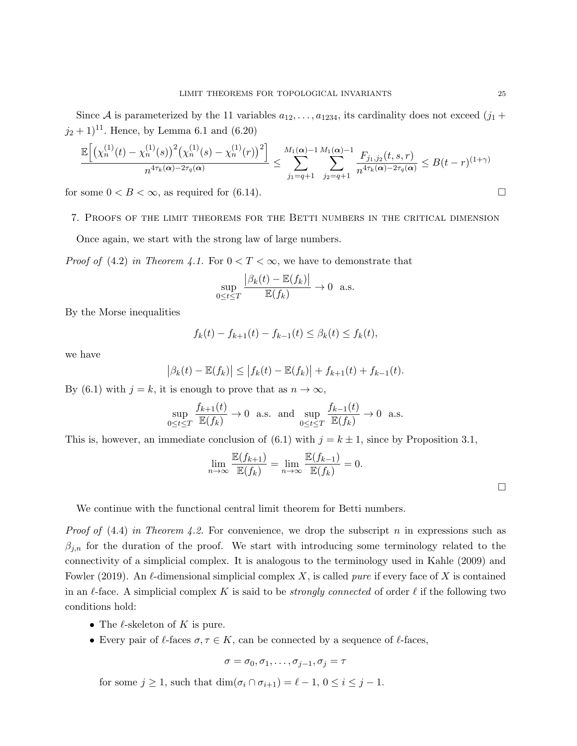Since A is parameterized by the 11 variables  $a_{12}, \ldots, a_{1234}$ , its cardinality does not exceed  $(j_1 + j_2)$  $(j_2 + 1)^{11}$ . Hence, by Lemma 6.1 and (6.20)

$$
\frac{\mathbb{E}\Big[\big(\chi_n^{(1)}(t)-\chi_n^{(1)}(s)\big)^2\big(\chi_n^{(1)}(s)-\chi_n^{(1)}(r)\big)^2\Big]}{n^{4\tau_k(\alpha)-2\tau_q(\alpha)}}\leq \sum_{j_1=q+1}^{M_1(\alpha)-1}\sum_{j_2=q+1}^{M_1(\alpha)-1}\frac{F_{j_1,j_2}(t,s,r)}{n^{4\tau_k(\alpha)-2\tau_q(\alpha)}}\leq B(t-r)^{(1+\gamma)}
$$

for some  $0 < B < \infty$ , as required for (6.14).

7. Proofs of the limit theorems for the Betti numbers in the critical dimension

Once again, we start with the strong law of large numbers.

*Proof of* (4.2) in Theorem 4.1. For  $0 < T < \infty$ , we have to demonstrate that

$$
\sup_{0 \le t \le T} \frac{|\beta_k(t) - \mathbb{E}(f_k)|}{\mathbb{E}(f_k)} \to 0 \text{ a.s.}
$$

By the Morse inequalities

$$
f_k(t) - f_{k+1}(t) - f_{k-1}(t) \le \beta_k(t) \le f_k(t),
$$

we have

$$
|\beta_k(t) - \mathbb{E}(f_k)| \le |f_k(t) - \mathbb{E}(f_k)| + f_{k+1}(t) + f_{k-1}(t).
$$

By (6.1) with  $j = k$ , it is enough to prove that as  $n \to \infty$ ,

$$
\sup_{0\leq t\leq T}\frac{f_{k+1}(t)}{\mathbb{E}(f_k)}\to 0 \text{ a.s. and } \sup_{0\leq t\leq T}\frac{f_{k-1}(t)}{\mathbb{E}(f_k)}\to 0 \text{ a.s.}
$$

This is, however, an immediate conclusion of (6.1) with  $j = k \pm 1$ , since by Proposition 3.1,

$$
\lim_{n \to \infty} \frac{\mathbb{E}(f_{k+1})}{\mathbb{E}(f_k)} = \lim_{n \to \infty} \frac{\mathbb{E}(f_{k-1})}{\mathbb{E}(f_k)} = 0.
$$

We continue with the functional central limit theorem for Betti numbers.

*Proof of*  $(4.4)$  in Theorem 4.2. For convenience, we drop the subscript n in expressions such as  $\beta_{j,n}$  for the duration of the proof. We start with introducing some terminology related to the connectivity of a simplicial complex. It is analogous to the terminology used in Kahle (2009) and Fowler (2019). An  $\ell$ -dimensional simplicial complex X, is called *pure* if every face of X is contained in an  $\ell$ -face. A simplicial complex K is said to be *strongly connected* of order  $\ell$  if the following two conditions hold:

- The  $\ell$ -skeleton of K is pure.
- Every pair of  $\ell$ -faces  $\sigma, \tau \in K$ , can be connected by a sequence of  $\ell$ -faces,

$$
\sigma = \sigma_0, \sigma_1, \ldots, \sigma_{j-1}, \sigma_j = \tau
$$

for some  $j \geq 1$ , such that  $\dim(\sigma_i \cap \sigma_{i+1}) = \ell - 1, 0 \leq i \leq j - 1$ .

 $\Box$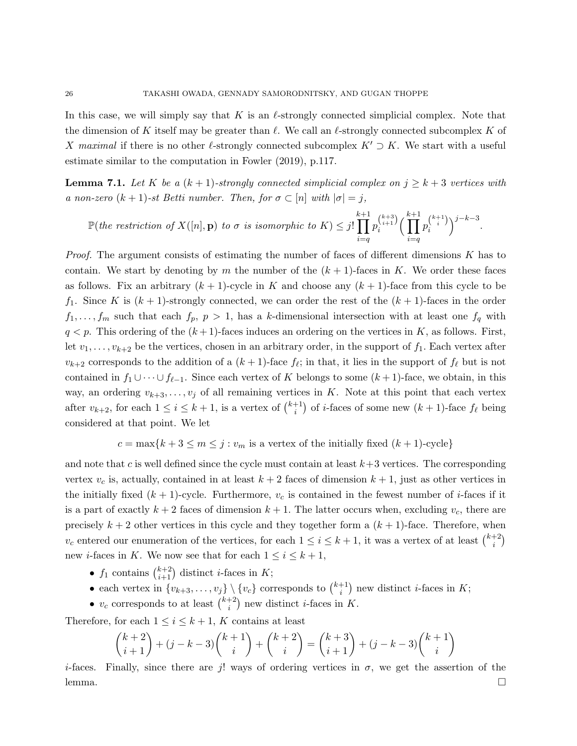In this case, we will simply say that K is an  $\ell$ -strongly connected simplicial complex. Note that the dimension of K itself may be greater than  $\ell$ . We call an  $\ell$ -strongly connected subcomplex K of X maximal if there is no other lestrongly connected subcomplex  $K' \supset K$ . We start with a useful estimate similar to the computation in Fowler (2019), p.117.

**Lemma 7.1.** Let K be a  $(k + 1)$ -strongly connected simplicial complex on  $j \geq k + 3$  vertices with a non-zero  $(k + 1)$ -st Betti number. Then, for  $\sigma \subset [n]$  with  $|\sigma| = j$ ,

$$
\mathbb{P}(\textit{the restriction of}~X([n],\mathbf{p})~\textit{to}~\sigma~\textit{is isomorphic to}~K) \leq j! \prod_{i=q}^{k+1} p_i^{k+3} \Big(\prod_{i=q}^{k+3} p_i^{k+1}\Big)^{j-k-3}
$$

.

*Proof.* The argument consists of estimating the number of faces of different dimensions  $K$  has to contain. We start by denoting by m the number of the  $(k+1)$ -faces in K. We order these faces as follows. Fix an arbitrary  $(k + 1)$ -cycle in K and choose any  $(k + 1)$ -face from this cycle to be  $f_1$ . Since K is  $(k+1)$ -strongly connected, we can order the rest of the  $(k+1)$ -faces in the order  $f_1, \ldots, f_m$  such that each  $f_p, p > 1$ , has a k-dimensional intersection with at least one  $f_q$  with  $q < p$ . This ordering of the  $(k+1)$ -faces induces an ordering on the vertices in K, as follows. First, let  $v_1, \ldots, v_{k+2}$  be the vertices, chosen in an arbitrary order, in the support of  $f_1$ . Each vertex after  $v_{k+2}$  corresponds to the addition of a  $(k+1)$ -face  $f_\ell$ ; in that, it lies in the support of  $f_\ell$  but is not contained in  $f_1 \cup \cdots \cup f_{\ell-1}$ . Since each vertex of K belongs to some  $(k+1)$ -face, we obtain, in this way, an ordering  $v_{k+3}, \ldots, v_j$  of all remaining vertices in K. Note at this point that each vertex after  $v_{k+2}$ , for each  $1 \leq i \leq k+1$ , is a vertex of  $\binom{k+1}{i}$  $\binom{+1}{i}$  of *i*-faces of some new  $(k + 1)$ -face  $f_{\ell}$  being considered at that point. We let

$$
c = \max\{k+3 \le m \le j : v_m \text{ is a vertex of the initially fixed } (k+1)\text{-cycle}\}\
$$

and note that c is well defined since the cycle must contain at least  $k+3$  vertices. The corresponding vertex  $v_c$  is, actually, contained in at least  $k+2$  faces of dimension  $k+1$ , just as other vertices in the initially fixed  $(k + 1)$ -cycle. Furthermore,  $v_c$  is contained in the fewest number of *i*-faces if it is a part of exactly  $k+2$  faces of dimension  $k+1$ . The latter occurs when, excluding  $v_c$ , there are precisely  $k + 2$  other vertices in this cycle and they together form a  $(k + 1)$ -face. Therefore, when  $v_c$  entered our enumeration of the vertices, for each  $1 \leq i \leq k+1$ , it was a vertex of at least  $\binom{k+2}{i}$  $\binom{+2}{i}$ new *i*-faces in K. We now see that for each  $1 \leq i \leq k+1$ ,

- $f_1$  contains  $\binom{k+2}{i+1}$  distinct *i*-faces in *K*;
- each vertex in  $\{v_{k+3}, \ldots, v_j\} \setminus \{v_c\}$  corresponds to  $\binom{k+1}{i}$  $i^{+1}$ ) new distinct *i*-faces in K;
- $v_c$  corresponds to at least  $\binom{k+2}{i}$  $i^{+2}$ ) new distinct *i*-faces in K.

Therefore, for each  $1 \leq i \leq k+1$ , K contains at least

$$
\binom{k+2}{i+1} + (j-k-3)\binom{k+1}{i} + \binom{k+2}{i} = \binom{k+3}{i+1} + (j-k-3)\binom{k+1}{i}
$$

i-faces. Finally, since there are j! ways of ordering vertices in  $\sigma$ , we get the assertion of the  $l$ emma.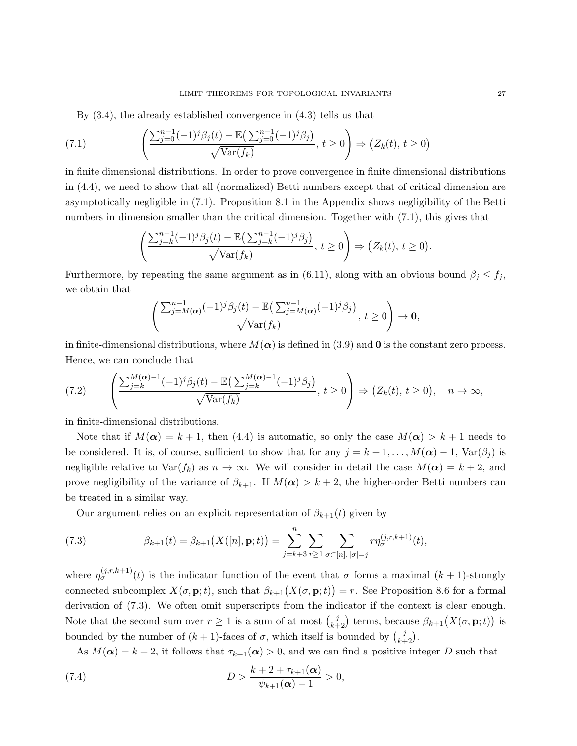By (3.4), the already established convergence in (4.3) tells us that

(7.1) 
$$
\left(\frac{\sum_{j=0}^{n-1}(-1)^j\beta_j(t)-\mathbb{E}\left(\sum_{j=0}^{n-1}(-1)^j\beta_j\right)}{\sqrt{\text{Var}(f_k)}}, t\geq 0\right) \Rightarrow \left(Z_k(t), t\geq 0\right)
$$

in finite dimensional distributions. In order to prove convergence in finite dimensional distributions in (4.4), we need to show that all (normalized) Betti numbers except that of critical dimension are asymptotically negligible in (7.1). Proposition 8.1 in the Appendix shows negligibility of the Betti numbers in dimension smaller than the critical dimension. Together with (7.1), this gives that

$$
\left(\frac{\sum_{j=k}^{n-1}(-1)^j\beta_j(t)-\mathbb{E}\left(\sum_{j=k}^{n-1}(-1)^j\beta_j\right)}{\sqrt{\text{Var}(f_k)}},\,t\geq 0\right)\Rightarrow \left(Z_k(t),\,t\geq 0\right).
$$

Furthermore, by repeating the same argument as in (6.11), along with an obvious bound  $\beta_i \leq f_i$ , we obtain that

$$
\left(\frac{\sum_{j=M(\boldsymbol{\alpha})}^{n-1}(-1)^j\beta_j(t)-\mathbb{E}\left(\sum_{j=M(\boldsymbol{\alpha})}^{n-1}(-1)^j\beta_j\right)}{\sqrt{\text{Var}(f_k)}},\ t\geq 0\right)\to\mathbf{0},
$$

in finite-dimensional distributions, where  $M(\alpha)$  is defined in (3.9) and **0** is the constant zero process. Hence, we can conclude that

$$
(7.2) \qquad \left(\frac{\sum_{j=k}^{M(\alpha)-1}(-1)^j\beta_j(t)-\mathbb{E}\left(\sum_{j=k}^{M(\alpha)-1}(-1)^j\beta_j\right)}{\sqrt{\text{Var}(f_k)}},\ t\geq 0\right) \Rightarrow \left(Z_k(t),\ t\geq 0\right),\quad n\to\infty,
$$

in finite-dimensional distributions.

Note that if  $M(\alpha) = k + 1$ , then (4.4) is automatic, so only the case  $M(\alpha) > k + 1$  needs to be considered. It is, of course, sufficient to show that for any  $j = k + 1, \ldots, M(\alpha) - 1$ , Var $(\beta_j)$  is negligible relative to  $\text{Var}(f_k)$  as  $n \to \infty$ . We will consider in detail the case  $M(\alpha) = k + 2$ , and prove negligibility of the variance of  $\beta_{k+1}$ . If  $M(\alpha) > k+2$ , the higher-order Betti numbers can be treated in a similar way.

Our argument relies on an explicit representation of  $\beta_{k+1}(t)$  given by

(7.3) 
$$
\beta_{k+1}(t) = \beta_{k+1}\big(X([n], \mathbf{p}; t)\big) = \sum_{j=k+3}^{n} \sum_{r \geq 1} \sum_{\sigma \subset [n], |\sigma| = j} r \eta_{\sigma}^{(j,r,k+1)}(t),
$$

where  $\eta_{\sigma}^{(j,r,k+1)}(t)$  is the indicator function of the event that  $\sigma$  forms a maximal  $(k+1)$ -strongly connected subcomplex  $X(\sigma, \mathbf{p}; t)$ , such that  $\beta_{k+1}(X(\sigma, \mathbf{p}; t)) = r$ . See Proposition 8.6 for a formal derivation of (7.3). We often omit superscripts from the indicator if the context is clear enough. Note that the second sum over  $r \ge 1$  is a sum of at most  $\binom{j}{k+2}$  terms, because  $\beta_{k+1}(X(\sigma, \mathbf{p}; t))$  is bounded by the number of  $(k + 1)$ -faces of  $\sigma$ , which itself is bounded by  $\binom{j}{k+2}$ .

As  $M(\alpha) = k + 2$ , it follows that  $\tau_{k+1}(\alpha) > 0$ , and we can find a positive integer D such that

(7.4) 
$$
D > \frac{k+2+\tau_{k+1}(\alpha)}{\psi_{k+1}(\alpha)-1} > 0,
$$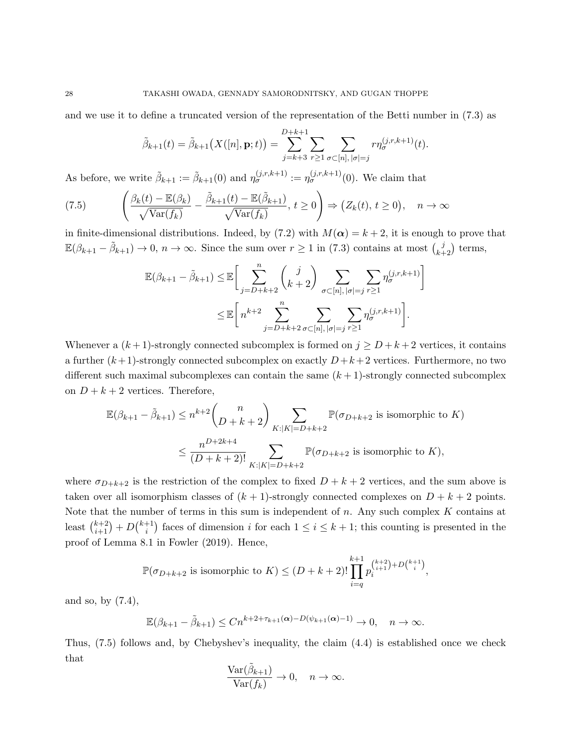and we use it to define a truncated version of the representation of the Betti number in (7.3) as

$$
\tilde{\beta}_{k+1}(t) = \tilde{\beta}_{k+1}\big(X([n], \mathbf{p}; t)\big) = \sum_{j=k+3}^{D+k+1} \sum_{r \geq 1} \sum_{\sigma \subset [n], |\sigma| = j} r \eta_{\sigma}^{(j,r,k+1)}(t).
$$

As before, we write  $\tilde{\beta}_{k+1} := \tilde{\beta}_{k+1}(0)$  and  $\eta_{\sigma}^{(j,r,k+1)} := \eta_{\sigma}^{(j,r,k+1)}(0)$ . We claim that

(7.5) 
$$
\left(\frac{\beta_k(t) - \mathbb{E}(\beta_k)}{\sqrt{\text{Var}(f_k)}} - \frac{\tilde{\beta}_{k+1}(t) - \mathbb{E}(\tilde{\beta}_{k+1})}{\sqrt{\text{Var}(f_k)}}, t \ge 0\right) \Rightarrow (Z_k(t), t \ge 0), \quad n \to \infty
$$

in finite-dimensional distributions. Indeed, by (7.2) with  $M(\alpha) = k + 2$ , it is enough to prove that  $\mathbb{E}(\beta_{k+1} - \tilde{\beta}_{k+1}) \to 0, n \to \infty$ . Since the sum over  $r \ge 1$  in (7.3) contains at most  $\binom{j}{k+2}$  terms,

$$
\mathbb{E}(\beta_{k+1} - \tilde{\beta}_{k+1}) \leq \mathbb{E}\bigg[\sum_{j=D+k+2}^{n} \binom{j}{k+2} \sum_{\sigma \subset [n], |\sigma|=j} \sum_{r \geq 1} \eta_{\sigma}^{(j,r,k+1)}\bigg]
$$

$$
\leq \mathbb{E}\bigg[n^{k+2} \sum_{j=D+k+2}^{n} \sum_{\sigma \subset [n], |\sigma|=j} \sum_{r \geq 1} \eta_{\sigma}^{(j,r,k+1)}\bigg].
$$

Whenever a  $(k+1)$ -strongly connected subcomplex is formed on  $j \ge D + k + 2$  vertices, it contains a further  $(k+1)$ -strongly connected subcomplex on exactly  $D+k+2$  vertices. Furthermore, no two different such maximal subcomplexes can contain the same  $(k + 1)$ -strongly connected subcomplex on  $D + k + 2$  vertices. Therefore,

$$
\mathbb{E}(\beta_{k+1} - \tilde{\beta}_{k+1}) \le n^{k+2} \binom{n}{D+k+2} \sum_{K:|K|=D+k+2} \mathbb{P}(\sigma_{D+k+2} \text{ is isomorphic to } K)
$$
  

$$
\le \frac{n^{D+2k+4}}{(D+k+2)!} \sum_{K:|K|=D+k+2} \mathbb{P}(\sigma_{D+k+2} \text{ is isomorphic to } K),
$$

where  $\sigma_{D+k+2}$  is the restriction of the complex to fixed  $D + k + 2$  vertices, and the sum above is taken over all isomorphism classes of  $(k + 1)$ -strongly connected complexes on  $D + k + 2$  points. Note that the number of terms in this sum is independent of  $n$ . Any such complex  $K$  contains at least  $\binom{k+2}{i+1} + D\binom{k+1}{i}$ <sup>+1</sup>) faces of dimension *i* for each  $1 \le i \le k+1$ ; this counting is presented in the proof of Lemma 8.1 in Fowler (2019). Hence,

$$
\mathbb{P}(\sigma_{D+k+2} \text{ is isomorphic to } K) \le (D+k+2)! \prod_{i=q}^{k+1} p_i^{k+2} + D^{k+1 \choose i},
$$

and so, by (7.4),

$$
\mathbb{E}(\beta_{k+1}-\tilde{\beta}_{k+1})\leq Cn^{k+2+\tau_{k+1}(\alpha)-D(\psi_{k+1}(\alpha)-1)}\to 0,\quad n\to\infty.
$$

Thus, (7.5) follows and, by Chebyshev's inequality, the claim (4.4) is established once we check that

$$
\frac{\text{Var}(\tilde{\beta}_{k+1})}{\text{Var}(f_k)} \to 0, \quad n \to \infty.
$$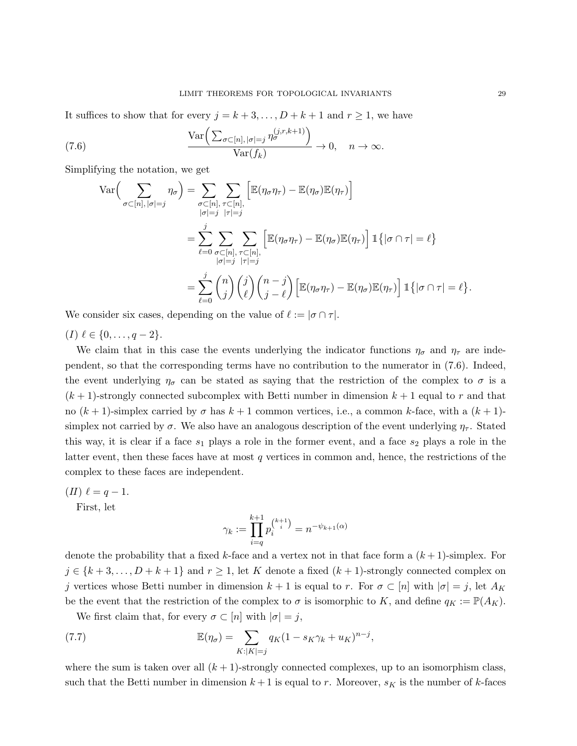It suffices to show that for every  $j = k + 3, \ldots, D + k + 1$  and  $r \ge 1$ , we have

(7.6) 
$$
\frac{\text{Var}\left(\sum_{\sigma\subset[n], |\sigma|=j} \eta_{\sigma}^{(j,r,k+1)}\right)}{\text{Var}(f_k)} \to 0, \quad n \to \infty.
$$

Simplifying the notation, we get

$$
\operatorname{Var}\left(\sum_{\sigma\subset[n], |\sigma|=j} \eta_{\sigma}\right) = \sum_{\substack{\sigma\subset[n], \tau\subset[n],\\|\sigma|=j}} \sum_{\substack{\tau\subset[n],\\|\tau|=j}} \left[\mathbb{E}(\eta_{\sigma}\eta_{\tau}) - \mathbb{E}(\eta_{\sigma})\mathbb{E}(\eta_{\tau})\right] \n= \sum_{\ell=0}^{j} \sum_{\substack{\sigma\subset[n],\\|\sigma|=j}} \sum_{\substack{\tau\subset[n],\\|\tau|=j}} \left[\mathbb{E}(\eta_{\sigma}\eta_{\tau}) - \mathbb{E}(\eta_{\sigma})\mathbb{E}(\eta_{\tau})\right] \mathbb{1}\left\{|\sigma\cap\tau|=\ell\right\} \n= \sum_{\ell=0}^{j} {n \choose j} {j \choose \ell} {n-j \choose j-\ell} \left[\mathbb{E}(\eta_{\sigma}\eta_{\tau}) - \mathbb{E}(\eta_{\sigma})\mathbb{E}(\eta_{\tau})\right] \mathbb{1}\left\{|\sigma\cap\tau|=\ell\right\}.
$$

We consider six cases, depending on the value of  $\ell := |\sigma \cap \tau|$ .

 $(I) \ell \in \{0, \ldots, q - 2\}.$ 

We claim that in this case the events underlying the indicator functions  $\eta_{\sigma}$  and  $\eta_{\tau}$  are independent, so that the corresponding terms have no contribution to the numerator in (7.6). Indeed, the event underlying  $\eta_{\sigma}$  can be stated as saying that the restriction of the complex to  $\sigma$  is a  $(k+1)$ -strongly connected subcomplex with Betti number in dimension  $k+1$  equal to r and that no  $(k+1)$ -simplex carried by  $\sigma$  has  $k+1$  common vertices, i.e., a common k-face, with a  $(k+1)$ simplex not carried by  $\sigma$ . We also have an analogous description of the event underlying  $\eta_{\tau}$ . Stated this way, it is clear if a face  $s_1$  plays a role in the former event, and a face  $s_2$  plays a role in the latter event, then these faces have at most q vertices in common and, hence, the restrictions of the complex to these faces are independent.

 $(II) \ell = q - 1.$ 

First, let

$$
\gamma_k := \prod_{i=q}^{k+1} p_i^{k+1} = n^{-\psi_{k+1}(\alpha)}
$$

denote the probability that a fixed k-face and a vertex not in that face form a  $(k+1)$ -simplex. For  $j \in \{k+3,\ldots,D+k+1\}$  and  $r \geq 1$ , let K denote a fixed  $(k+1)$ -strongly connected complex on j vertices whose Betti number in dimension  $k + 1$  is equal to r. For  $\sigma \subset [n]$  with  $|\sigma| = j$ , let  $A_K$ be the event that the restriction of the complex to  $\sigma$  is isomorphic to K, and define  $q_K := \mathbb{P}(A_K)$ .

We first claim that, for every  $\sigma \subset [n]$  with  $|\sigma| = j$ ,

(7.7) 
$$
\mathbb{E}(\eta_{\sigma}) = \sum_{K:|K|=j} q_K (1 - s_K \gamma_k + u_K)^{n-j},
$$

where the sum is taken over all  $(k + 1)$ -strongly connected complexes, up to an isomorphism class, such that the Betti number in dimension  $k+1$  is equal to r. Moreover,  $s_K$  is the number of k-faces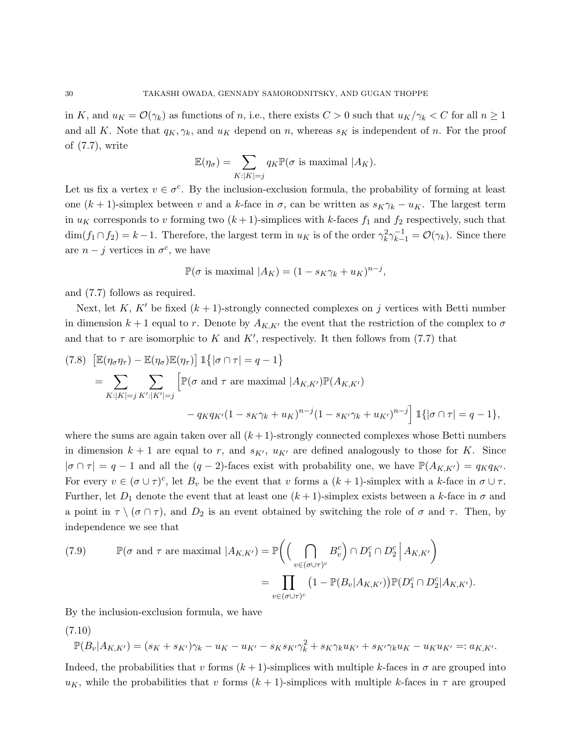in K, and  $u_K = \mathcal{O}(\gamma_k)$  as functions of n, i.e., there exists  $C > 0$  such that  $u_K/\gamma_k < C$  for all  $n \geq 1$ and all K. Note that  $q_K, \gamma_k$ , and  $u_K$  depend on n, whereas  $s_K$  is independent of n. For the proof of (7.7), write

$$
\mathbb{E}(\eta_{\sigma}) = \sum_{K:|K|=j} q_K \mathbb{P}(\sigma \text{ is maximal } |A_K).
$$

Let us fix a vertex  $v \in \sigma^c$ . By the inclusion-exclusion formula, the probability of forming at least one  $(k + 1)$ -simplex between v and a k-face in  $\sigma$ , can be written as  $s_K \gamma_k - u_K$ . The largest term in  $u_K$  corresponds to v forming two  $(k+1)$ -simplices with k-faces  $f_1$  and  $f_2$  respectively, such that  $\dim(f_1 \cap f_2) = k - 1$ . Therefore, the largest term in  $u_K$  is of the order  $\gamma_k^2 \gamma_{k-1}^{-1} = \mathcal{O}(\gamma_k)$ . Since there are  $n - j$  vertices in  $\sigma^c$ , we have

$$
\mathbb{P}(\sigma \text{ is maximal } |A_K) = (1 - s_K \gamma_k + u_K)^{n-j},
$$

and (7.7) follows as required.

Next, let K, K' be fixed  $(k + 1)$ -strongly connected complexes on j vertices with Betti number in dimension  $k+1$  equal to r. Denote by  $A_{K,K'}$  the event that the restriction of the complex to  $\sigma$ and that to  $\tau$  are isomorphic to K and K', respectively. It then follows from (7.7) that

$$
(7.8) \left[ \mathbb{E}(\eta_{\sigma}\eta_{\tau}) - \mathbb{E}(\eta_{\sigma})\mathbb{E}(\eta_{\tau}) \right] \mathbb{1}\left\{ |\sigma \cap \tau| = q - 1 \right\}
$$
  
\n
$$
= \sum_{K:|K|=j} \sum_{K':|K'|=j} \left[ \mathbb{P}(\sigma \text{ and } \tau \text{ are maximal } |A_{K,K'}) \mathbb{P}(A_{K,K'}) - q_K q_{K'} (1 - s_K \gamma_k + u_K)^{n-j} (1 - s_{K'} \gamma_k + u_{K'})^{n-j} \right] \mathbb{1}\left\{ |\sigma \cap \tau| = q - 1 \right\},
$$

where the sums are again taken over all  $(k+1)$ -strongly connected complexes whose Betti numbers in dimension  $k + 1$  are equal to r, and  $s_{K'}$ ,  $u_{K'}$  are defined analogously to those for K. Since  $|\sigma \cap \tau| = q - 1$  and all the  $(q - 2)$ -faces exist with probability one, we have  $\mathbb{P}(A_{K,K'}) = q_K q_{K'}$ . For every  $v \in (\sigma \cup \tau)^c$ , let  $B_v$  be the event that v forms a  $(k+1)$ -simplex with a k-face in  $\sigma \cup \tau$ . Further, let  $D_1$  denote the event that at least one  $(k+1)$ -simplex exists between a k-face in  $\sigma$  and a point in  $\tau \setminus (\sigma \cap \tau)$ , and  $D_2$  is an event obtained by switching the role of  $\sigma$  and  $\tau$ . Then, by independence we see that

(7.9) 
$$
\mathbb{P}(\sigma \text{ and } \tau \text{ are maximal } |A_{K,K'} ) = \mathbb{P}\left(\left(\bigcap_{v \in (\sigma \cup \tau)^c} B_v^c\right) \cap D_1^c \cap D_2^c \middle| A_{K,K'}\right)
$$

$$
= \prod_{v \in (\sigma \cup \tau)^c} \left(1 - \mathbb{P}(B_v | A_{K,K'})\right) \mathbb{P}(D_1^c \cap D_2^c | A_{K,K'} ).
$$

By the inclusion-exclusion formula, we have

(7.10)

$$
\mathbb{P}(B_v|A_{K,K'}) = (s_K + s_{K'})\gamma_k - u_K - u_{K'} - s_K s_{K'}\gamma_k^2 + s_K \gamma_k u_{K'} + s_{K'} \gamma_k u_K - u_K u_{K'} =: a_{K,K'}.
$$

Indeed, the probabilities that v forms  $(k+1)$ -simplices with multiple k-faces in  $\sigma$  are grouped into  $u_K$ , while the probabilities that v forms  $(k+1)$ -simplices with multiple k-faces in  $\tau$  are grouped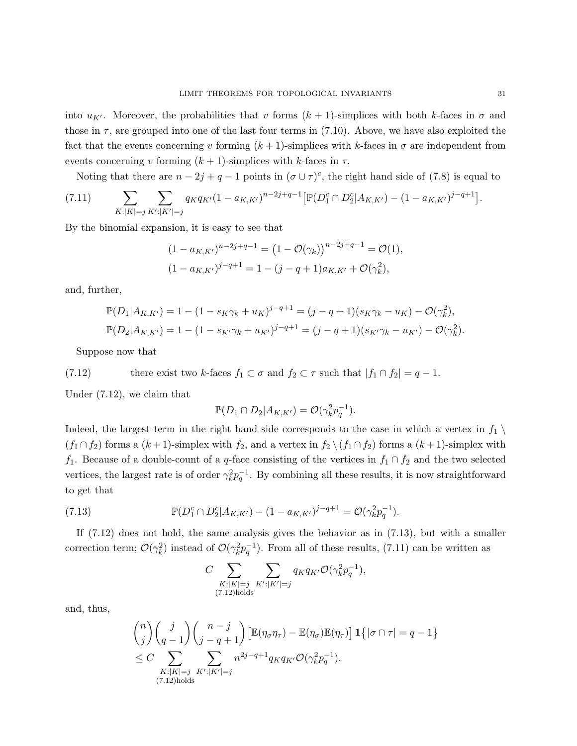into  $u_{K'}$ . Moreover, the probabilities that v forms  $(k + 1)$ -simplices with both k-faces in  $\sigma$  and those in  $\tau$ , are grouped into one of the last four terms in (7.10). Above, we have also exploited the fact that the events concerning v forming  $(k+1)$ -simplices with k-faces in  $\sigma$  are independent from events concerning v forming  $(k + 1)$ -simplices with k-faces in  $\tau$ .

Noting that there are  $n-2j+q-1$  points in  $(\sigma \cup \tau)^c$ , the right hand side of (7.8) is equal to

(7.11) 
$$
\sum_{K:|K|=j} \sum_{K':|K'|=j} q_K q_{K'} (1 - a_{K,K'})^{n-2j+q-1} \left[ \mathbb{P}(D_1^c \cap D_2^c | A_{K,K'}) - (1 - a_{K,K'})^{j-q+1} \right].
$$

By the binomial expansion, it is easy to see that

$$
(1 - a_{K,K'})^{n-2j+q-1} = (1 - \mathcal{O}(\gamma_k))^{n-2j+q-1} = \mathcal{O}(1),
$$
  

$$
(1 - a_{K,K'})^{j-q+1} = 1 - (j-q+1)a_{K,K'} + \mathcal{O}(\gamma_k^2),
$$

and, further,

$$
\mathbb{P}(D_1|A_{K,K'}) = 1 - (1 - s_K \gamma_k + u_K)^{j-q+1} = (j - q + 1)(s_K \gamma_k - u_K) - \mathcal{O}(\gamma_k^2),
$$
  

$$
\mathbb{P}(D_2|A_{K,K'}) = 1 - (1 - s_{K'} \gamma_k + u_{K'})^{j-q+1} = (j - q + 1)(s_{K'} \gamma_k - u_{K'}) - \mathcal{O}(\gamma_k^2).
$$

Suppose now that

(7.12) there exist two k-faces 
$$
f_1 \subset \sigma
$$
 and  $f_2 \subset \tau$  such that  $|f_1 \cap f_2| = q - 1$ .

Under (7.12), we claim that

$$
\mathbb{P}(D_1 \cap D_2 | A_{K,K'}) = \mathcal{O}(\gamma_k^2 p_q^{-1}).
$$

Indeed, the largest term in the right hand side corresponds to the case in which a vertex in  $f_1 \setminus$  $(f_1 \cap f_2)$  forms a  $(k+1)$ -simplex with  $f_2$ , and a vertex in  $f_2 \setminus (f_1 \cap f_2)$  forms a  $(k+1)$ -simplex with f<sub>1</sub>. Because of a double-count of a q-face consisting of the vertices in  $f_1 \cap f_2$  and the two selected vertices, the largest rate is of order  $\gamma_k^2 p_q^{-1}$ . By combining all these results, it is now straightforward to get that

(7.13) 
$$
\mathbb{P}(D_1^c \cap D_2^c | A_{K,K'}) - (1 - a_{K,K'})^{j-q+1} = \mathcal{O}(\gamma_k^2 p_q^{-1}).
$$

If  $(7.12)$  does not hold, the same analysis gives the behavior as in  $(7.13)$ , but with a smaller correction term;  $\mathcal{O}(\gamma_k^2)$  instead of  $\mathcal{O}(\gamma_k^2 p_q^{-1})$ . From all of these results, (7.11) can be written as

$$
C \sum_{\substack{K:|K|=j\\(7.12)\text{holds}}} \sum_{K':|K'|=j} q_K q_{K'} \mathcal{O}(\gamma_k^2 p_q^{-1}),
$$

and, thus,

$$
\binom{n}{j}\binom{j}{q-1}\binom{n-j}{j-q+1}\left[\mathbb{E}(\eta_{\sigma}\eta_{\tau})-\mathbb{E}(\eta_{\sigma})\mathbb{E}(\eta_{\tau})\right]\mathbb{1}\left\{|\sigma\cap\tau|=q-1\right\}
$$
  
\n
$$
\leq C \sum_{\substack{K:|K|=j\\(7.12) \text{holds}}} \sum_{K':|K'|=j} n^{2j-q+1} q_K q_{K'} \mathcal{O}(\gamma_k^2 p_q^{-1}).
$$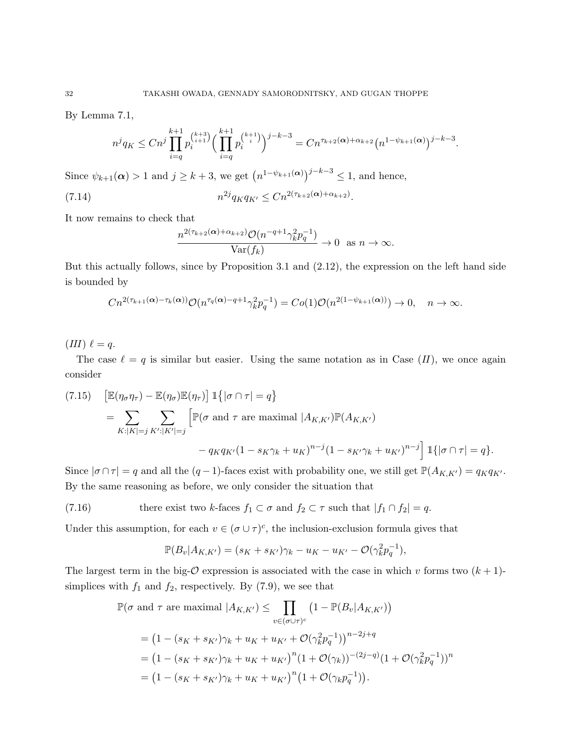By Lemma 7.1,

$$
n^j q_K \le Cn^j \prod_{i=q}^{k+1} p_i^{k+3} \Big(\prod_{i=q}^{k+1} p_i^{k+1} \Big)^{j-k-3} = Cn^{\tau_{k+2}(\alpha) + \alpha_{k+2}} (n^{1-\psi_{k+1}(\alpha)})^{j-k-3}.
$$

Since  $\psi_{k+1}(\alpha) > 1$  and  $j \geq k+3$ , we get  $(n^{1-\psi_{k+1}(\alpha)})^{j-k-3} \leq 1$ , and hence,

(7.14) 
$$
n^{2j} q_K q_{K'} \leq C n^{2(\tau_{k+2}(\alpha) + \alpha_{k+2})}.
$$

It now remains to check that

$$
\frac{n^{2(\tau_{k+2}(\alpha)+\alpha_{k+2})}\mathcal{O}(n^{-q+1}\gamma_k^2p_q^{-1})}{\text{Var}(f_k)}\to 0 \text{ as } n\to\infty.
$$

But this actually follows, since by Proposition 3.1 and (2.12), the expression on the left hand side is bounded by

$$
Cn^{2(\tau_{k+1}(\alpha)-\tau_k(\alpha))}\mathcal{O}(n^{\tau_q(\alpha)-q+1}\gamma_k^2p_q^{-1})=Co(1)\mathcal{O}(n^{2(1-\psi_{k+1}(\alpha))})\to 0, \quad n\to\infty.
$$

 $(III) \ell = q.$ 

The case  $\ell = q$  is similar but easier. Using the same notation as in Case  $(II)$ , we once again consider

(7.15) 
$$
\begin{aligned} \left[\mathbb{E}(\eta_{\sigma}\eta_{\tau}) - \mathbb{E}(\eta_{\sigma})\mathbb{E}(\eta_{\tau})\right] & \mathbb{1}\left\{|\sigma \cap \tau| = q\right\} \\ &= \sum_{K:|K|=j} \sum_{K':|K'|=j} \left[\mathbb{P}(\sigma \text{ and } \tau \text{ are maximal } |A_{K,K'})\mathbb{P}(A_{K,K'}) \\ &- q_K q_{K'} (1 - s_K \gamma_k + u_K)^{n-j} (1 - s_{K'} \gamma_k + u_{K'})^{n-j}\right] \mathbb{1}\left\{|\sigma \cap \tau| = q\right\}. \end{aligned}
$$

Since  $|\sigma \cap \tau| = q$  and all the  $(q-1)$ -faces exist with probability one, we still get  $\mathbb{P}(A_{K,K'}) = q_K q_{K'}$ . By the same reasoning as before, we only consider the situation that

(7.16) there exist two k-faces  $f_1 \subset \sigma$  and  $f_2 \subset \tau$  such that  $|f_1 \cap f_2| = q$ .

Under this assumption, for each  $v \in (\sigma \cup \tau)^c$ , the inclusion-exclusion formula gives that

$$
\mathbb{P}(B_v|A_{K,K'}) = (s_K + s_{K'})\gamma_k - u_K - u_{K'} - \mathcal{O}(\gamma_k^2 p_q^{-1}),
$$

The largest term in the big- $\mathcal O$  expression is associated with the case in which v forms two  $(k+1)$ simplices with  $f_1$  and  $f_2$ , respectively. By (7.9), we see that

$$
\mathbb{P}(\sigma \text{ and } \tau \text{ are maximal } |A_{K,K'} ) \leq \prod_{v \in (\sigma \cup \tau)^c} (1 - \mathbb{P}(B_v | A_{K,K'}))
$$
  
=  $(1 - (s_K + s_{K'})\gamma_k + u_K + u_{K'} + \mathcal{O}(\gamma_k^2 p_q^{-1}))^{n-2j+q}$   
=  $(1 - (s_K + s_{K'})\gamma_k + u_K + u_{K'})^n (1 + \mathcal{O}(\gamma_k))^{{-(2j-q)}} (1 + \mathcal{O}(\gamma_k^2 p_q^{-1}))^n$   
=  $(1 - (s_K + s_{K'})\gamma_k + u_K + u_{K'})^n (1 + \mathcal{O}(\gamma_k p_q^{-1})).$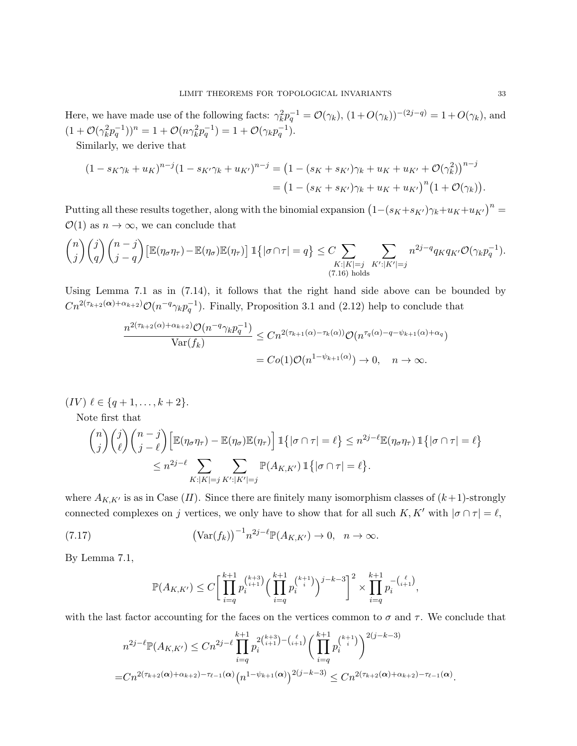Here, we have made use of the following facts:  $\gamma_k^2 p_q^{-1} = \mathcal{O}(\gamma_k)$ ,  $(1 + O(\gamma_k))^{-(2j-q)} = 1 + O(\gamma_k)$ , and  $(1 + \mathcal{O}(\gamma_k^2 p_q^{-1}))^n = 1 + \mathcal{O}(n \gamma_k^2 p_q^{-1}) = 1 + \mathcal{O}(\gamma_k p_q^{-1}).$ 

Similarly, we derive that

$$
(1 - s_K \gamma_k + u_K)^{n-j} (1 - s_{K'} \gamma_k + u_{K'})^{n-j} = (1 - (s_K + s_{K'}) \gamma_k + u_K + u_{K'} + \mathcal{O}(\gamma_k^2))^{n-j}
$$
  
= 
$$
(1 - (s_K + s_{K'}) \gamma_k + u_K + u_{K'})^n (1 + \mathcal{O}(\gamma_k)).
$$

Putting all these results together, along with the binomial expansion  $(I-(s_K+s_{K'})\gamma_k+u_K+u_{K'})^n =$  $\mathcal{O}(1)$  as  $n \to \infty$ , we can conclude that

$$
\binom{n}{j}\binom{j}{q}\binom{n-j}{j-q} \left[\mathbb{E}(\eta_{\sigma}\eta_{\tau})-\mathbb{E}(\eta_{\sigma})\mathbb{E}(\eta_{\tau})\right] \mathbb{1}\left\{|\sigma \cap \tau| = q\right\} \leq C \sum_{\substack{K:|K|=j\\(7.16) \text{ holds}}} \sum_{K':|K'|=j} n^{2j-q} q_K q_{K'} \mathcal{O}(\gamma_k p_q^{-1}).
$$

Using Lemma 7.1 as in (7.14), it follows that the right hand side above can be bounded by  $Cn^{2(\tau_{k+2}(\alpha)+\alpha_{k+2})}\mathcal{O}(n^{-q}\gamma_k p_q^{-1}).$  Finally, Proposition 3.1 and (2.12) help to conclude that

$$
\frac{n^{2(\tau_{k+2}(\alpha)+\alpha_{k+2})}\mathcal{O}(n^{-q}\gamma_k p_q^{-1})}{\text{Var}(f_k)} \le Cn^{2(\tau_{k+1}(\alpha)-\tau_k(\alpha))}\mathcal{O}(n^{\tau_q(\alpha)-q-\psi_{k+1}(\alpha)+\alpha_q})
$$

$$
= Co(1)\mathcal{O}(n^{1-\psi_{k+1}(\alpha)}) \to 0, \quad n \to \infty.
$$

$$
(IV) \ell \in \{q+1,\ldots,k+2\}.
$$

Note first that

$$
\binom{n}{j}\binom{j}{\ell}\binom{n-j}{j-\ell}\left[\mathbb{E}(\eta_{\sigma}\eta_{\tau})-\mathbb{E}(\eta_{\sigma})\mathbb{E}(\eta_{\tau})\right]\mathbbm{1}\left\{|\sigma\cap\tau|=\ell\right\}\leq n^{2j-\ell}\mathbb{E}(\eta_{\sigma}\eta_{\tau})\mathbbm{1}\left\{|\sigma\cap\tau|=\ell\right\}
$$
\n
$$
\leq n^{2j-\ell}\sum_{K:\,|K|=j}\sum_{K':|K'|=j}\mathbb{P}(A_{K,K'})\mathbbm{1}\left\{|\sigma\cap\tau|=\ell\right\}.
$$

where  $A_{K,K'}$  is as in Case  $(II)$ . Since there are finitely many isomorphism classes of  $(k+1)$ -strongly connected complexes on j vertices, we only have to show that for all such  $K, K'$  with  $|\sigma \cap \tau| = \ell$ ,

(7.17) 
$$
\left(\text{Var}(f_k)\right)^{-1} n^{2j-\ell} \mathbb{P}(A_{K,K'}) \to 0, \quad n \to \infty.
$$

By Lemma 7.1,

$$
\mathbb{P}(A_{K,K'}) \leq C \bigg[ \prod_{i=q}^{k+1} p_i^{\binom{k+3}{i+1}} \Big(\prod_{i=q}^{k+1} p_i^{\binom{k+1}{i}}\Big)^{j-k-3} \bigg]^2 \times \prod_{i=q}^{k+1} p_i^{-\binom{\ell}{i+1}},
$$

with the last factor accounting for the faces on the vertices common to  $\sigma$  and  $\tau$ . We conclude that

$$
n^{2j-\ell} \mathbb{P}(A_{K,K'}) \leq C n^{2j-\ell} \prod_{i=q}^{k+1} p_i^{2\binom{k+3}{i+1} - \binom{\ell}{i+1}} \bigg(\prod_{i=q}^{k+1} p_i^{\binom{k+1}{i}}\bigg)^{2(j-k-3)}
$$
  
= 
$$
C n^{2(\tau_{k+2}(\alpha) + \alpha_{k+2}) - \tau_{\ell-1}(\alpha)} \bigg(n^{1-\psi_{k+1}(\alpha)}\bigg)^{2(j-k-3)} \leq C n^{2(\tau_{k+2}(\alpha) + \alpha_{k+2}) - \tau_{\ell-1}(\alpha)}.
$$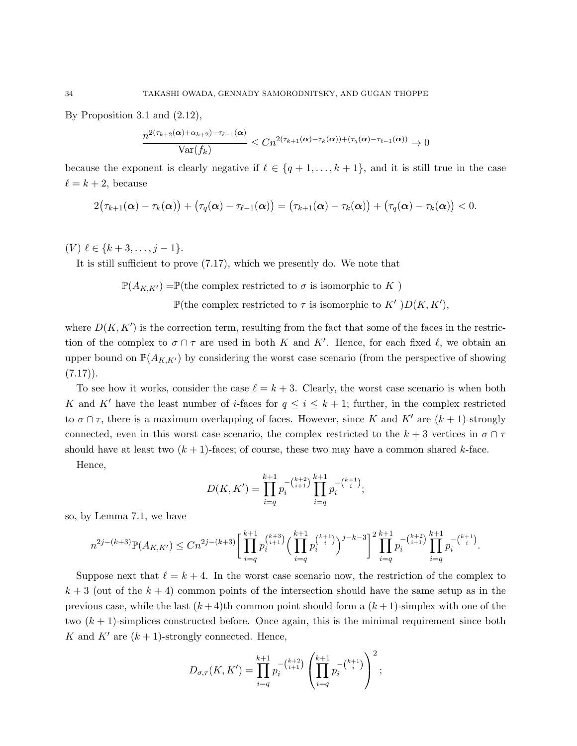By Proposition 3.1 and (2.12),

$$
\frac{n^{2(\tau_{k+2}(\boldsymbol{\alpha})+\alpha_{k+2})-\tau_{\ell-1}(\boldsymbol{\alpha})}}{\text{Var}(f_k)}\leq Cn^{2(\tau_{k+1}(\boldsymbol{\alpha})-\tau_k(\boldsymbol{\alpha}))+(\tau_q(\boldsymbol{\alpha})-\tau_{\ell-1}(\boldsymbol{\alpha}))}\to 0
$$

because the exponent is clearly negative if  $\ell \in \{q + 1, \ldots, k + 1\}$ , and it is still true in the case  $\ell = k + 2$ , because

$$
2(\tau_{k+1}(\boldsymbol{\alpha})-\tau_k(\boldsymbol{\alpha})) + (\tau_q(\boldsymbol{\alpha})-\tau_{\ell-1}(\boldsymbol{\alpha})) = (\tau_{k+1}(\boldsymbol{\alpha})-\tau_k(\boldsymbol{\alpha})) + (\tau_q(\boldsymbol{\alpha})-\tau_k(\boldsymbol{\alpha})) < 0.
$$

 $(V) \ell \in \{k + 3, \ldots, j - 1\}.$ 

It is still sufficient to prove (7.17), which we presently do. We note that

$$
\mathbb{P}(A_{K,K'}) = \mathbb{P}(\text{the complex restricted to } \sigma \text{ is isomorphic to } K)
$$

P(the complex restricted to  $\tau$  is isomorphic to K' ) $D(K, K')$ ,

where  $D(K, K')$  is the correction term, resulting from the fact that some of the faces in the restriction of the complex to  $\sigma \cap \tau$  are used in both K and K'. Hence, for each fixed  $\ell$ , we obtain an upper bound on  $\mathbb{P}(A_{K,K})$  by considering the worst case scenario (from the perspective of showing  $(7.17)$ .

To see how it works, consider the case  $\ell = k + 3$ . Clearly, the worst case scenario is when both K and K' have the least number of *i*-faces for  $q \leq i \leq k+1$ ; further, in the complex restricted to  $\sigma \cap \tau$ , there is a maximum overlapping of faces. However, since K and K' are  $(k + 1)$ -strongly connected, even in this worst case scenario, the complex restricted to the  $k + 3$  vertices in  $\sigma \cap \tau$ should have at least two  $(k + 1)$ -faces; of course, these two may have a common shared k-face.

Hence,

$$
D(K, K') = \prod_{i=q}^{k+1} p_i^{-\binom{k+2}{i+1}} \prod_{i=q}^{k+1} p_i^{-\binom{k+1}{i}},
$$

so, by Lemma 7.1, we have

$$
n^{2j-(k+3)}\mathbb{P}(A_{K,K'}) \leq Cn^{2j-(k+3)} \bigg[ \prod_{i=q}^{k+1} p_i^{\binom{k+3}{i+1}} \Big(\prod_{i=q}^{k+1} p_i^{\binom{k+1}{i}}\Big)^{j-k-3} \bigg]^2 \prod_{i=q}^{k+1} p_i^{-\binom{k+2}{i+1}} \prod_{i=q}^{k+1} p_i^{-\binom{k+1}{i}}.
$$

Suppose next that  $\ell = k + 4$ . In the worst case scenario now, the restriction of the complex to  $k + 3$  (out of the  $k + 4$ ) common points of the intersection should have the same setup as in the previous case, while the last  $(k+4)$ th common point should form a  $(k+1)$ -simplex with one of the two  $(k + 1)$ -simplices constructed before. Once again, this is the minimal requirement since both K and K' are  $(k + 1)$ -strongly connected. Hence,

$$
D_{\sigma,\tau}(K,K') = \prod_{i=q}^{k+1} p_i^{-(k+2) \over (i+1)} \left( \prod_{i=q}^{k+1} p_i^{-(k+1)} \right)^2;
$$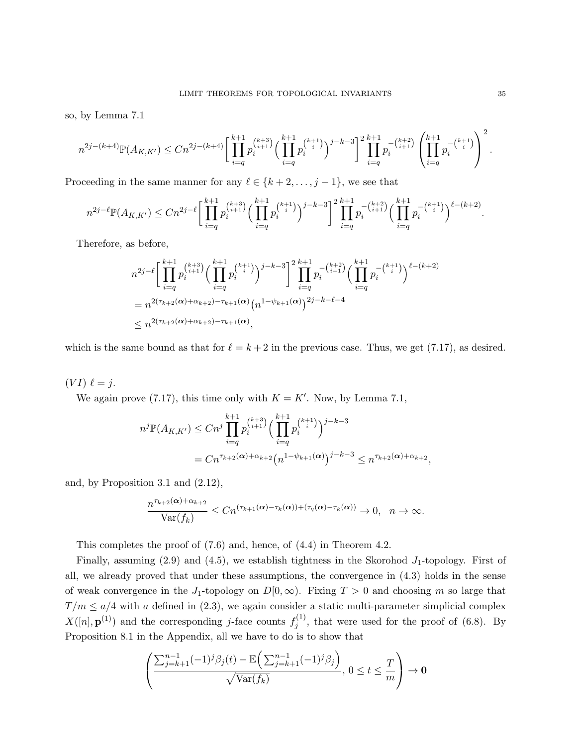so, by Lemma 7.1

$$
n^{2j-(k+4)}\mathbb{P}(A_{K,K'}) \leq Cn^{2j-(k+4)} \bigg[ \prod_{i=q}^{k+1} p_i^{k+3} \bigg( \prod_{i=q}^{k+1} p_i^{k+1} \bigg)^{j-k-3} \bigg]^2 \prod_{i=q}^{k+1} p_i^{-\binom{k+2}{i+1}} \left( \prod_{i=q}^{k+1} p_i^{-\binom{k+1}{i}} \right)^2.
$$

Proceeding in the same manner for any  $\ell \in \{k+2, \ldots, j-1\}$ , we see that

$$
n^{2j-\ell} \mathbb{P}(A_{K,K'}) \leq C n^{2j-\ell} \bigg[ \prod_{i=q}^{k+1} p_i^{\binom{k+3}{i+1}} \Big(\prod_{i=q}^{k+1} p_i^{\binom{k+1}{i}} \Big)^{j-k-3} \bigg]^2 \prod_{i=q}^{k+1} p_i^{-\binom{k+2}{i+1}} \Big(\prod_{i=q}^{k+1} p_i^{-\binom{k+1}{i}} \Big)^{\ell-(k+2)}.
$$

Therefore, as before,

$$
n^{2j-\ell} \Bigg[ \prod_{i=q}^{k+1} p_i^{k+3} \Big( \prod_{i=q}^{k+1} p_i^{k+1} \Big)^{j-k-3} \Bigg]^2 \prod_{i=q}^{k+1} p_i^{-(k+2)} \Big( \prod_{i=q}^{k+1} p_i^{-k+1} \Big)^{\ell-(k+2)}
$$
  
=  $n^{2(\tau_{k+2}(\alpha) + \alpha_{k+2}) - \tau_{k+1}(\alpha)} (n^{1-\psi_{k+1}(\alpha)})^{2j-k-\ell-4}$   
 $\leq n^{2(\tau_{k+2}(\alpha) + \alpha_{k+2}) - \tau_{k+1}(\alpha)},$ 

which is the same bound as that for  $\ell = k + 2$  in the previous case. Thus, we get (7.17), as desired.

 $(V I) \ell = j.$ 

We again prove (7.17), this time only with  $K = K'$ . Now, by Lemma 7.1,

$$
n^j \mathbb{P}(A_{K,K'}) \le C n^j \prod_{i=q}^{k+1} p_i^{\binom{k+3}{i+1}} \Big(\prod_{i=q}^{k+1} p_i^{\binom{k+1}{i}}\Big)^{j-k-3}
$$
  
=  $C n^{\tau_{k+2}(\alpha) + \alpha_{k+2}} (n^{1-\psi_{k+1}(\alpha)})^{j-k-3} \le n^{\tau_{k+2}(\alpha) + \alpha_{k+2}},$ 

and, by Proposition 3.1 and (2.12),

$$
\frac{n^{\tau_{k+2}(\alpha)+\alpha_{k+2}}}{\text{Var}(f_k)} \le Cn^{(\tau_{k+1}(\alpha)-\tau_k(\alpha))+(\tau_q(\alpha)-\tau_k(\alpha))} \to 0, \quad n \to \infty.
$$

This completes the proof of (7.6) and, hence, of (4.4) in Theorem 4.2.

Finally, assuming  $(2.9)$  and  $(4.5)$ , we establish tightness in the Skorohod  $J_1$ -topology. First of all, we already proved that under these assumptions, the convergence in (4.3) holds in the sense of weak convergence in the J<sub>1</sub>-topology on  $D[0,\infty)$ . Fixing  $T > 0$  and choosing m so large that  $T/m \leq a/4$  with a defined in (2.3), we again consider a static multi-parameter simplicial complex  $X([n], \mathbf{p}^{(1)})$  and the corresponding j-face counts  $f_i^{(1)}$  $j_j^{(1)}$ , that were used for the proof of (6.8). By Proposition 8.1 in the Appendix, all we have to do is to show that

$$
\left(\frac{\sum_{j=k+1}^{n-1}(-1)^j\beta_j(t)-\mathbb{E}\left(\sum_{j=k+1}^{n-1}(-1)^j\beta_j\right)}{\sqrt{\text{Var}(f_k)}}, 0 \le t \le \frac{T}{m}\right) \to \mathbf{0}
$$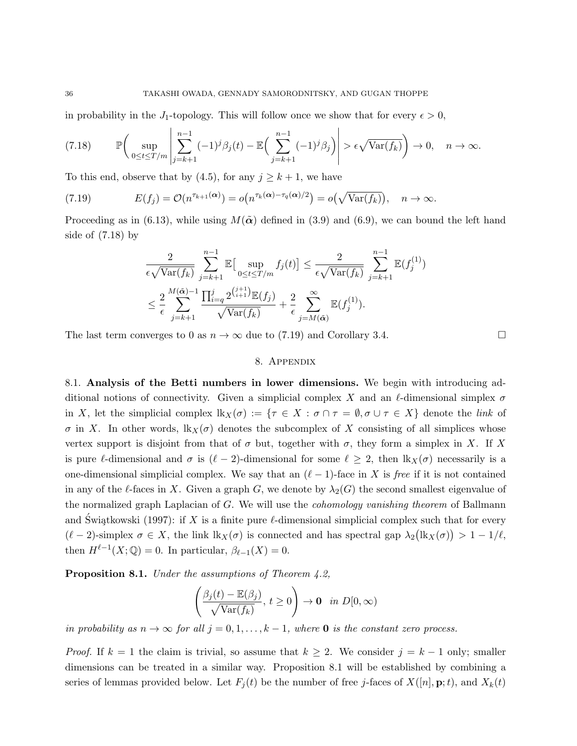in probability in the J<sub>1</sub>-topology. This will follow once we show that for every  $\epsilon > 0$ ,

$$
(7.18) \qquad \mathbb{P}\bigg(\sup_{0\leq t\leq T/m}\left|\sum_{j=k+1}^{n-1}(-1)^j\beta_j(t)-\mathbb{E}\Big(\sum_{j=k+1}^{n-1}(-1)^j\beta_j\Big)\right|>\epsilon\sqrt{\text{Var}(f_k)}\bigg)\to 0, \quad n\to\infty.
$$

To this end, observe that by (4.5), for any  $j \geq k+1$ , we have

(7.19) 
$$
E(f_j) = \mathcal{O}(n^{\tau_{k+1}(\alpha)}) = o(n^{\tau_k(\alpha) - \tau_q(\alpha)/2}) = o(\sqrt{\text{Var}(f_k)}), \quad n \to \infty.
$$

Proceeding as in (6.13), while using  $M(\tilde{\alpha})$  defined in (3.9) and (6.9), we can bound the left hand side of (7.18) by

$$
\frac{2}{\epsilon\sqrt{\text{Var}(f_k)}} \sum_{j=k+1}^{n-1} \mathbb{E}\big[\sup_{0 \le t \le T/m} f_j(t)\big] \le \frac{2}{\epsilon\sqrt{\text{Var}(f_k)}} \sum_{j=k+1}^{n-1} \mathbb{E}(f_j^{(1)})
$$

$$
\le \frac{2}{\epsilon} \sum_{j=k+1}^{M(\tilde{\alpha})-1} \frac{\prod_{i=q}^j 2^{\binom{j+1}{i+1}} \mathbb{E}(f_j)}{\sqrt{\text{Var}(f_k)}} + \frac{2}{\epsilon} \sum_{j=M(\tilde{\alpha})}^{\infty} \mathbb{E}(f_j^{(1)}).
$$

The last term converges to 0 as  $n \to \infty$  due to (7.19) and Corollary 3.4.

#### 8. Appendix

8.1. Analysis of the Betti numbers in lower dimensions. We begin with introducing additional notions of connectivity. Given a simplicial complex X and an  $\ell$ -dimensional simplex  $\sigma$ in X, let the simplicial complex  $lk_X(\sigma) := \{\tau \in X : \sigma \cap \tau = \emptyset, \sigma \cup \tau \in X\}$  denote the link of  $\sigma$  in X. In other words,  $\text{lk}_X(\sigma)$  denotes the subcomplex of X consisting of all simplices whose vertex support is disjoint from that of  $\sigma$  but, together with  $\sigma$ , they form a simplex in X. If X is pure  $\ell$ -dimensional and  $\sigma$  is  $(\ell - 2)$ -dimensional for some  $\ell \geq 2$ , then  $\text{lk}_X(\sigma)$  necessarily is a one-dimensional simplicial complex. We say that an  $(\ell - 1)$ -face in X is free if it is not contained in any of the l-faces in X. Given a graph G, we denote by  $\lambda_2(G)$  the second smallest eigenvalue of the normalized graph Laplacian of G. We will use the *cohomology vanishing theorem* of Ballmann and Swiątkowski (1997): if X is a finite pure  $\ell$ -dimensional simplicial complex such that for every  $(\ell - 2)$ -simplex  $\sigma \in X$ , the link  $\text{lk}_X(\sigma)$  is connected and has spectral gap  $\lambda_2(\text{lk}_X(\sigma)) > 1 - 1/\ell$ , then  $H^{\ell-1}(X; \mathbb{Q}) = 0$ . In particular,  $\beta_{\ell-1}(X) = 0$ .

**Proposition 8.1.** Under the assumptions of Theorem  $4.2$ ,

$$
\left(\frac{\beta_j(t) - \mathbb{E}(\beta_j)}{\sqrt{\text{Var}(f_k)}}, t \ge 0\right) \to \mathbf{0} \text{ in } D[0, \infty)
$$

in probability as  $n \to \infty$  for all  $j = 0, 1, \ldots, k - 1$ , where **0** is the constant zero process.

*Proof.* If  $k = 1$  the claim is trivial, so assume that  $k \geq 2$ . We consider  $j = k - 1$  only; smaller dimensions can be treated in a similar way. Proposition 8.1 will be established by combining a series of lemmas provided below. Let  $F_j(t)$  be the number of free j-faces of  $X([n], \mathbf{p}; t)$ , and  $X_k(t)$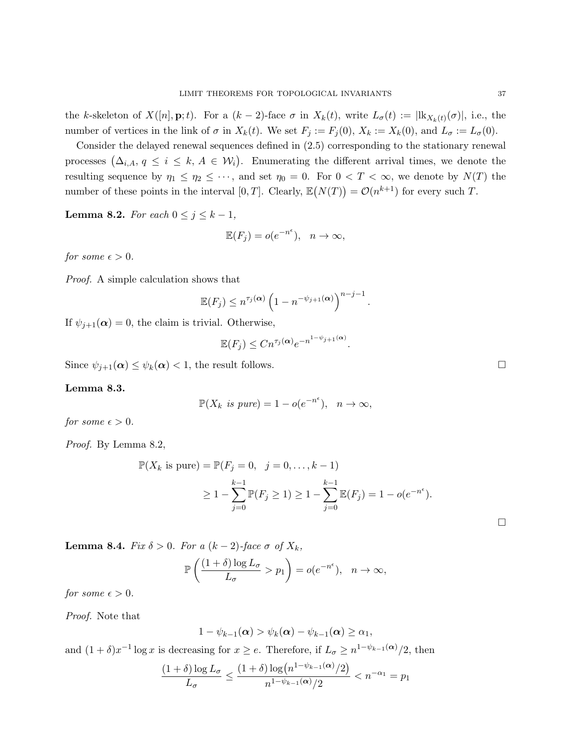the k-skeleton of  $X([n], \mathbf{p}; t)$ . For a  $(k-2)$ -face  $\sigma$  in  $X_k(t)$ , write  $L_{\sigma}(t) := ||\mathbf{k}_{X_k(t)}(\sigma)|$ , i.e., the number of vertices in the link of  $\sigma$  in  $X_k(t)$ . We set  $F_j := F_j(0), X_k := X_k(0)$ , and  $L_{\sigma} := L_{\sigma}(0)$ .

Consider the delayed renewal sequences defined in (2.5) corresponding to the stationary renewal processes  $(\Delta_{i,A}, q \leq i \leq k, A \in \mathcal{W}_i)$ . Enumerating the different arrival times, we denote the resulting sequence by  $\eta_1 \leq \eta_2 \leq \cdots$ , and set  $\eta_0 = 0$ . For  $0 < T < \infty$ , we denote by  $N(T)$  the number of these points in the interval  $[0, T]$ . Clearly,  $\mathbb{E}(N(T)) = \mathcal{O}(n^{k+1})$  for every such T.

**Lemma 8.2.** For each  $0 \leq j \leq k-1$ ,

$$
\mathbb{E}(F_j) = o(e^{-n^{\epsilon}}), \quad n \to \infty,
$$

for some  $\epsilon > 0$ .

Proof. A simple calculation shows that

$$
\mathbb{E}(F_j) \le n^{\tau_j(\boldsymbol{\alpha})} \left(1 - n^{-\psi_{j+1}(\boldsymbol{\alpha})}\right)^{n-j-1}.
$$

If  $\psi_{i+1}(\alpha) = 0$ , the claim is trivial. Otherwise,

$$
\mathbb{E}(F_j) \le Cn^{\tau_j(\alpha)}e^{-n^{1-\psi_{j+1}(\alpha)}}
$$

.

Since  $\psi_{j+1}(\alpha) \leq \psi_k(\alpha) < 1$ , the result follows.

# Lemma 8.3.

$$
\mathbb{P}(X_k \text{ is pure}) = 1 - o(e^{-n^{\epsilon}}), \quad n \to \infty,
$$

for some  $\epsilon > 0$ .

Proof. By Lemma 8.2,

$$
\mathbb{P}(X_k \text{ is pure}) = \mathbb{P}(F_j = 0, \quad j = 0, \dots, k - 1) \\
 \ge 1 - \sum_{j=0}^{k-1} \mathbb{P}(F_j \ge 1) \ge 1 - \sum_{j=0}^{k-1} \mathbb{E}(F_j) = 1 - o(e^{-n^{\epsilon}}).
$$

Lemma 8.4. Fix  $\delta > 0$ . For a  $(k-2)$ -face  $\sigma$  of  $X_k$ ,

$$
\mathbb{P}\left(\frac{(1+\delta)\log L_{\sigma}}{L_{\sigma}} > p_1\right) = o(e^{-n^{\epsilon}}), \quad n \to \infty,
$$

for some  $\epsilon > 0$ .

Proof. Note that

$$
1 - \psi_{k-1}(\boldsymbol{\alpha}) > \psi_k(\boldsymbol{\alpha}) - \psi_{k-1}(\boldsymbol{\alpha}) \geq \alpha_1,
$$

and  $(1+\delta)x^{-1}\log x$  is decreasing for  $x\geq e$ . Therefore, if  $L_{\sigma}\geq n^{1-\psi_{k-1}(\alpha)}/2$ , then

$$
\frac{(1+\delta)\log L_{\sigma}}{L_{\sigma}} \le \frac{(1+\delta)\log\left(n^{1-\psi_{k-1}(\alpha)}/2\right)}{n^{1-\psi_{k-1}(\alpha)}/2} < n^{-\alpha_1} = p_1
$$

 $\Box$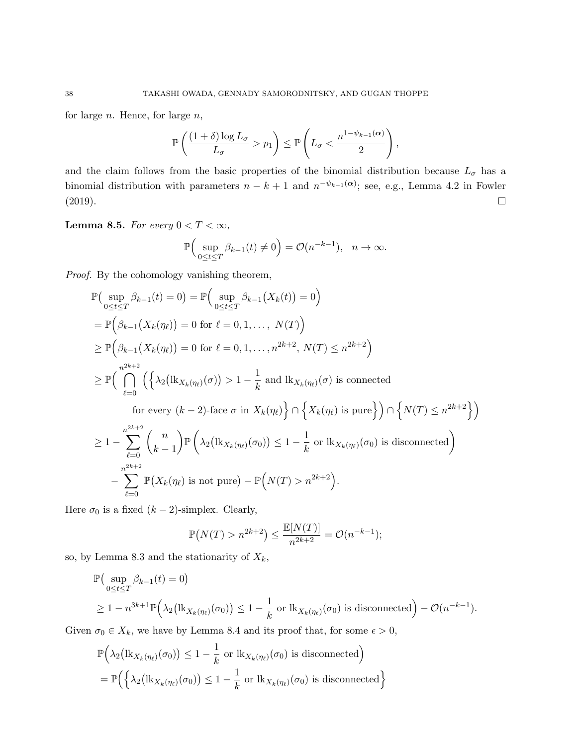for large  $n$ . Hence, for large  $n$ ,

$$
\mathbb{P}\left(\frac{(1+\delta)\log L_{\sigma}}{L_{\sigma}} > p_1\right) \leq \mathbb{P}\left(L_{\sigma} < \frac{n^{1-\psi_{k-1}(\alpha)}}{2}\right),
$$

and the claim follows from the basic properties of the binomial distribution because  $L_{\sigma}$  has a binomial distribution with parameters  $n - k + 1$  and  $n^{-\psi_{k-1}(\alpha)}$ ; see, e.g., Lemma 4.2 in Fowler  $(2019).$ 

# Lemma 8.5. For every  $0 < T < \infty$ ,

$$
\mathbb{P}\Big(\sup_{0\leq t\leq T}\beta_{k-1}(t)\neq 0\Big)=\mathcal{O}(n^{-k-1}),\ \ n\to\infty.
$$

Proof. By the cohomology vanishing theorem,

$$
\mathbb{P}\left(\sup_{0\leq t\leq T}\beta_{k-1}(t)=0\right)=\mathbb{P}\left(\sup_{0\leq t\leq T}\beta_{k-1}\left(X_{k}(t)\right)=0\right)
$$
\n
$$
=\mathbb{P}\left(\beta_{k-1}\left(X_{k}(\eta_{\ell})\right)=0 \text{ for } \ell=0,1,\ldots,N(T)\right)
$$
\n
$$
\geq \mathbb{P}\left(\beta_{k-1}\left(X_{k}(\eta_{\ell})\right)=0 \text{ for } \ell=0,1,\ldots,n^{2k+2},N(T)\leq n^{2k+2}\right)
$$
\n
$$
\geq \mathbb{P}\left(\bigcap_{\ell=0}^{n^{2k+2}}\left(\left\{\lambda_{2}\left(\operatorname{lk}_{X_{k}(\eta_{\ell})}(\sigma)\right)>1-\frac{1}{k} \text{ and } \operatorname{lk}_{X_{k}(\eta_{\ell})}(\sigma) \text{ is connected} \right.\right.
$$
\nfor every  $(k-2)$ -face  $\sigma$  in  $X_{k}(\eta_{\ell})\right\} \cap \left\{X_{k}(\eta_{\ell}) \text{ is pure}\right\} \cap \left\{N(T)\leq n^{2k+2}\right\}$ )\n
$$
\geq 1-\sum_{\ell=0}^{n^{2k+2}}\binom{n}{k-1}\mathbb{P}\left(\lambda_{2}\left(\operatorname{lk}_{X_{k}(\eta_{\ell})}(\sigma_{0})\right)\leq 1-\frac{1}{k} \text{ or } \operatorname{lk}_{X_{k}(\eta_{\ell})}(\sigma_{0}) \text{ is disconnected}
$$
\n
$$
-\sum_{\ell=0}^{n^{2k+2}}\mathbb{P}(X_{k}(\eta_{\ell}) \text{ is not pure})-\mathbb{P}\left(N(T)>n^{2k+2}\right).
$$

Here  $\sigma_0$  is a fixed  $(k-2)$ -simplex. Clearly,

$$
\mathbb{P}(N(T) > n^{2k+2}) \le \frac{\mathbb{E}[N(T)]}{n^{2k+2}} = \mathcal{O}(n^{-k-1});
$$

so, by Lemma 8.3 and the stationarity of  $X_k$ ,

$$
\mathbb{P}\left(\sup_{0\leq t\leq T} \beta_{k-1}(t) = 0\right)
$$
  
\n
$$
\geq 1 - n^{3k+1} \mathbb{P}\left(\lambda_2\left(\mathbf{lk}_{X_k(\eta_\ell)}(\sigma_0)\right) \leq 1 - \frac{1}{k} \text{ or } \mathbf{lk}_{X_k(\eta_\ell)}(\sigma_0) \text{ is disconnected}\right) - \mathcal{O}(n^{-k-1}).
$$

Given  $\sigma_0 \in X_k$ , we have by Lemma 8.4 and its proof that, for some  $\epsilon > 0$ ,

$$
\mathbb{P}\Big(\lambda_2\big(\text{lk}_{X_k(\eta_\ell)}(\sigma_0)\big) \le 1 - \frac{1}{k} \text{ or } \text{lk}_{X_k(\eta_\ell)}(\sigma_0) \text{ is disconnected}\Big)
$$
  
= 
$$
\mathbb{P}\Big(\Big\{\lambda_2\big(\text{lk}_{X_k(\eta_\ell)}(\sigma_0)\big) \le 1 - \frac{1}{k} \text{ or } \text{lk}_{X_k(\eta_\ell)}(\sigma_0) \text{ is disconnected}\Big\}
$$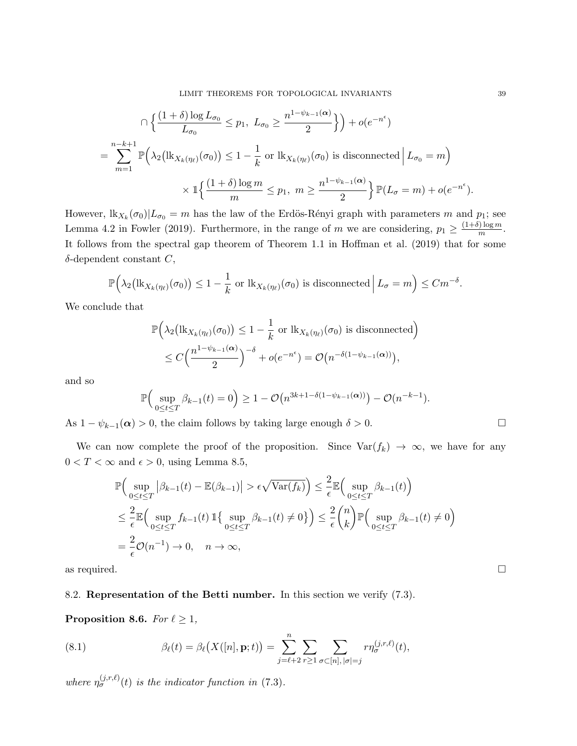$$
\bigcap \left\{ \frac{(1+\delta)\log L_{\sigma_0}}{L_{\sigma_0}} \le p_1, \ L_{\sigma_0} \ge \frac{n^{1-\psi_{k-1}(\alpha)}}{2} \right\} \bigg\} + o(e^{-n^{\epsilon}})
$$
  
= 
$$
\sum_{m=1}^{n-k+1} \mathbb{P}\Big(\lambda_2\big(\text{lk}_{X_k(\eta_\ell)}(\sigma_0)\big) \le 1 - \frac{1}{k} \text{ or } \text{lk}_{X_k(\eta_\ell)}(\sigma_0) \text{ is disconnected} \Big| L_{\sigma_0} = m \Big)
$$
  

$$
\times \mathbb{1} \Big\{ \frac{(1+\delta)\log m}{m} \le p_1, \ m \ge \frac{n^{1-\psi_{k-1}(\alpha)}}{2} \Big\} \mathbb{P}(L_{\sigma} = m) + o(e^{-n^{\epsilon}}).
$$

However,  $\frac{1}{k}X_k(\sigma_0)|L_{\sigma_0} = m$  has the law of the Erdös-Rényi graph with parameters m and  $p_1$ ; see Lemma 4.2 in Fowler (2019). Furthermore, in the range of m we are considering,  $p_1 \geq \frac{(1+\delta)\log m}{m}$  $\frac{m}{m}$ . It follows from the spectral gap theorem of Theorem 1.1 in Hoffman et al. (2019) that for some  $\delta$ -dependent constant  $C$ ,

$$
\mathbb{P}\Big(\lambda_2\big(\mathrm{lk}_{X_k(\eta_\ell)}(\sigma_0)\big) \le 1 - \frac{1}{k} \text{ or } \mathrm{lk}_{X_k(\eta_\ell)}(\sigma_0) \text{ is disconnected}\,\Big|\,L_{\sigma} = m\Big) \le Cm^{-\delta}.
$$

We conclude that

$$
\mathbb{P}\Big(\lambda_2\big(\text{lk}_{X_k(\eta_\ell)}(\sigma_0)\big) \le 1 - \frac{1}{k} \text{ or } \text{lk}_{X_k(\eta_\ell)}(\sigma_0) \text{ is disconnected}\Big) \le C\Big(\frac{n^{1-\psi_{k-1}(\alpha)}}{2}\Big)^{-\delta} + o(e^{-n^{\epsilon}}) = \mathcal{O}\big(n^{-\delta(1-\psi_{k-1}(\alpha))}\big),
$$

and so

$$
\mathbb{P}\Big(\sup_{0\leq t\leq T}\beta_{k-1}(t)=0\Big)\geq 1-\mathcal{O}\big(n^{3k+1-\delta(1-\psi_{k-1}(\boldsymbol{\alpha}))}\big)-\mathcal{O}(n^{-k-1}).
$$

As  $1 - \psi_{k-1}(\alpha) > 0$ , the claim follows by taking large enough  $\delta > 0$ .

We can now complete the proof of the proposition. Since  $\text{Var}(f_k) \to \infty$ , we have for any  $0 < T < \infty$  and  $\epsilon > 0$ , using Lemma 8.5,

$$
\mathbb{P}\Big(\sup_{0\leq t\leq T}|\beta_{k-1}(t)-\mathbb{E}(\beta_{k-1})| > \epsilon\sqrt{\text{Var}(f_k)}\Big) \leq \frac{2}{\epsilon}\mathbb{E}\Big(\sup_{0\leq t\leq T} \beta_{k-1}(t)\Big)
$$
  

$$
\leq \frac{2}{\epsilon}\mathbb{E}\Big(\sup_{0\leq t\leq T} f_{k-1}(t)\mathbb{1}\big\{\sup_{0\leq t\leq T} \beta_{k-1}(t) \neq 0\big\}\Big) \leq \frac{2}{\epsilon}\binom{n}{k}\mathbb{P}\Big(\sup_{0\leq t\leq T} \beta_{k-1}(t) \neq 0\Big)
$$
  

$$
= \frac{2}{\epsilon}\mathcal{O}(n^{-1}) \to 0, \quad n \to \infty,
$$

as required.  $\Box$ 

## 8.2. Representation of the Betti number. In this section we verify (7.3).

Proposition 8.6. For  $\ell \geq 1$ ,

(8.1) 
$$
\beta_{\ell}(t) = \beta_{\ell}(X([n], \mathbf{p}; t)) = \sum_{j=\ell+2}^{n} \sum_{r \geq 1} \sum_{\sigma \subset [n], |\sigma|=j} r \eta_{\sigma}^{(j,r,\ell)}(t),
$$

where  $\eta_{\sigma}^{(j,r,\ell)}(t)$  is the indicator function in (7.3).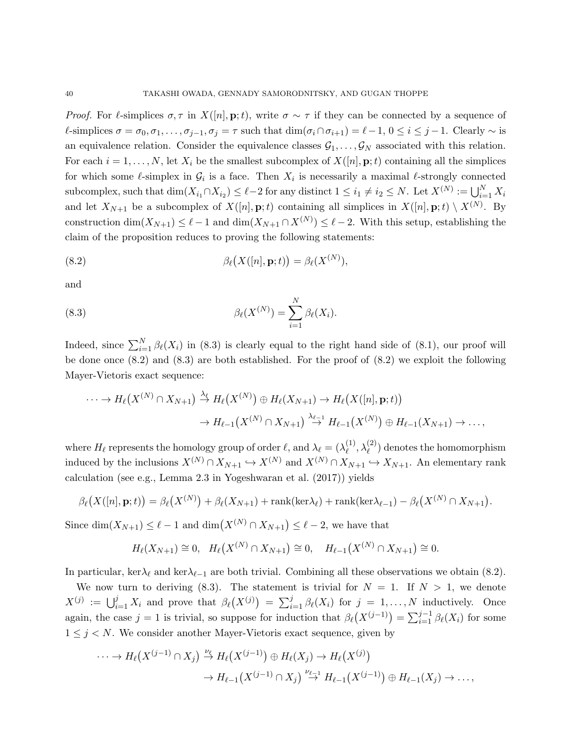*Proof.* For  $\ell$ -simplices  $\sigma, \tau$  in  $X([n], p; t)$ , write  $\sigma \sim \tau$  if they can be connected by a sequence of  $\ell$ -simplices  $\sigma = \sigma_0, \sigma_1, \ldots, \sigma_{j-1}, \sigma_j = \tau$  such that  $\dim(\sigma_i \cap \sigma_{i+1}) = \ell - 1, 0 \le i \le j-1$ . Clearly  $\sim$  is an equivalence relation. Consider the equivalence classes  $\mathcal{G}_1, \ldots, \mathcal{G}_N$  associated with this relation. For each  $i = 1, \ldots, N$ , let  $X_i$  be the smallest subcomplex of  $X([n], \mathbf{p}; t)$  containing all the simplices for which some  $\ell$ -simplex in  $\mathcal{G}_i$  is a face. Then  $X_i$  is necessarily a maximal  $\ell$ -strongly connected subcomplex, such that  $\dim(X_{i_1} \cap X_{i_2}) \leq \ell - 2$  for any distinct  $1 \leq i_1 \neq i_2 \leq N$ . Let  $X^{(N)} := \bigcup_{i=1}^N X_i$ and let  $X_{N+1}$  be a subcomplex of  $X([n], \mathbf{p}; t)$  containing all simplices in  $X([n], \mathbf{p}; t) \setminus X^{(N)}$ . By construction  $\dim(X_{N+1}) \leq \ell - 1$  and  $\dim(X_{N+1} \cap X^{(N)}) \leq \ell - 2$ . With this setup, establishing the claim of the proposition reduces to proving the following statements:

(8.2) 
$$
\beta_{\ell}(X([n], \mathbf{p}; t)) = \beta_{\ell}(X^{(N)}),
$$

and

(8.3) 
$$
\beta_{\ell}(X^{(N)}) = \sum_{i=1}^{N} \beta_{\ell}(X_i).
$$

Indeed, since  $\sum_{i=1}^{N} \beta_{\ell}(X_i)$  in (8.3) is clearly equal to the right hand side of (8.1), our proof will be done once (8.2) and (8.3) are both established. For the proof of (8.2) we exploit the following Mayer-Vietoris exact sequence:

$$
\cdots \to H_{\ell}(X^{(N)} \cap X_{N+1}) \stackrel{\lambda_{\ell}}{\to} H_{\ell}(X^{(N)}) \oplus H_{\ell}(X_{N+1}) \to H_{\ell}(X([n], \mathbf{p}; t))
$$

$$
\to H_{\ell-1}(X^{(N)} \cap X_{N+1}) \stackrel{\lambda_{\ell-1}}{\to} H_{\ell-1}(X^{(N)}) \oplus H_{\ell-1}(X_{N+1}) \to \dots,
$$

where  $H_\ell$  represents the homology group of order  $\ell$ , and  $\lambda_\ell = (\lambda_\ell^{(1)}$  $\lambda_{\ell}^{(1)},\lambda_{\ell}^{(2)})$  denotes the homomorphism induced by the inclusions  $X^{(N)} \cap X_{N+1} \hookrightarrow X^{(N)}$  and  $X^{(N)} \cap X_{N+1} \hookrightarrow X_{N+1}$ . An elementary rank calculation (see e.g., Lemma 2.3 in Yogeshwaran et al. (2017)) yields

$$
\beta_{\ell}\big(X([n],\mathbf{p};t)\big)=\beta_{\ell}\big(X^{(N)}\big)+\beta_{\ell}(X_{N+1})+\operatorname{rank}(\ker\lambda_{\ell})+\operatorname{rank}(\ker\lambda_{\ell-1})-\beta_{\ell}\big(X^{(N)}\cap X_{N+1}\big).
$$

Since  $\dim(X_{N+1}) \leq \ell - 1$  and  $\dim(X^{(N)} \cap X_{N+1}) \leq \ell - 2$ , we have that

$$
H_{\ell}(X_{N+1}) \cong 0, \quad H_{\ell}(X^{(N)} \cap X_{N+1}) \cong 0, \quad H_{\ell-1}(X^{(N)} \cap X_{N+1}) \cong 0.
$$

In particular, ker $\lambda_\ell$  and ker $\lambda_{\ell-1}$  are both trivial. Combining all these observations we obtain (8.2).

We now turn to deriving (8.3). The statement is trivial for  $N = 1$ . If  $N > 1$ , we denote  $X^{(j)} := \bigcup_{i=1}^j X_i$  and prove that  $\beta_\ell(X^{(j)}) = \sum_{i=1}^j \beta_\ell(X_i)$  for  $j = 1, ..., N$  inductively. Once again, the case  $j = 1$  is trivial, so suppose for induction that  $\beta_{\ell}(X^{(j-1)}) = \sum_{i=1}^{j-1} \beta_{\ell}(X_i)$  for some  $1 \leq j \leq N$ . We consider another Mayer-Vietoris exact sequence, given by

$$
\cdots \to H_{\ell}(X^{(j-1)} \cap X_j) \stackrel{\nu_{\ell}}{\to} H_{\ell}(X^{(j-1)}) \oplus H_{\ell}(X_j) \to H_{\ell}(X^{(j)})
$$

$$
\to H_{\ell-1}(X^{(j-1)} \cap X_j) \stackrel{\nu_{\ell-1}}{\to} H_{\ell-1}(X^{(j-1)}) \oplus H_{\ell-1}(X_j) \to \cdots,
$$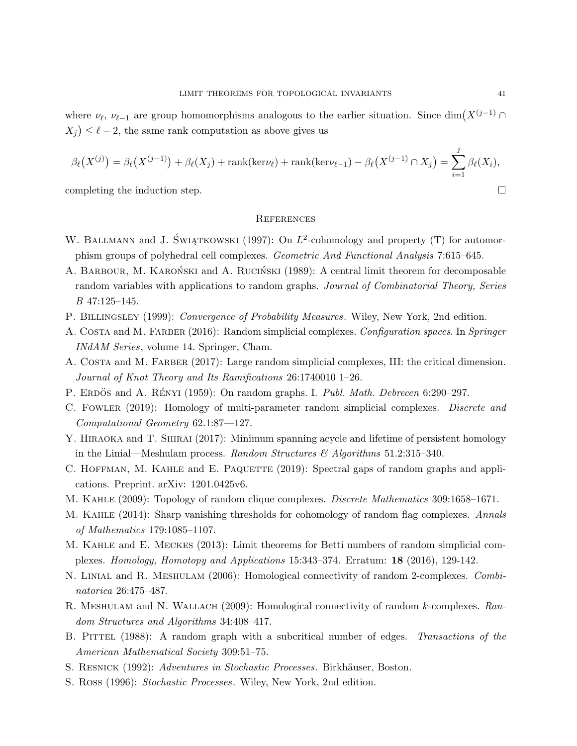where  $\nu_{\ell}, \nu_{\ell-1}$  are group homomorphisms analogous to the earlier situation. Since dim $(X^{(j-1)} \cap$  $(X_j) \leq \ell - 2$ , the same rank computation as above gives us

$$
\beta_{\ell}(X^{(j)}) = \beta_{\ell}(X^{(j-1)}) + \beta_{\ell}(X_j) + \operatorname{rank}(\ker \nu_{\ell}) + \operatorname{rank}(\ker \nu_{\ell-1}) - \beta_{\ell}(X^{(j-1)} \cap X_j) = \sum_{i=1}^{j} \beta_{\ell}(X_i),
$$

completing the induction step.  $\Box$ 

## **REFERENCES**

- W. BALLMANN and J. ŚWIĄTKOWSKI (1997): On  $L^2$ -cohomology and property (T) for automorphism groups of polyhedral cell complexes. Geometric And Functional Analysis 7:615–645.
- A. BARBOUR, M. KARONSKI and A. RUCINSKI (1989): A central limit theorem for decomposable random variables with applications to random graphs. Journal of Combinatorial Theory, Series B 47:125–145.
- P. BILLINGSLEY (1999): Convergence of Probability Measures. Wiley, New York, 2nd edition.
- A. COSTA and M. FARBER (2016): Random simplicial complexes. Configuration spaces. In Springer INdAM Series, volume 14. Springer, Cham.
- A. COSTA and M. FARBER (2017): Large random simplicial complexes, III: the critical dimension. Journal of Knot Theory and Its Ramifications 26:1740010 1–26.
- P. ERDÖS and A. RÉNYI (1959): On random graphs. I. Publ. Math. Debrecen 6:290–297.
- C. FOWLER (2019): Homology of multi-parameter random simplicial complexes. Discrete and Computational Geometry 62.1:87—127.
- Y. HIRAOKA and T. SHIRAI (2017): Minimum spanning acycle and lifetime of persistent homology in the Linial—Meshulam process. Random Structures  $\mathcal{B}$  Algorithms 51.2:315–340.
- C. HOFFMAN, M. KAHLE and E. PAQUETTE (2019): Spectral gaps of random graphs and applications. Preprint. arXiv: 1201.0425v6.
- M. KAHLE (2009): Topology of random clique complexes. *Discrete Mathematics* 309:1658–1671.
- M. KAHLE (2014): Sharp vanishing thresholds for cohomology of random flag complexes. Annals of Mathematics 179:1085–1107.
- M. Kahle and E. Meckes (2013): Limit theorems for Betti numbers of random simplicial complexes. Homology, Homotopy and Applications 15:343–374. Erratum: 18 (2016), 129-142.
- N. LINIAL and R. MESHULAM (2006): Homological connectivity of random 2-complexes. Combinatorica 26:475–487.
- R. MESHULAM and N. WALLACH (2009): Homological connectivity of random k-complexes. Random Structures and Algorithms 34:408–417.
- B. PITTEL (1988): A random graph with a subcritical number of edges. Transactions of the American Mathematical Society 309:51–75.
- S. RESNICK (1992): Adventures in Stochastic Processes. Birkhäuser, Boston.
- S. Ross (1996): Stochastic Processes. Wiley, New York, 2nd edition.